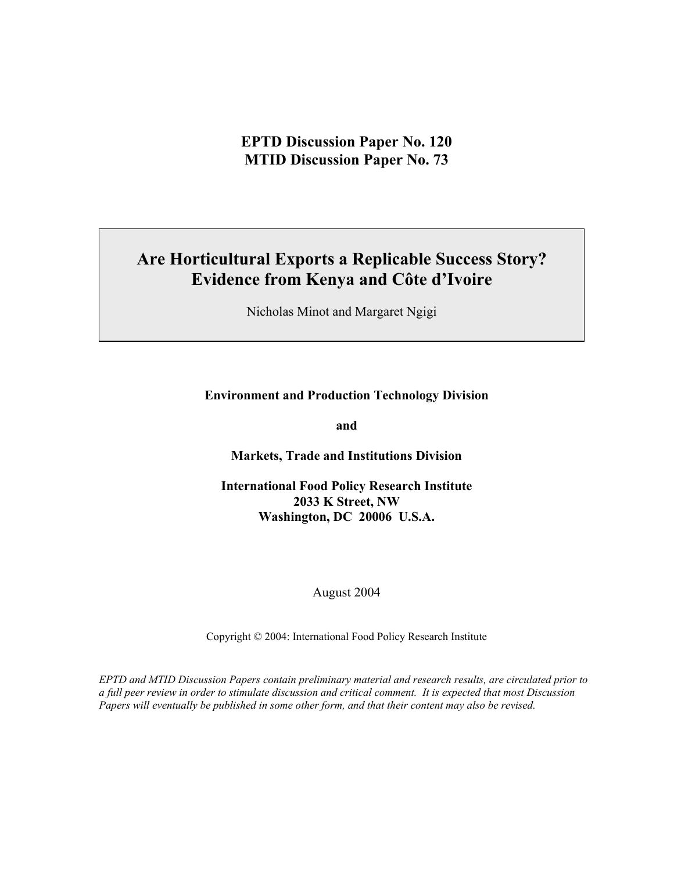# **Are Horticultural Exports a Replicable Success Story? Evidence from Kenya and Côte d'Ivoire**

Nicholas Minot and Margaret Ngigi

## **Environment and Production Technology Division**

**and** 

**Markets, Trade and Institutions Division** 

**International Food Policy Research Institute 2033 K Street, NW Washington, DC 20006 U.S.A.** 

August 2004

Copyright © 2004: International Food Policy Research Institute

*EPTD and MTID Discussion Papers contain preliminary material and research results, are circulated prior to a full peer review in order to stimulate discussion and critical comment. It is expected that most Discussion Papers will eventually be published in some other form, and that their content may also be revised.*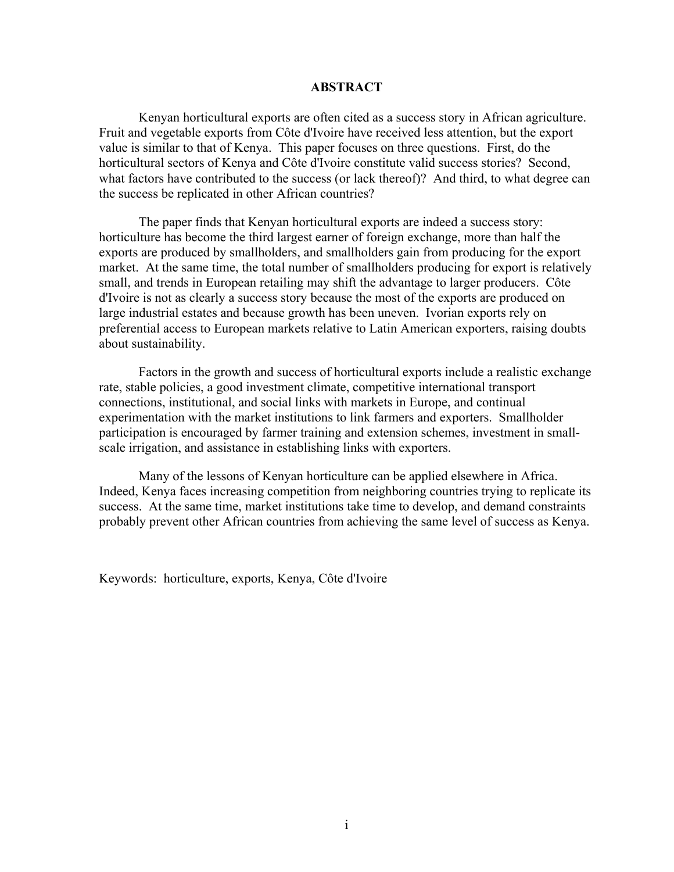#### **ABSTRACT**

Kenyan horticultural exports are often cited as a success story in African agriculture. Fruit and vegetable exports from Côte d'Ivoire have received less attention, but the export value is similar to that of Kenya. This paper focuses on three questions. First, do the horticultural sectors of Kenya and Côte d'Ivoire constitute valid success stories? Second, what factors have contributed to the success (or lack thereof)? And third, to what degree can the success be replicated in other African countries?

The paper finds that Kenyan horticultural exports are indeed a success story: horticulture has become the third largest earner of foreign exchange, more than half the exports are produced by smallholders, and smallholders gain from producing for the export market. At the same time, the total number of smallholders producing for export is relatively small, and trends in European retailing may shift the advantage to larger producers. Côte d'Ivoire is not as clearly a success story because the most of the exports are produced on large industrial estates and because growth has been uneven. Ivorian exports rely on preferential access to European markets relative to Latin American exporters, raising doubts about sustainability.

Factors in the growth and success of horticultural exports include a realistic exchange rate, stable policies, a good investment climate, competitive international transport connections, institutional, and social links with markets in Europe, and continual experimentation with the market institutions to link farmers and exporters. Smallholder participation is encouraged by farmer training and extension schemes, investment in smallscale irrigation, and assistance in establishing links with exporters.

Many of the lessons of Kenyan horticulture can be applied elsewhere in Africa. Indeed, Kenya faces increasing competition from neighboring countries trying to replicate its success. At the same time, market institutions take time to develop, and demand constraints probably prevent other African countries from achieving the same level of success as Kenya.

Keywords: horticulture, exports, Kenya, Côte d'Ivoire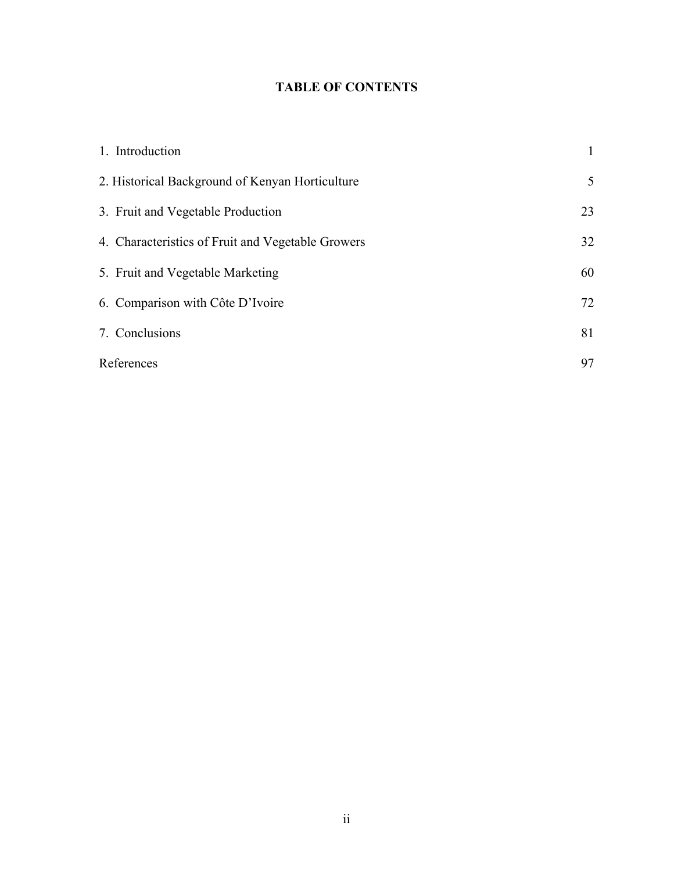## **TABLE OF CONTENTS**

| 1. Introduction                                   | $\mathbf{1}$    |
|---------------------------------------------------|-----------------|
| 2. Historical Background of Kenyan Horticulture   | $5\overline{)}$ |
| 3. Fruit and Vegetable Production                 | 23              |
| 4. Characteristics of Fruit and Vegetable Growers | 32              |
| 5. Fruit and Vegetable Marketing                  | 60              |
| 6. Comparison with Côte D'Ivoire                  | 72              |
| 7. Conclusions                                    | 81              |
| References                                        | 97              |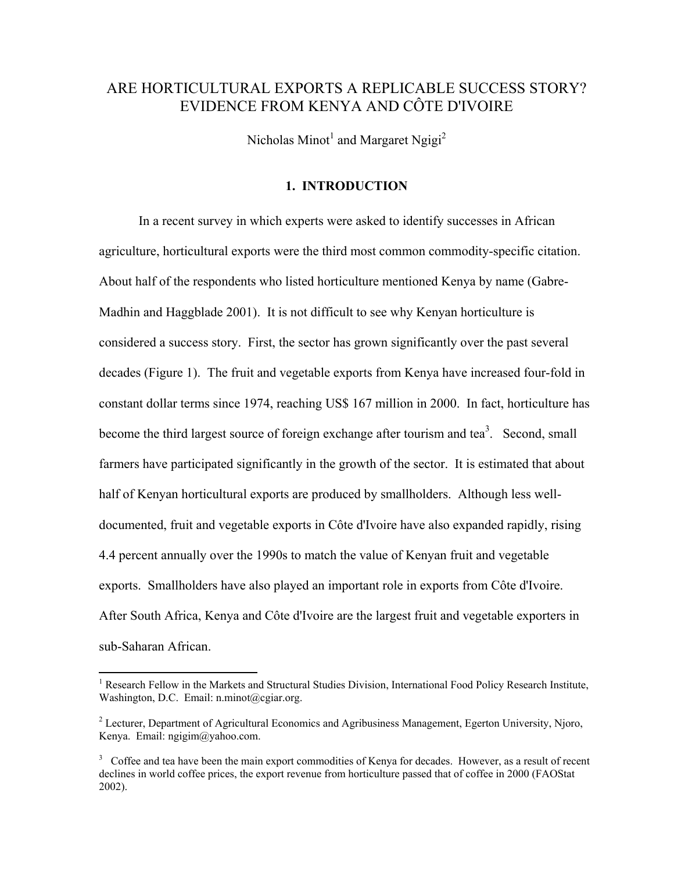## ARE HORTICULTURAL EXPORTS A REPLICABLE SUCCESS STORY? EVIDENCE FROM KENYA AND CÔTE D'IVOIRE

Nicholas Minot<sup>1</sup> and Margaret Ngigi<sup>2</sup>

## **1. INTRODUCTION**

In a recent survey in which experts were asked to identify successes in African agriculture, horticultural exports were the third most common commodity-specific citation. About half of the respondents who listed horticulture mentioned Kenya by name (Gabre-Madhin and Haggblade 2001). It is not difficult to see why Kenyan horticulture is considered a success story. First, the sector has grown significantly over the past several decades (Figure 1). The fruit and vegetable exports from Kenya have increased four-fold in constant dollar terms since 1974, reaching US\$ 167 million in 2000. In fact, horticulture has become the third largest source of foreign exchange after tourism and tea<sup>3</sup>. Second, small farmers have participated significantly in the growth of the sector. It is estimated that about half of Kenyan horticultural exports are produced by smallholders. Although less welldocumented, fruit and vegetable exports in Côte d'Ivoire have also expanded rapidly, rising 4.4 percent annually over the 1990s to match the value of Kenyan fruit and vegetable exports. Smallholders have also played an important role in exports from Côte d'Ivoire. After South Africa, Kenya and Côte d'Ivoire are the largest fruit and vegetable exporters in sub-Saharan African.

 $\overline{a}$ 

<sup>&</sup>lt;sup>1</sup> Research Fellow in the Markets and Structural Studies Division, International Food Policy Research Institute, Washington, D.C. Email: n.minot@cgiar.org.

 $2^{2}$  Lecturer, Department of Agricultural Economics and Agribusiness Management, Egerton University, Njoro, Kenya. Email: ngigim@yahoo.com.

<sup>&</sup>lt;sup>3</sup> Coffee and tea have been the main export commodities of Kenya for decades. However, as a result of recent declines in world coffee prices, the export revenue from horticulture passed that of coffee in 2000 (FAOStat 2002).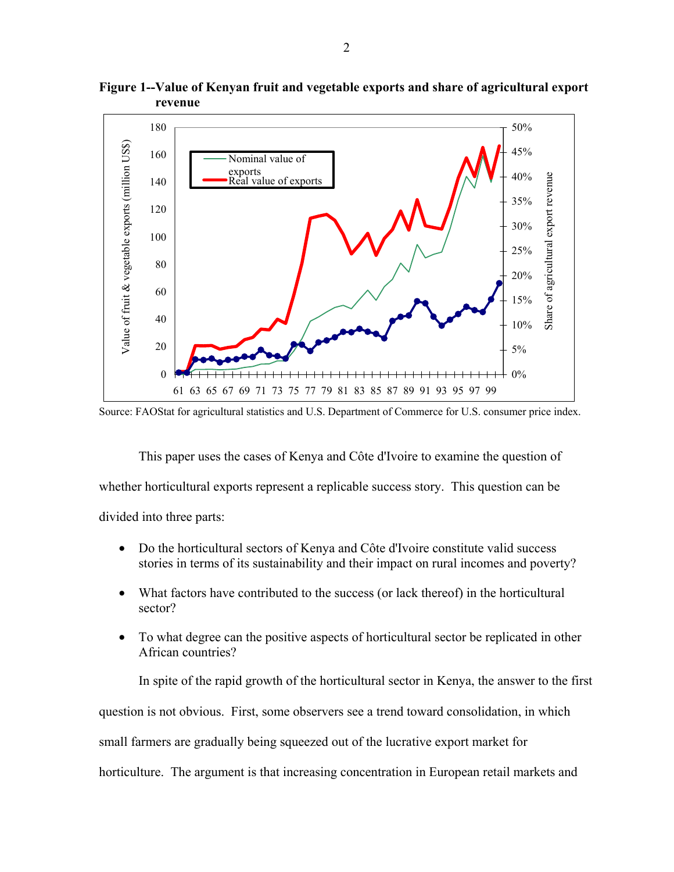

**Figure 1--Value of Kenyan fruit and vegetable exports and share of agricultural export revenue** 

Source: FAOStat for agricultural statistics and U.S. Department of Commerce for U.S. consumer price index.

This paper uses the cases of Kenya and Côte d'Ivoire to examine the question of whether horticultural exports represent a replicable success story. This question can be divided into three parts:

- Do the horticultural sectors of Kenya and Côte d'Ivoire constitute valid success stories in terms of its sustainability and their impact on rural incomes and poverty?
- What factors have contributed to the success (or lack thereof) in the horticultural sector?
- To what degree can the positive aspects of horticultural sector be replicated in other African countries?

In spite of the rapid growth of the horticultural sector in Kenya, the answer to the first question is not obvious. First, some observers see a trend toward consolidation, in which small farmers are gradually being squeezed out of the lucrative export market for horticulture. The argument is that increasing concentration in European retail markets and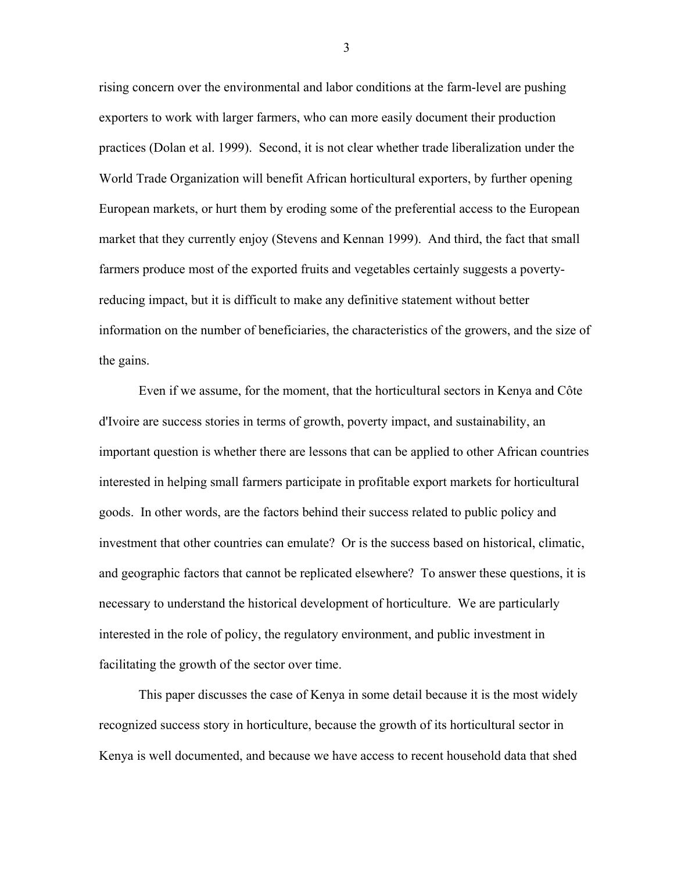rising concern over the environmental and labor conditions at the farm-level are pushing exporters to work with larger farmers, who can more easily document their production practices (Dolan et al. 1999). Second, it is not clear whether trade liberalization under the World Trade Organization will benefit African horticultural exporters, by further opening European markets, or hurt them by eroding some of the preferential access to the European market that they currently enjoy (Stevens and Kennan 1999). And third, the fact that small farmers produce most of the exported fruits and vegetables certainly suggests a povertyreducing impact, but it is difficult to make any definitive statement without better information on the number of beneficiaries, the characteristics of the growers, and the size of the gains.

Even if we assume, for the moment, that the horticultural sectors in Kenya and Côte d'Ivoire are success stories in terms of growth, poverty impact, and sustainability, an important question is whether there are lessons that can be applied to other African countries interested in helping small farmers participate in profitable export markets for horticultural goods. In other words, are the factors behind their success related to public policy and investment that other countries can emulate? Or is the success based on historical, climatic, and geographic factors that cannot be replicated elsewhere? To answer these questions, it is necessary to understand the historical development of horticulture. We are particularly interested in the role of policy, the regulatory environment, and public investment in facilitating the growth of the sector over time.

This paper discusses the case of Kenya in some detail because it is the most widely recognized success story in horticulture, because the growth of its horticultural sector in Kenya is well documented, and because we have access to recent household data that shed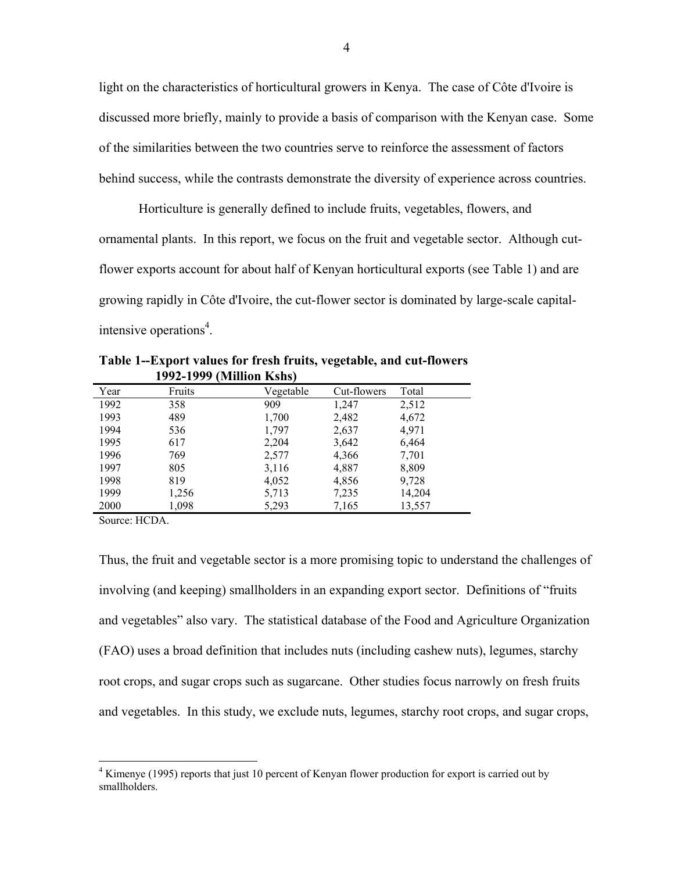light on the characteristics of horticultural growers in Kenya. The case of Côte d'Ivoire is discussed more briefly, mainly to provide a basis of comparison with the Kenyan case. Some of the similarities between the two countries serve to reinforce the assessment of factors behind success, while the contrasts demonstrate the diversity of experience across countries.

Horticulture is generally defined to include fruits, vegetables, flowers, and ornamental plants. In this report, we focus on the fruit and vegetable sector. Although cutflower exports account for about half of Kenyan horticultural exports (see Table 1) and are growing rapidly in Côte d'Ivoire, the cut-flower sector is dominated by large-scale capitalintensive operations<sup>4</sup>.

| Year | Fruits | Vegetable | Cut-flowers | Total  |
|------|--------|-----------|-------------|--------|
| 1992 | 358    | 909       | 1,247       | 2,512  |
| 1993 | 489    | 1,700     | 2,482       | 4,672  |
| 1994 | 536    | 1,797     | 2,637       | 4,971  |
| 1995 | 617    | 2,204     | 3,642       | 6,464  |
| 1996 | 769    | 2,577     | 4,366       | 7,701  |
| 1997 | 805    | 3,116     | 4,887       | 8,809  |
| 1998 | 819    | 4,052     | 4,856       | 9,728  |
| 1999 | 1,256  | 5,713     | 7,235       | 14,204 |
| 2000 | 1,098  | 5,293     | 7,165       | 13,557 |

**Table 1--Export values for fresh fruits, vegetable, and cut-flowers 1992-1999 (Million Kshs)**

Source: HCDA.

Thus, the fruit and vegetable sector is a more promising topic to understand the challenges of involving (and keeping) smallholders in an expanding export sector. Definitions of "fruits" and vegetablesî also vary. The statistical database of the Food and Agriculture Organization (FAO) uses a broad definition that includes nuts (including cashew nuts), legumes, starchy root crops, and sugar crops such as sugarcane. Other studies focus narrowly on fresh fruits and vegetables. In this study, we exclude nuts, legumes, starchy root crops, and sugar crops,

 4 Kimenye (1995) reports that just 10 percent of Kenyan flower production for export is carried out by smallholders.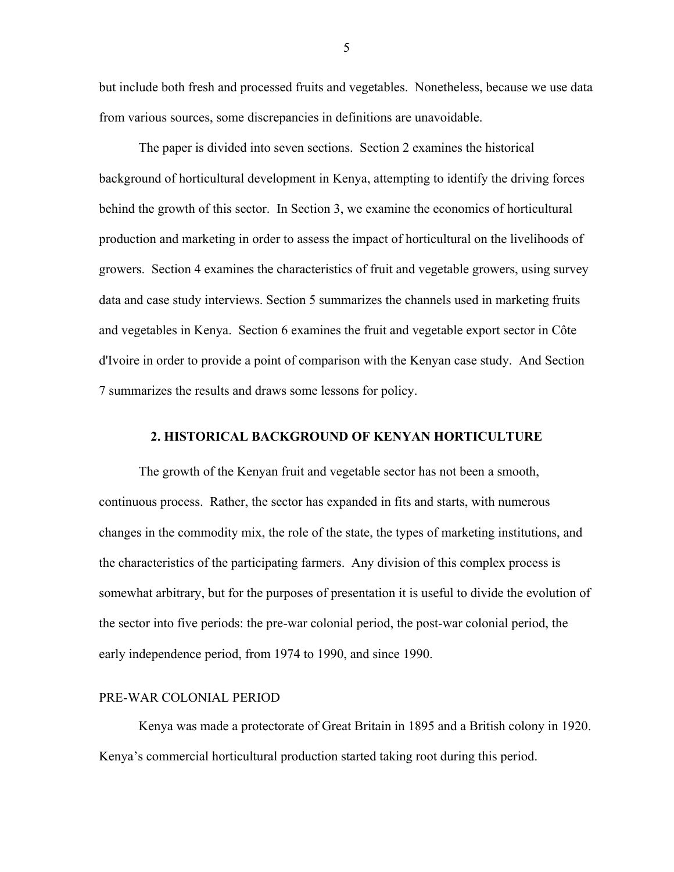but include both fresh and processed fruits and vegetables. Nonetheless, because we use data from various sources, some discrepancies in definitions are unavoidable.

The paper is divided into seven sections. Section 2 examines the historical background of horticultural development in Kenya, attempting to identify the driving forces behind the growth of this sector. In Section 3, we examine the economics of horticultural production and marketing in order to assess the impact of horticultural on the livelihoods of growers. Section 4 examines the characteristics of fruit and vegetable growers, using survey data and case study interviews. Section 5 summarizes the channels used in marketing fruits and vegetables in Kenya. Section 6 examines the fruit and vegetable export sector in Côte d'Ivoire in order to provide a point of comparison with the Kenyan case study. And Section 7 summarizes the results and draws some lessons for policy.

### **2. HISTORICAL BACKGROUND OF KENYAN HORTICULTURE**

The growth of the Kenyan fruit and vegetable sector has not been a smooth, continuous process. Rather, the sector has expanded in fits and starts, with numerous changes in the commodity mix, the role of the state, the types of marketing institutions, and the characteristics of the participating farmers. Any division of this complex process is somewhat arbitrary, but for the purposes of presentation it is useful to divide the evolution of the sector into five periods: the pre-war colonial period, the post-war colonial period, the early independence period, from 1974 to 1990, and since 1990.

### PRE-WAR COLONIAL PERIOD

Kenya was made a protectorate of Great Britain in 1895 and a British colony in 1920. Kenya's commercial horticultural production started taking root during this period.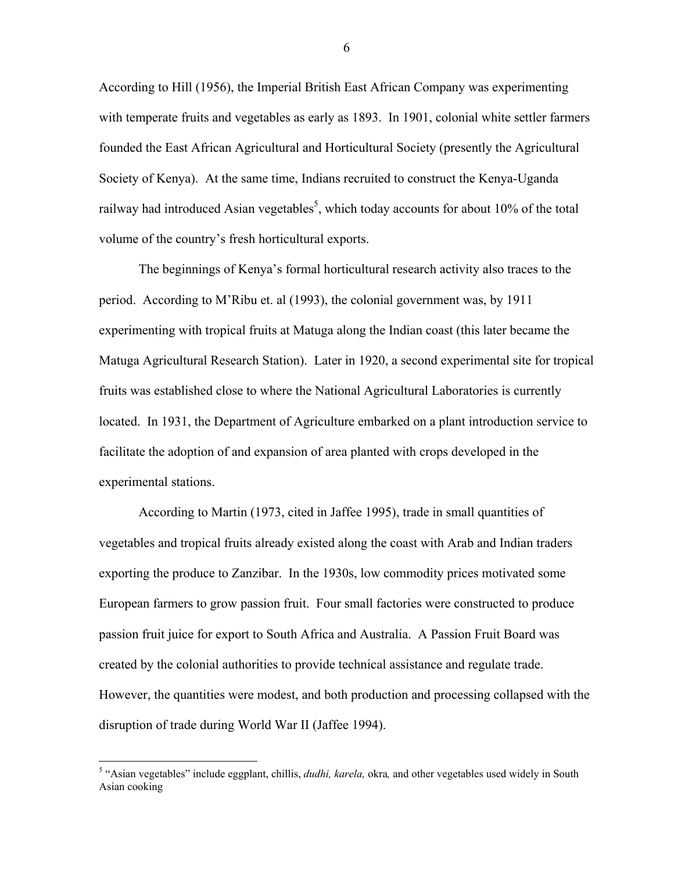According to Hill (1956), the Imperial British East African Company was experimenting with temperate fruits and vegetables as early as 1893. In 1901, colonial white settler farmers founded the East African Agricultural and Horticultural Society (presently the Agricultural Society of Kenya). At the same time, Indians recruited to construct the Kenya-Uganda railway had introduced Asian vegetables<sup>5</sup>, which today accounts for about 10% of the total volume of the country's fresh horticultural exports.

The beginnings of Kenyaís formal horticultural research activity also traces to the period. According to M'Ribu et. al (1993), the colonial government was, by 1911 experimenting with tropical fruits at Matuga along the Indian coast (this later became the Matuga Agricultural Research Station). Later in 1920, a second experimental site for tropical fruits was established close to where the National Agricultural Laboratories is currently located. In 1931, the Department of Agriculture embarked on a plant introduction service to facilitate the adoption of and expansion of area planted with crops developed in the experimental stations.

According to Martin (1973, cited in Jaffee 1995), trade in small quantities of vegetables and tropical fruits already existed along the coast with Arab and Indian traders exporting the produce to Zanzibar. In the 1930s, low commodity prices motivated some European farmers to grow passion fruit. Four small factories were constructed to produce passion fruit juice for export to South Africa and Australia. A Passion Fruit Board was created by the colonial authorities to provide technical assistance and regulate trade. However, the quantities were modest, and both production and processing collapsed with the disruption of trade during World War II (Jaffee 1994).

<sup>&</sup>lt;sup>5</sup> "Asian vegetables" include eggplant, chillis, *dudhi, karela*, okra, and other vegetables used widely in South Asian cooking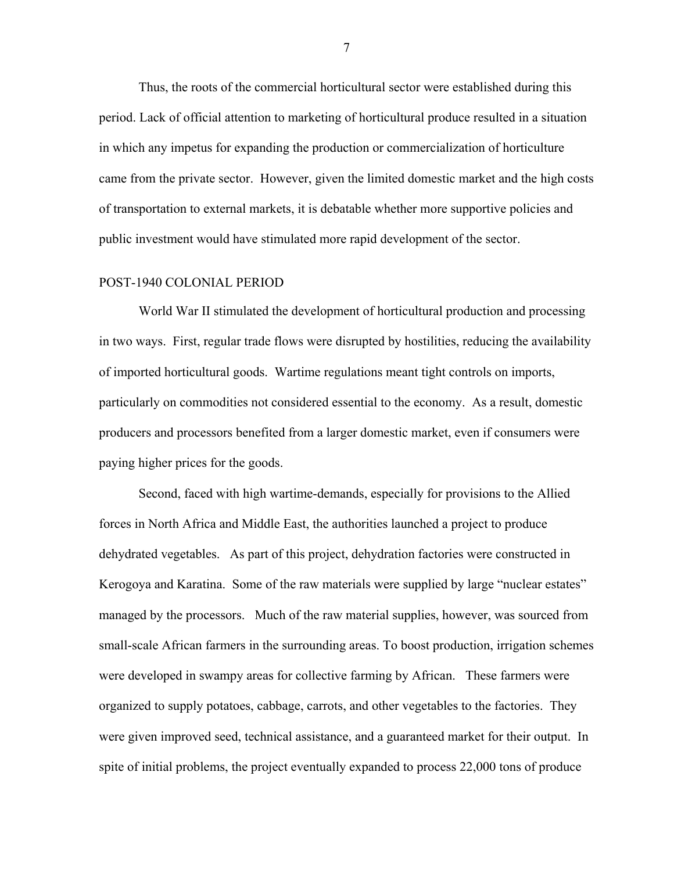Thus, the roots of the commercial horticultural sector were established during this period. Lack of official attention to marketing of horticultural produce resulted in a situation in which any impetus for expanding the production or commercialization of horticulture came from the private sector. However, given the limited domestic market and the high costs of transportation to external markets, it is debatable whether more supportive policies and public investment would have stimulated more rapid development of the sector.

#### POST-1940 COLONIAL PERIOD

World War II stimulated the development of horticultural production and processing in two ways. First, regular trade flows were disrupted by hostilities, reducing the availability of imported horticultural goods. Wartime regulations meant tight controls on imports, particularly on commodities not considered essential to the economy. As a result, domestic producers and processors benefited from a larger domestic market, even if consumers were paying higher prices for the goods.

Second, faced with high wartime-demands, especially for provisions to the Allied forces in North Africa and Middle East, the authorities launched a project to produce dehydrated vegetables. As part of this project, dehydration factories were constructed in Kerogoya and Karatina. Some of the raw materials were supplied by large "nuclear estates" managed by the processors. Much of the raw material supplies, however, was sourced from small-scale African farmers in the surrounding areas. To boost production, irrigation schemes were developed in swampy areas for collective farming by African. These farmers were organized to supply potatoes, cabbage, carrots, and other vegetables to the factories. They were given improved seed, technical assistance, and a guaranteed market for their output. In spite of initial problems, the project eventually expanded to process 22,000 tons of produce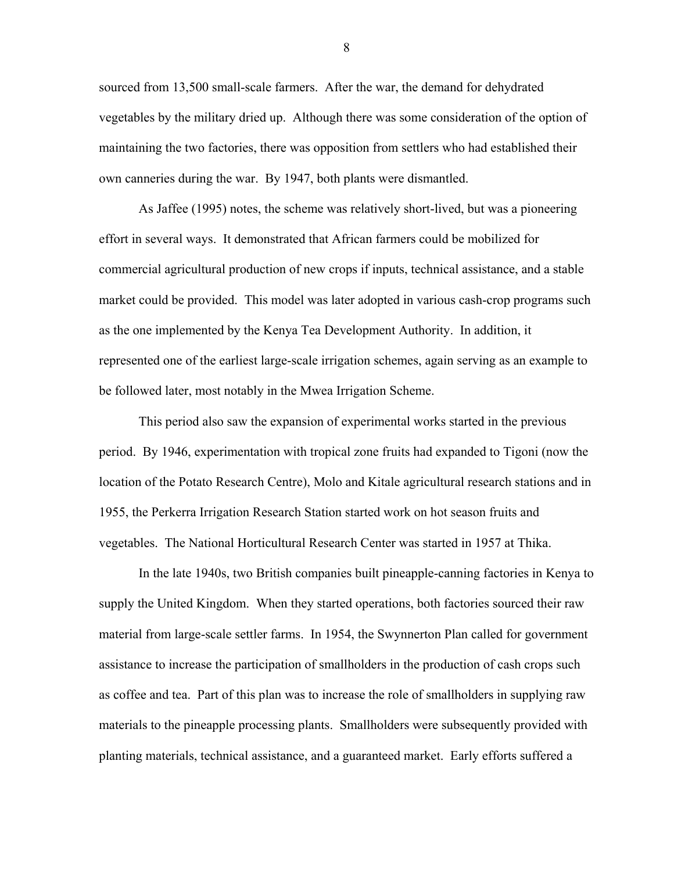sourced from 13,500 small-scale farmers. After the war, the demand for dehydrated vegetables by the military dried up. Although there was some consideration of the option of maintaining the two factories, there was opposition from settlers who had established their own canneries during the war. By 1947, both plants were dismantled.

As Jaffee (1995) notes, the scheme was relatively short-lived, but was a pioneering effort in several ways. It demonstrated that African farmers could be mobilized for commercial agricultural production of new crops if inputs, technical assistance, and a stable market could be provided. This model was later adopted in various cash-crop programs such as the one implemented by the Kenya Tea Development Authority. In addition, it represented one of the earliest large-scale irrigation schemes, again serving as an example to be followed later, most notably in the Mwea Irrigation Scheme.

This period also saw the expansion of experimental works started in the previous period. By 1946, experimentation with tropical zone fruits had expanded to Tigoni (now the location of the Potato Research Centre), Molo and Kitale agricultural research stations and in 1955, the Perkerra Irrigation Research Station started work on hot season fruits and vegetables. The National Horticultural Research Center was started in 1957 at Thika.

In the late 1940s, two British companies built pineapple-canning factories in Kenya to supply the United Kingdom. When they started operations, both factories sourced their raw material from large-scale settler farms. In 1954, the Swynnerton Plan called for government assistance to increase the participation of smallholders in the production of cash crops such as coffee and tea. Part of this plan was to increase the role of smallholders in supplying raw materials to the pineapple processing plants. Smallholders were subsequently provided with planting materials, technical assistance, and a guaranteed market. Early efforts suffered a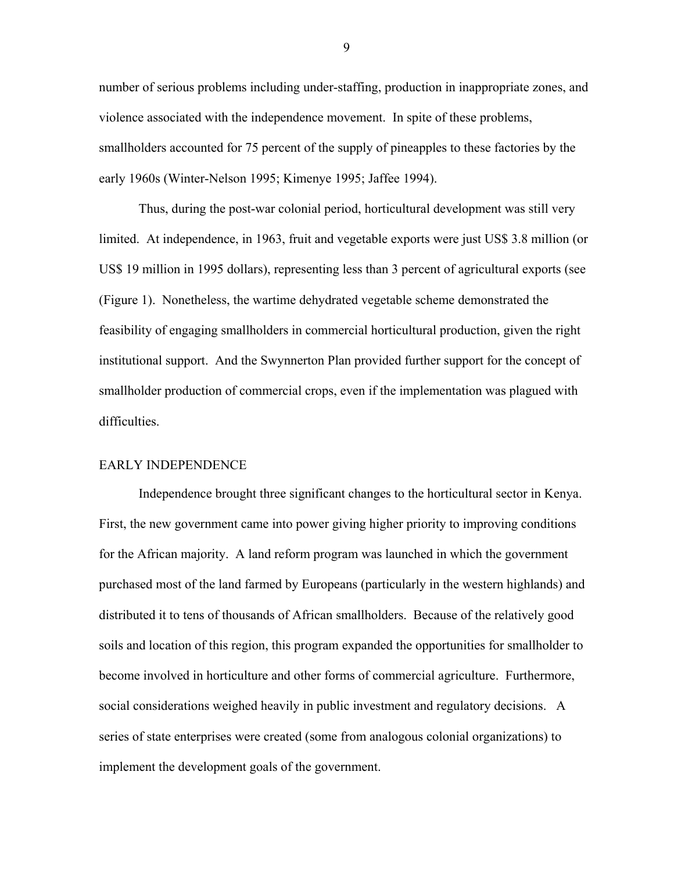number of serious problems including under-staffing, production in inappropriate zones, and violence associated with the independence movement. In spite of these problems, smallholders accounted for 75 percent of the supply of pineapples to these factories by the early 1960s (Winter-Nelson 1995; Kimenye 1995; Jaffee 1994).

Thus, during the post-war colonial period, horticultural development was still very limited. At independence, in 1963, fruit and vegetable exports were just US\$ 3.8 million (or US\$ 19 million in 1995 dollars), representing less than 3 percent of agricultural exports (see (Figure 1). Nonetheless, the wartime dehydrated vegetable scheme demonstrated the feasibility of engaging smallholders in commercial horticultural production, given the right institutional support. And the Swynnerton Plan provided further support for the concept of smallholder production of commercial crops, even if the implementation was plagued with difficulties.

#### EARLY INDEPENDENCE

Independence brought three significant changes to the horticultural sector in Kenya. First, the new government came into power giving higher priority to improving conditions for the African majority. A land reform program was launched in which the government purchased most of the land farmed by Europeans (particularly in the western highlands) and distributed it to tens of thousands of African smallholders. Because of the relatively good soils and location of this region, this program expanded the opportunities for smallholder to become involved in horticulture and other forms of commercial agriculture. Furthermore, social considerations weighed heavily in public investment and regulatory decisions. A series of state enterprises were created (some from analogous colonial organizations) to implement the development goals of the government.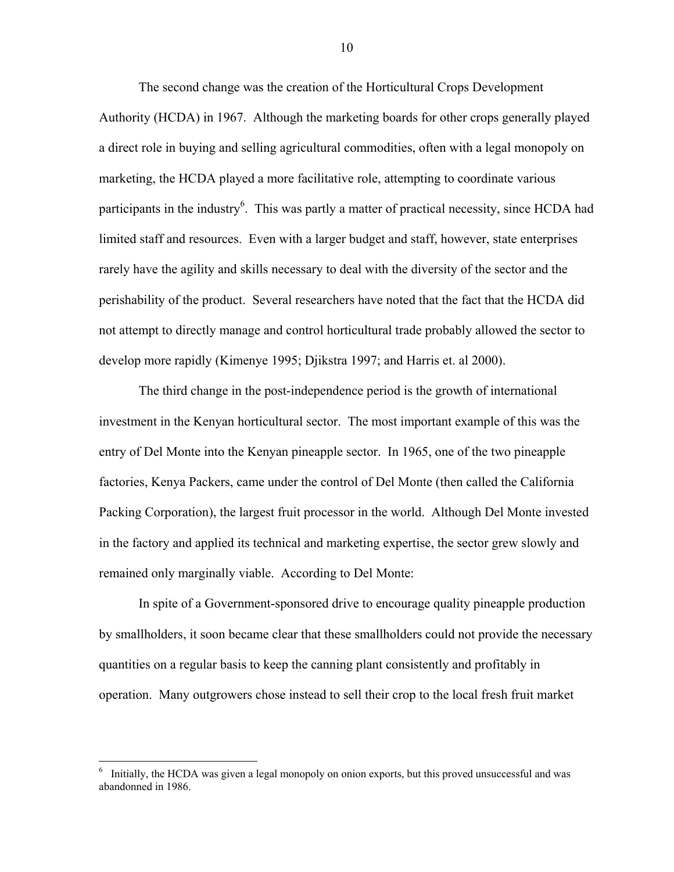The second change was the creation of the Horticultural Crops Development Authority (HCDA) in 1967. Although the marketing boards for other crops generally played a direct role in buying and selling agricultural commodities, often with a legal monopoly on marketing, the HCDA played a more facilitative role, attempting to coordinate various participants in the industry<sup>6</sup>. This was partly a matter of practical necessity, since HCDA had limited staff and resources. Even with a larger budget and staff, however, state enterprises rarely have the agility and skills necessary to deal with the diversity of the sector and the perishability of the product. Several researchers have noted that the fact that the HCDA did not attempt to directly manage and control horticultural trade probably allowed the sector to develop more rapidly (Kimenye 1995; Djikstra 1997; and Harris et. al 2000).

The third change in the post-independence period is the growth of international investment in the Kenyan horticultural sector. The most important example of this was the entry of Del Monte into the Kenyan pineapple sector. In 1965, one of the two pineapple factories, Kenya Packers, came under the control of Del Monte (then called the California Packing Corporation), the largest fruit processor in the world. Although Del Monte invested in the factory and applied its technical and marketing expertise, the sector grew slowly and remained only marginally viable. According to Del Monte:

In spite of a Government-sponsored drive to encourage quality pineapple production by smallholders, it soon became clear that these smallholders could not provide the necessary quantities on a regular basis to keep the canning plant consistently and profitably in operation. Many outgrowers chose instead to sell their crop to the local fresh fruit market

 $\overline{a}$ 

<sup>6</sup> Initially, the HCDA was given a legal monopoly on onion exports, but this proved unsuccessful and was abandonned in 1986.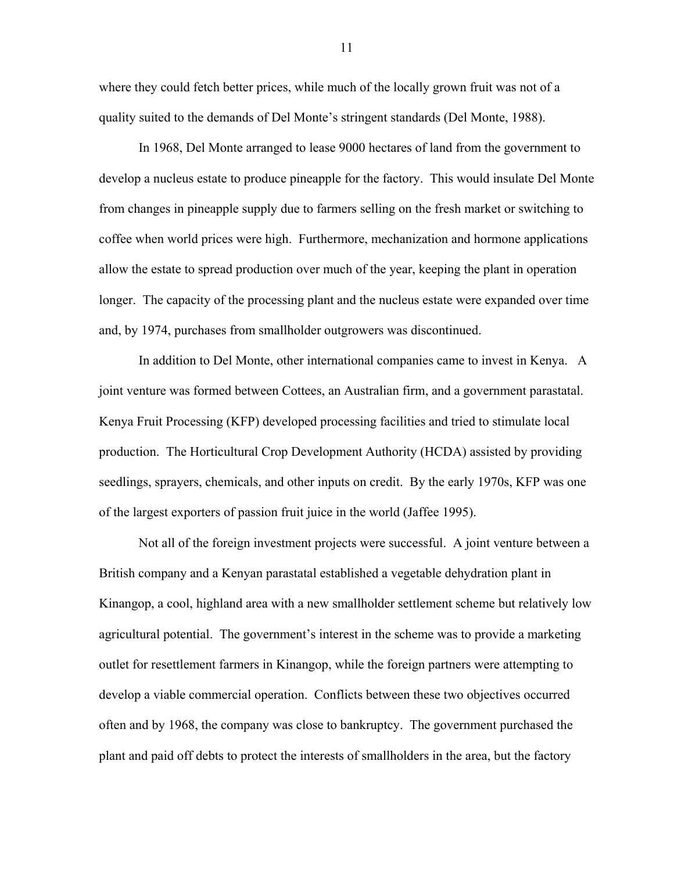where they could fetch better prices, while much of the locally grown fruit was not of a quality suited to the demands of Del Monte's stringent standards (Del Monte, 1988).

In 1968, Del Monte arranged to lease 9000 hectares of land from the government to develop a nucleus estate to produce pineapple for the factory. This would insulate Del Monte from changes in pineapple supply due to farmers selling on the fresh market or switching to coffee when world prices were high. Furthermore, mechanization and hormone applications allow the estate to spread production over much of the year, keeping the plant in operation longer. The capacity of the processing plant and the nucleus estate were expanded over time and, by 1974, purchases from smallholder outgrowers was discontinued.

In addition to Del Monte, other international companies came to invest in Kenya. A joint venture was formed between Cottees, an Australian firm, and a government parastatal. Kenya Fruit Processing (KFP) developed processing facilities and tried to stimulate local production. The Horticultural Crop Development Authority (HCDA) assisted by providing seedlings, sprayers, chemicals, and other inputs on credit. By the early 1970s, KFP was one of the largest exporters of passion fruit juice in the world (Jaffee 1995).

Not all of the foreign investment projects were successful. A joint venture between a British company and a Kenyan parastatal established a vegetable dehydration plant in Kinangop, a cool, highland area with a new smallholder settlement scheme but relatively low agricultural potential. The government's interest in the scheme was to provide a marketing outlet for resettlement farmers in Kinangop, while the foreign partners were attempting to develop a viable commercial operation. Conflicts between these two objectives occurred often and by 1968, the company was close to bankruptcy. The government purchased the plant and paid off debts to protect the interests of smallholders in the area, but the factory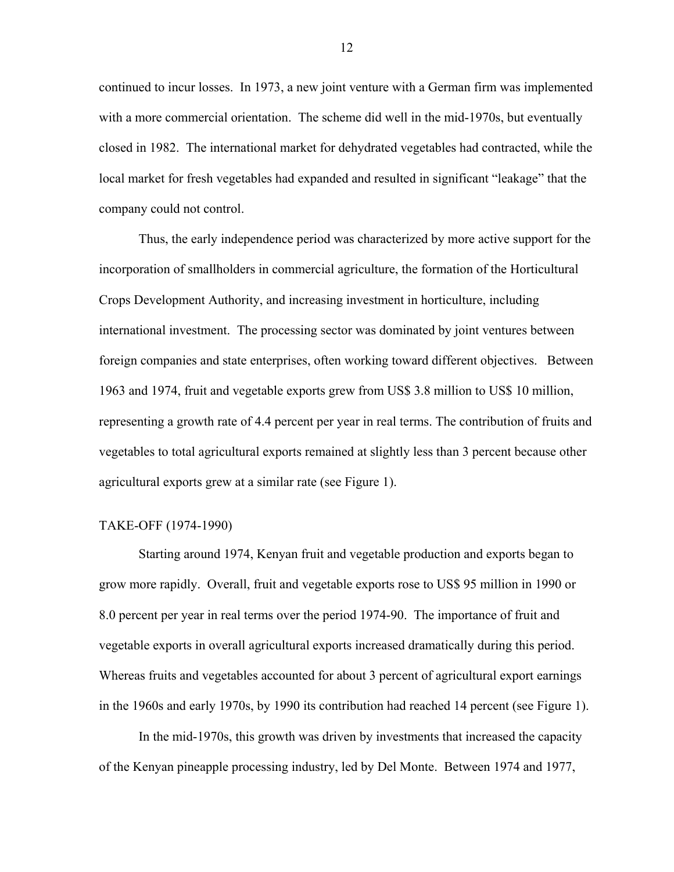continued to incur losses. In 1973, a new joint venture with a German firm was implemented with a more commercial orientation. The scheme did well in the mid-1970s, but eventually closed in 1982. The international market for dehydrated vegetables had contracted, while the local market for fresh vegetables had expanded and resulted in significant "leakage" that the company could not control.

Thus, the early independence period was characterized by more active support for the incorporation of smallholders in commercial agriculture, the formation of the Horticultural Crops Development Authority, and increasing investment in horticulture, including international investment. The processing sector was dominated by joint ventures between foreign companies and state enterprises, often working toward different objectives. Between 1963 and 1974, fruit and vegetable exports grew from US\$ 3.8 million to US\$ 10 million, representing a growth rate of 4.4 percent per year in real terms. The contribution of fruits and vegetables to total agricultural exports remained at slightly less than 3 percent because other agricultural exports grew at a similar rate (see Figure 1).

#### TAKE-OFF (1974-1990)

Starting around 1974, Kenyan fruit and vegetable production and exports began to grow more rapidly. Overall, fruit and vegetable exports rose to US\$ 95 million in 1990 or 8.0 percent per year in real terms over the period 1974-90. The importance of fruit and vegetable exports in overall agricultural exports increased dramatically during this period. Whereas fruits and vegetables accounted for about 3 percent of agricultural export earnings in the 1960s and early 1970s, by 1990 its contribution had reached 14 percent (see Figure 1).

In the mid-1970s, this growth was driven by investments that increased the capacity of the Kenyan pineapple processing industry, led by Del Monte. Between 1974 and 1977,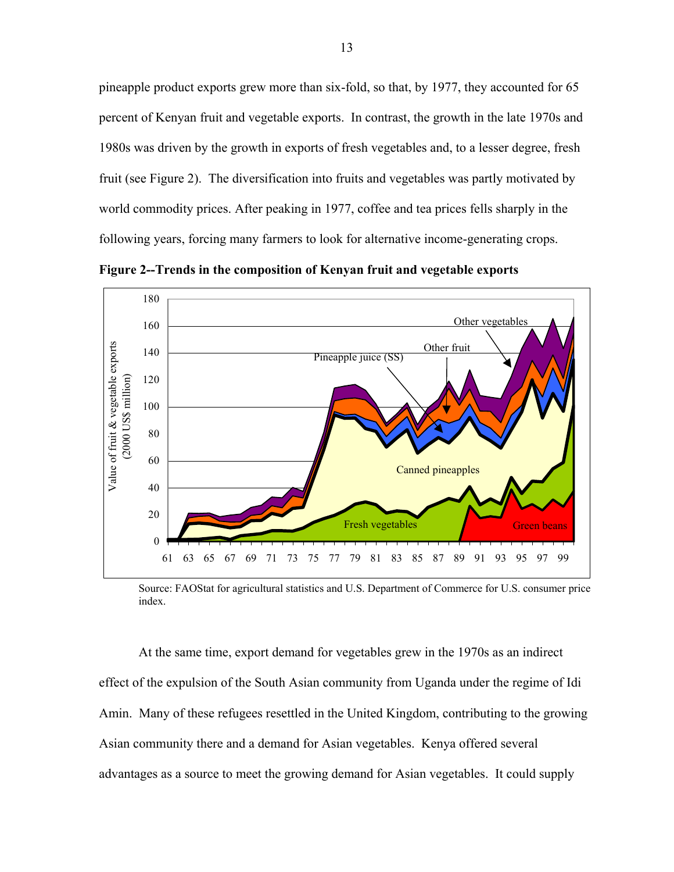pineapple product exports grew more than six-fold, so that, by 1977, they accounted for 65 percent of Kenyan fruit and vegetable exports. In contrast, the growth in the late 1970s and 1980s was driven by the growth in exports of fresh vegetables and, to a lesser degree, fresh fruit (see Figure 2). The diversification into fruits and vegetables was partly motivated by world commodity prices. After peaking in 1977, coffee and tea prices fells sharply in the following years, forcing many farmers to look for alternative income-generating crops.



**Figure 2--Trends in the composition of Kenyan fruit and vegetable exports** 

Source: FAOStat for agricultural statistics and U.S. Department of Commerce for U.S. consumer price index.

At the same time, export demand for vegetables grew in the 1970s as an indirect effect of the expulsion of the South Asian community from Uganda under the regime of Idi Amin. Many of these refugees resettled in the United Kingdom, contributing to the growing Asian community there and a demand for Asian vegetables. Kenya offered several advantages as a source to meet the growing demand for Asian vegetables. It could supply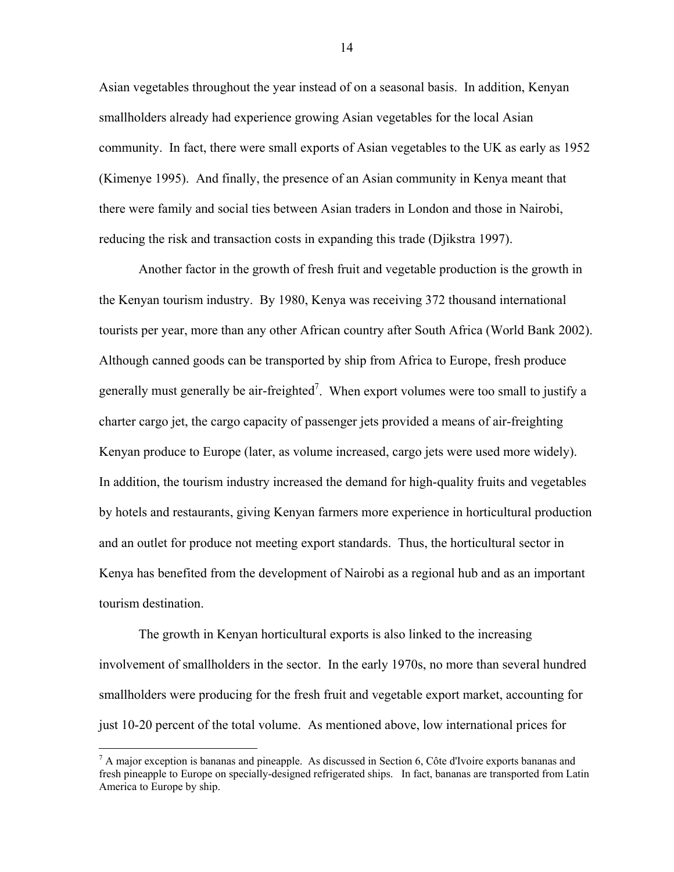Asian vegetables throughout the year instead of on a seasonal basis. In addition, Kenyan smallholders already had experience growing Asian vegetables for the local Asian community. In fact, there were small exports of Asian vegetables to the UK as early as 1952 (Kimenye 1995). And finally, the presence of an Asian community in Kenya meant that there were family and social ties between Asian traders in London and those in Nairobi, reducing the risk and transaction costs in expanding this trade (Djikstra 1997).

Another factor in the growth of fresh fruit and vegetable production is the growth in the Kenyan tourism industry. By 1980, Kenya was receiving 372 thousand international tourists per year, more than any other African country after South Africa (World Bank 2002). Although canned goods can be transported by ship from Africa to Europe, fresh produce generally must generally be air-freighted<sup>7</sup>. When export volumes were too small to justify a charter cargo jet, the cargo capacity of passenger jets provided a means of air-freighting Kenyan produce to Europe (later, as volume increased, cargo jets were used more widely). In addition, the tourism industry increased the demand for high-quality fruits and vegetables by hotels and restaurants, giving Kenyan farmers more experience in horticultural production and an outlet for produce not meeting export standards. Thus, the horticultural sector in Kenya has benefited from the development of Nairobi as a regional hub and as an important tourism destination.

The growth in Kenyan horticultural exports is also linked to the increasing involvement of smallholders in the sector. In the early 1970s, no more than several hundred smallholders were producing for the fresh fruit and vegetable export market, accounting for just 10-20 percent of the total volume. As mentioned above, low international prices for

1

 $<sup>7</sup>$  A major exception is bananas and pineapple. As discussed in Section 6, Côte d'Ivoire exports bananas and</sup> fresh pineapple to Europe on specially-designed refrigerated ships. In fact, bananas are transported from Latin America to Europe by ship.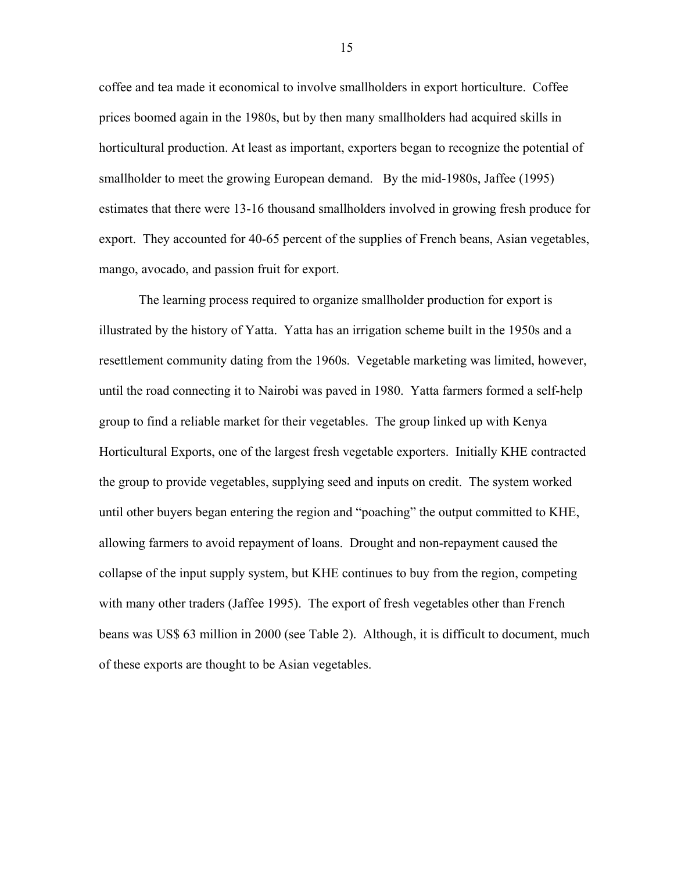coffee and tea made it economical to involve smallholders in export horticulture. Coffee prices boomed again in the 1980s, but by then many smallholders had acquired skills in horticultural production. At least as important, exporters began to recognize the potential of smallholder to meet the growing European demand. By the mid-1980s, Jaffee (1995) estimates that there were 13-16 thousand smallholders involved in growing fresh produce for export. They accounted for 40-65 percent of the supplies of French beans, Asian vegetables, mango, avocado, and passion fruit for export.

The learning process required to organize smallholder production for export is illustrated by the history of Yatta. Yatta has an irrigation scheme built in the 1950s and a resettlement community dating from the 1960s. Vegetable marketing was limited, however, until the road connecting it to Nairobi was paved in 1980. Yatta farmers formed a self-help group to find a reliable market for their vegetables. The group linked up with Kenya Horticultural Exports, one of the largest fresh vegetable exporters. Initially KHE contracted the group to provide vegetables, supplying seed and inputs on credit. The system worked until other buyers began entering the region and "poaching" the output committed to KHE, allowing farmers to avoid repayment of loans. Drought and non-repayment caused the collapse of the input supply system, but KHE continues to buy from the region, competing with many other traders (Jaffee 1995). The export of fresh vegetables other than French beans was US\$ 63 million in 2000 (see Table 2). Although, it is difficult to document, much of these exports are thought to be Asian vegetables.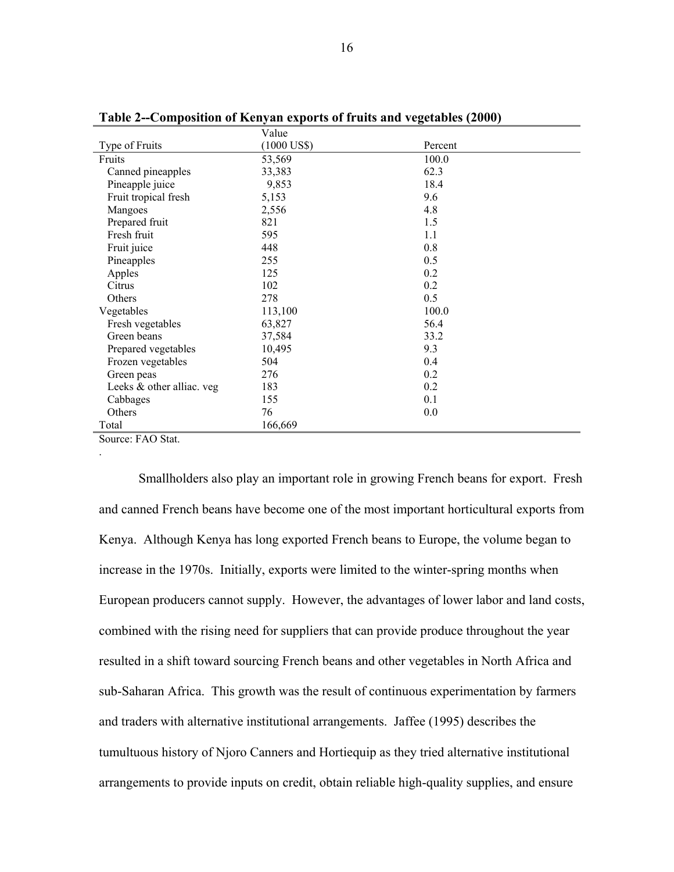| Type of Fruits<br>$(1000$ US\$)<br>Percent<br>100.0<br>53,569<br>Fruits<br>Canned pineapples<br>33,383<br>62.3 |                 |       |      |
|----------------------------------------------------------------------------------------------------------------|-----------------|-------|------|
|                                                                                                                |                 |       |      |
|                                                                                                                |                 |       |      |
|                                                                                                                |                 |       |      |
|                                                                                                                | Pineapple juice | 9,853 | 18.4 |
| Fruit tropical fresh<br>5,153<br>9.6                                                                           |                 |       |      |
| 4.8<br>2,556<br>Mangoes                                                                                        |                 |       |      |
| 821<br>Prepared fruit<br>1.5                                                                                   |                 |       |      |
| Fresh fruit<br>595<br>1.1                                                                                      |                 |       |      |
| 0.8<br>Fruit juice<br>448                                                                                      |                 |       |      |
| 0.5<br>Pineapples<br>255                                                                                       |                 |       |      |
| 0.2<br>Apples<br>125                                                                                           |                 |       |      |
| Citrus<br>0.2<br>102                                                                                           |                 |       |      |
| 0.5<br>Others<br>278                                                                                           |                 |       |      |
| 100.0<br>Vegetables<br>113,100                                                                                 |                 |       |      |
| 56.4<br>Fresh vegetables<br>63,827                                                                             |                 |       |      |
| Green beans<br>33.2<br>37,584                                                                                  |                 |       |      |
| 9.3<br>Prepared vegetables<br>10,495                                                                           |                 |       |      |
| 0.4<br>504<br>Frozen vegetables                                                                                |                 |       |      |
| 0.2<br>276<br>Green peas                                                                                       |                 |       |      |
| 0.2<br>Leeks & other alliac. veg<br>183                                                                        |                 |       |      |
| 155<br>0.1<br>Cabbages                                                                                         |                 |       |      |
| Others<br>76<br>0.0                                                                                            |                 |       |      |
| Total<br>166,669                                                                                               |                 |       |      |

**Table 2--Composition of Kenyan exports of fruits and vegetables (2000)**

Source: FAO Stat.

.

Smallholders also play an important role in growing French beans for export. Fresh and canned French beans have become one of the most important horticultural exports from Kenya. Although Kenya has long exported French beans to Europe, the volume began to increase in the 1970s. Initially, exports were limited to the winter-spring months when European producers cannot supply. However, the advantages of lower labor and land costs, combined with the rising need for suppliers that can provide produce throughout the year resulted in a shift toward sourcing French beans and other vegetables in North Africa and sub-Saharan Africa. This growth was the result of continuous experimentation by farmers and traders with alternative institutional arrangements. Jaffee (1995) describes the tumultuous history of Njoro Canners and Hortiequip as they tried alternative institutional arrangements to provide inputs on credit, obtain reliable high-quality supplies, and ensure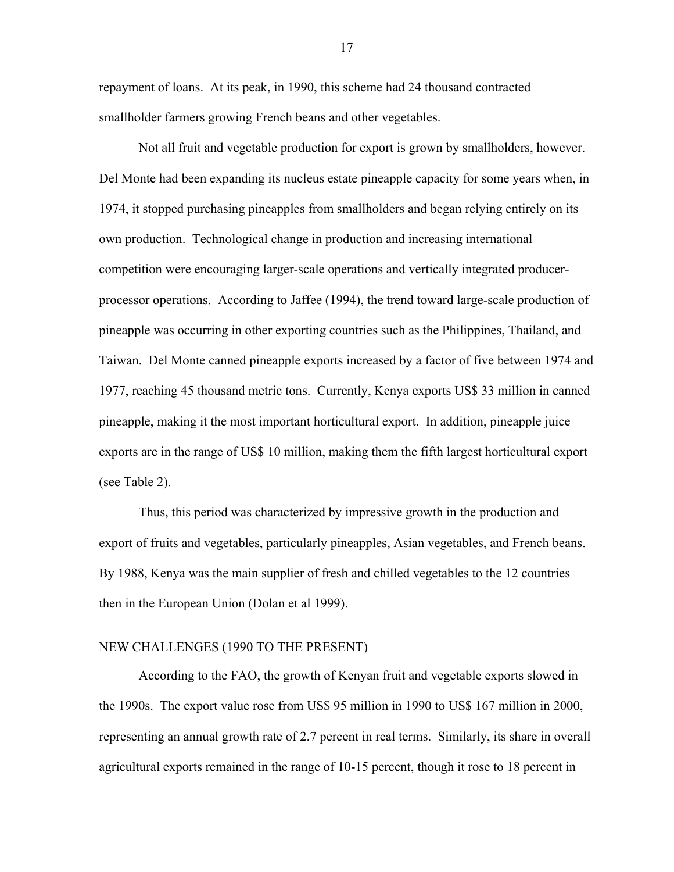repayment of loans. At its peak, in 1990, this scheme had 24 thousand contracted smallholder farmers growing French beans and other vegetables.

Not all fruit and vegetable production for export is grown by smallholders, however. Del Monte had been expanding its nucleus estate pineapple capacity for some years when, in 1974, it stopped purchasing pineapples from smallholders and began relying entirely on its own production. Technological change in production and increasing international competition were encouraging larger-scale operations and vertically integrated producerprocessor operations. According to Jaffee (1994), the trend toward large-scale production of pineapple was occurring in other exporting countries such as the Philippines, Thailand, and Taiwan. Del Monte canned pineapple exports increased by a factor of five between 1974 and 1977, reaching 45 thousand metric tons. Currently, Kenya exports US\$ 33 million in canned pineapple, making it the most important horticultural export. In addition, pineapple juice exports are in the range of US\$ 10 million, making them the fifth largest horticultural export (see Table 2).

Thus, this period was characterized by impressive growth in the production and export of fruits and vegetables, particularly pineapples, Asian vegetables, and French beans. By 1988, Kenya was the main supplier of fresh and chilled vegetables to the 12 countries then in the European Union (Dolan et al 1999).

## NEW CHALLENGES (1990 TO THE PRESENT)

According to the FAO, the growth of Kenyan fruit and vegetable exports slowed in the 1990s. The export value rose from US\$ 95 million in 1990 to US\$ 167 million in 2000, representing an annual growth rate of 2.7 percent in real terms. Similarly, its share in overall agricultural exports remained in the range of 10-15 percent, though it rose to 18 percent in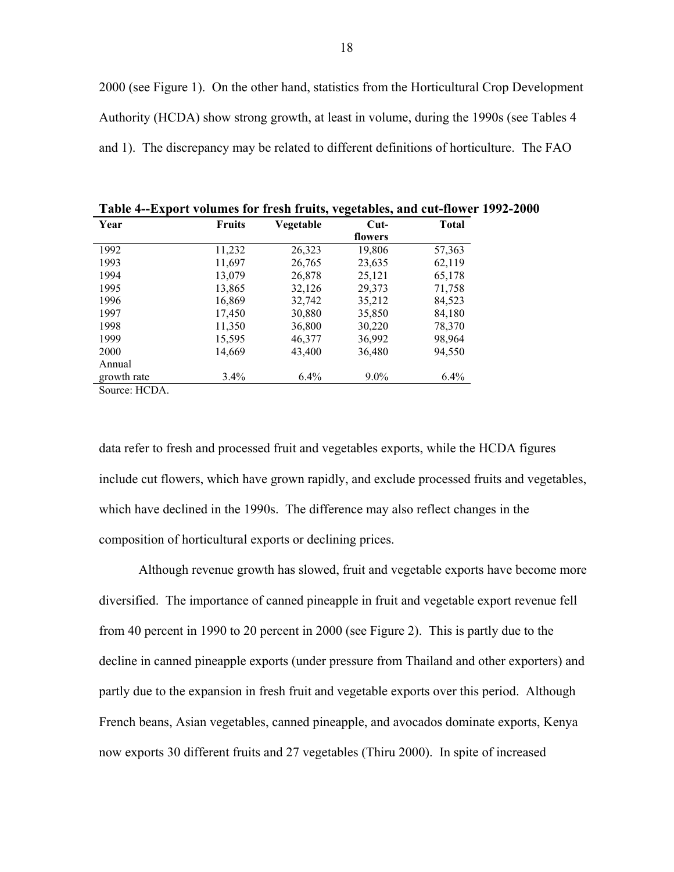2000 (see Figure 1). On the other hand, statistics from the Horticultural Crop Development Authority (HCDA) show strong growth, at least in volume, during the 1990s (see Tables 4 and 1). The discrepancy may be related to different definitions of horticulture. The FAO

| Year        | <b>Fruits</b> | Vegetable | $Cut-$  | <b>Total</b> |
|-------------|---------------|-----------|---------|--------------|
|             |               |           | flowers |              |
| 1992        | 11,232        | 26,323    | 19,806  | 57,363       |
| 1993        | 11,697        | 26,765    | 23,635  | 62,119       |
| 1994        | 13,079        | 26,878    | 25,121  | 65,178       |
| 1995        | 13,865        | 32,126    | 29,373  | 71,758       |
| 1996        | 16,869        | 32,742    | 35,212  | 84,523       |
| 1997        | 17,450        | 30,880    | 35,850  | 84,180       |
| 1998        | 11,350        | 36,800    | 30,220  | 78,370       |
| 1999        | 15,595        | 46,377    | 36,992  | 98,964       |
| 2000        | 14,669        | 43,400    | 36,480  | 94,550       |
| Annual      |               |           |         |              |
| growth rate | 3.4%          | $6.4\%$   | $9.0\%$ | 6.4%         |

**Table 4--Export volumes for fresh fruits, vegetables, and cut-flower 1992-2000** 

Source: HCDA.

data refer to fresh and processed fruit and vegetables exports, while the HCDA figures include cut flowers, which have grown rapidly, and exclude processed fruits and vegetables, which have declined in the 1990s. The difference may also reflect changes in the composition of horticultural exports or declining prices.

Although revenue growth has slowed, fruit and vegetable exports have become more diversified. The importance of canned pineapple in fruit and vegetable export revenue fell from 40 percent in 1990 to 20 percent in 2000 (see Figure 2). This is partly due to the decline in canned pineapple exports (under pressure from Thailand and other exporters) and partly due to the expansion in fresh fruit and vegetable exports over this period. Although French beans, Asian vegetables, canned pineapple, and avocados dominate exports, Kenya now exports 30 different fruits and 27 vegetables (Thiru 2000). In spite of increased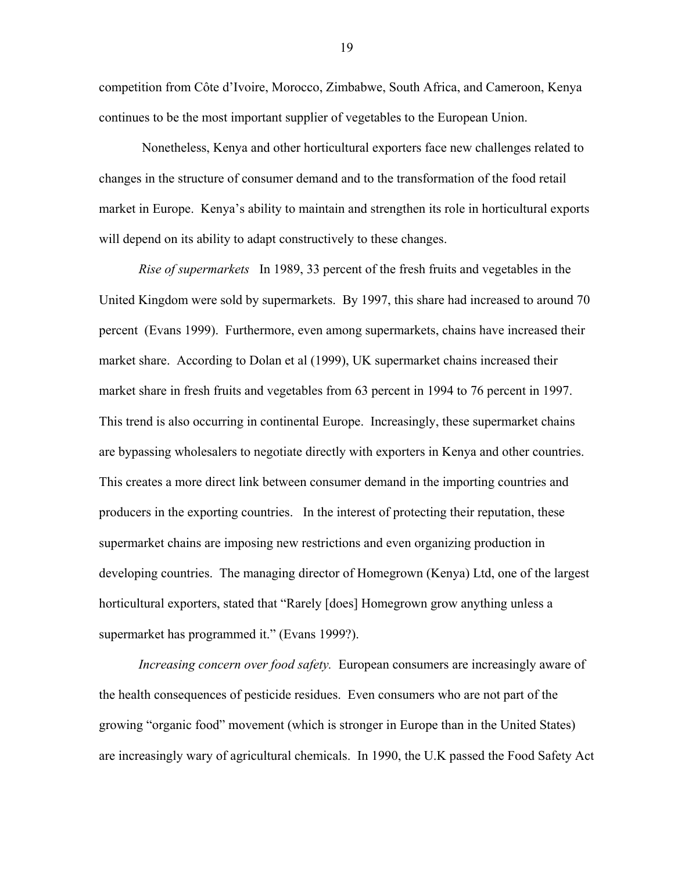competition from Côte d'Ivoire, Morocco, Zimbabwe, South Africa, and Cameroon, Kenya continues to be the most important supplier of vegetables to the European Union.

 Nonetheless, Kenya and other horticultural exporters face new challenges related to changes in the structure of consumer demand and to the transformation of the food retail market in Europe. Kenya's ability to maintain and strengthen its role in horticultural exports will depend on its ability to adapt constructively to these changes.

*Rise of supermarkets* In 1989, 33 percent of the fresh fruits and vegetables in the United Kingdom were sold by supermarkets. By 1997, this share had increased to around 70 percent (Evans 1999). Furthermore, even among supermarkets, chains have increased their market share. According to Dolan et al (1999), UK supermarket chains increased their market share in fresh fruits and vegetables from 63 percent in 1994 to 76 percent in 1997. This trend is also occurring in continental Europe. Increasingly, these supermarket chains are bypassing wholesalers to negotiate directly with exporters in Kenya and other countries. This creates a more direct link between consumer demand in the importing countries and producers in the exporting countries. In the interest of protecting their reputation, these supermarket chains are imposing new restrictions and even organizing production in developing countries. The managing director of Homegrown (Kenya) Ltd, one of the largest horticultural exporters, stated that "Rarely [does] Homegrown grow anything unless a supermarket has programmed it." (Evans 1999?).

*Increasing concern over food safety.* European consumers are increasingly aware of the health consequences of pesticide residues. Even consumers who are not part of the growing "organic food" movement (which is stronger in Europe than in the United States) are increasingly wary of agricultural chemicals. In 1990, the U.K passed the Food Safety Act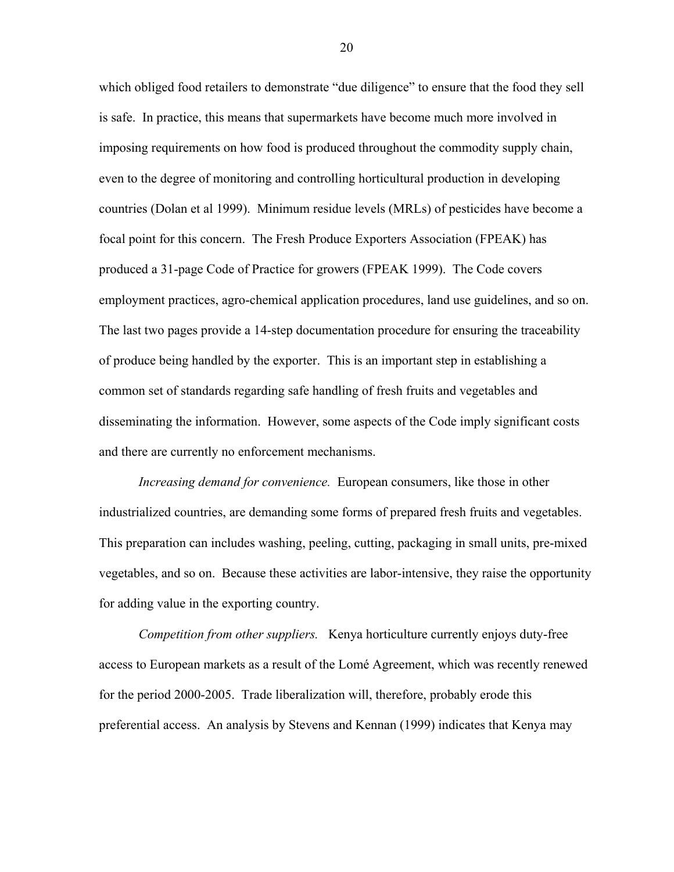which obliged food retailers to demonstrate "due diligence" to ensure that the food they sell is safe. In practice, this means that supermarkets have become much more involved in imposing requirements on how food is produced throughout the commodity supply chain, even to the degree of monitoring and controlling horticultural production in developing countries (Dolan et al 1999). Minimum residue levels (MRLs) of pesticides have become a focal point for this concern. The Fresh Produce Exporters Association (FPEAK) has produced a 31-page Code of Practice for growers (FPEAK 1999). The Code covers employment practices, agro-chemical application procedures, land use guidelines, and so on. The last two pages provide a 14-step documentation procedure for ensuring the traceability of produce being handled by the exporter. This is an important step in establishing a common set of standards regarding safe handling of fresh fruits and vegetables and disseminating the information. However, some aspects of the Code imply significant costs and there are currently no enforcement mechanisms.

*Increasing demand for convenience.* European consumers, like those in other industrialized countries, are demanding some forms of prepared fresh fruits and vegetables. This preparation can includes washing, peeling, cutting, packaging in small units, pre-mixed vegetables, and so on. Because these activities are labor-intensive, they raise the opportunity for adding value in the exporting country.

*Competition from other suppliers.* Kenya horticulture currently enjoys duty-free access to European markets as a result of the LomÈ Agreement, which was recently renewed for the period 2000-2005. Trade liberalization will, therefore, probably erode this preferential access. An analysis by Stevens and Kennan (1999) indicates that Kenya may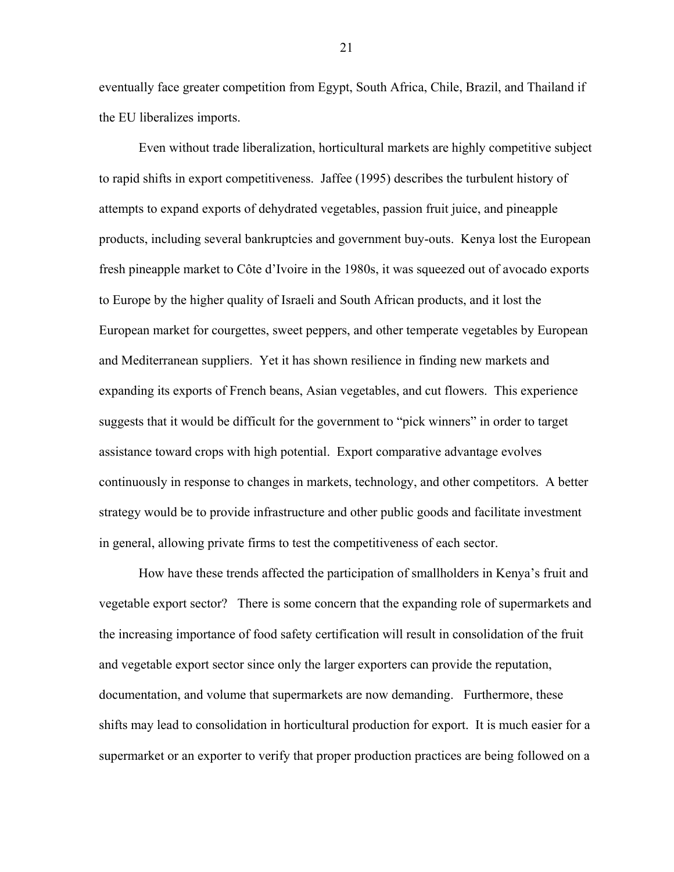eventually face greater competition from Egypt, South Africa, Chile, Brazil, and Thailand if the EU liberalizes imports.

Even without trade liberalization, horticultural markets are highly competitive subject to rapid shifts in export competitiveness. Jaffee (1995) describes the turbulent history of attempts to expand exports of dehydrated vegetables, passion fruit juice, and pineapple products, including several bankruptcies and government buy-outs. Kenya lost the European fresh pineapple market to Côte d'Ivoire in the 1980s, it was squeezed out of avocado exports to Europe by the higher quality of Israeli and South African products, and it lost the European market for courgettes, sweet peppers, and other temperate vegetables by European and Mediterranean suppliers. Yet it has shown resilience in finding new markets and expanding its exports of French beans, Asian vegetables, and cut flowers. This experience suggests that it would be difficult for the government to "pick winners" in order to target assistance toward crops with high potential. Export comparative advantage evolves continuously in response to changes in markets, technology, and other competitors. A better strategy would be to provide infrastructure and other public goods and facilitate investment in general, allowing private firms to test the competitiveness of each sector.

How have these trends affected the participation of smallholders in Kenya's fruit and vegetable export sector? There is some concern that the expanding role of supermarkets and the increasing importance of food safety certification will result in consolidation of the fruit and vegetable export sector since only the larger exporters can provide the reputation, documentation, and volume that supermarkets are now demanding. Furthermore, these shifts may lead to consolidation in horticultural production for export. It is much easier for a supermarket or an exporter to verify that proper production practices are being followed on a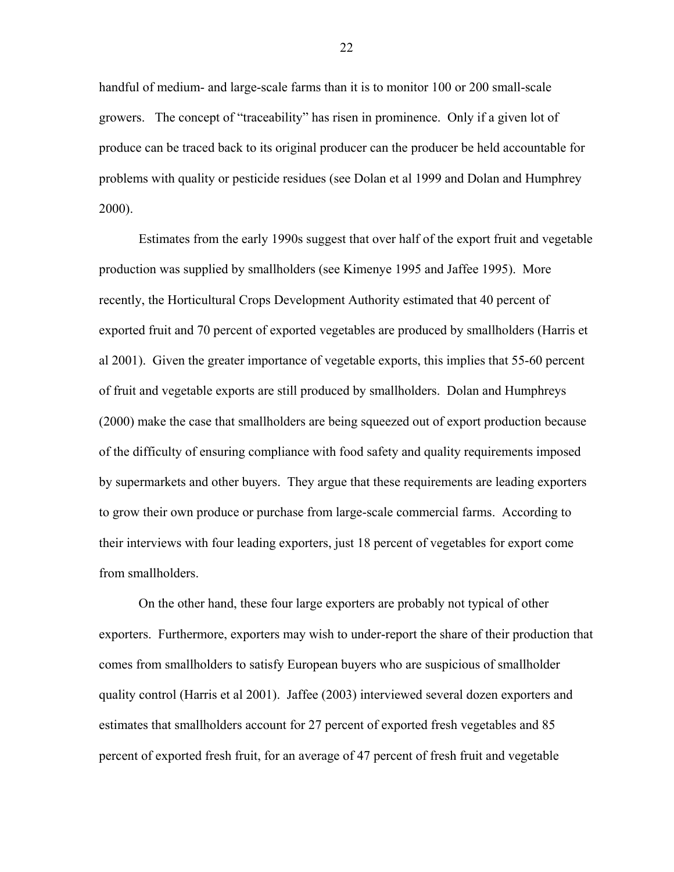handful of medium- and large-scale farms than it is to monitor 100 or 200 small-scale growers. The concept of "traceability" has risen in prominence. Only if a given lot of produce can be traced back to its original producer can the producer be held accountable for problems with quality or pesticide residues (see Dolan et al 1999 and Dolan and Humphrey 2000).

Estimates from the early 1990s suggest that over half of the export fruit and vegetable production was supplied by smallholders (see Kimenye 1995 and Jaffee 1995). More recently, the Horticultural Crops Development Authority estimated that 40 percent of exported fruit and 70 percent of exported vegetables are produced by smallholders (Harris et al 2001). Given the greater importance of vegetable exports, this implies that 55-60 percent of fruit and vegetable exports are still produced by smallholders. Dolan and Humphreys (2000) make the case that smallholders are being squeezed out of export production because of the difficulty of ensuring compliance with food safety and quality requirements imposed by supermarkets and other buyers. They argue that these requirements are leading exporters to grow their own produce or purchase from large-scale commercial farms. According to their interviews with four leading exporters, just 18 percent of vegetables for export come from smallholders.

On the other hand, these four large exporters are probably not typical of other exporters. Furthermore, exporters may wish to under-report the share of their production that comes from smallholders to satisfy European buyers who are suspicious of smallholder quality control (Harris et al 2001). Jaffee (2003) interviewed several dozen exporters and estimates that smallholders account for 27 percent of exported fresh vegetables and 85 percent of exported fresh fruit, for an average of 47 percent of fresh fruit and vegetable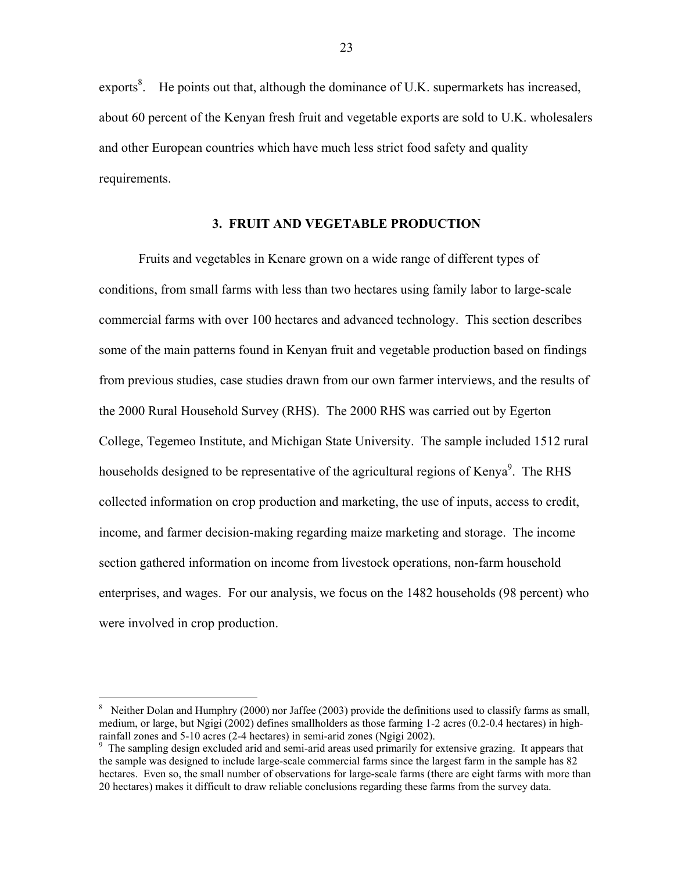exports $\delta$ . He points out that, although the dominance of U.K. supermarkets has increased, about 60 percent of the Kenyan fresh fruit and vegetable exports are sold to U.K. wholesalers and other European countries which have much less strict food safety and quality requirements.

#### **3. FRUIT AND VEGETABLE PRODUCTION**

Fruits and vegetables in Kenare grown on a wide range of different types of conditions, from small farms with less than two hectares using family labor to large-scale commercial farms with over 100 hectares and advanced technology. This section describes some of the main patterns found in Kenyan fruit and vegetable production based on findings from previous studies, case studies drawn from our own farmer interviews, and the results of the 2000 Rural Household Survey (RHS). The 2000 RHS was carried out by Egerton College, Tegemeo Institute, and Michigan State University. The sample included 1512 rural households designed to be representative of the agricultural regions of Kenya $\degree$ . The RHS collected information on crop production and marketing, the use of inputs, access to credit, income, and farmer decision-making regarding maize marketing and storage. The income section gathered information on income from livestock operations, non-farm household enterprises, and wages. For our analysis, we focus on the 1482 households (98 percent) who were involved in crop production.

 $\overline{a}$ 

<sup>8</sup> Neither Dolan and Humphry (2000) nor Jaffee (2003) provide the definitions used to classify farms as small, medium, or large, but Ngigi (2002) defines smallholders as those farming 1-2 acres (0.2-0.4 hectares) in highrainfall zones and 5-10 acres (2-4 hectares) in semi-arid zones (Ngigi 2002).

<sup>&</sup>lt;sup>9</sup> The sampling design excluded arid and semi-arid areas used primarily for extensive grazing. It appears that the sample was designed to include large-scale commercial farms since the largest farm in the sample has 82 hectares. Even so, the small number of observations for large-scale farms (there are eight farms with more than 20 hectares) makes it difficult to draw reliable conclusions regarding these farms from the survey data.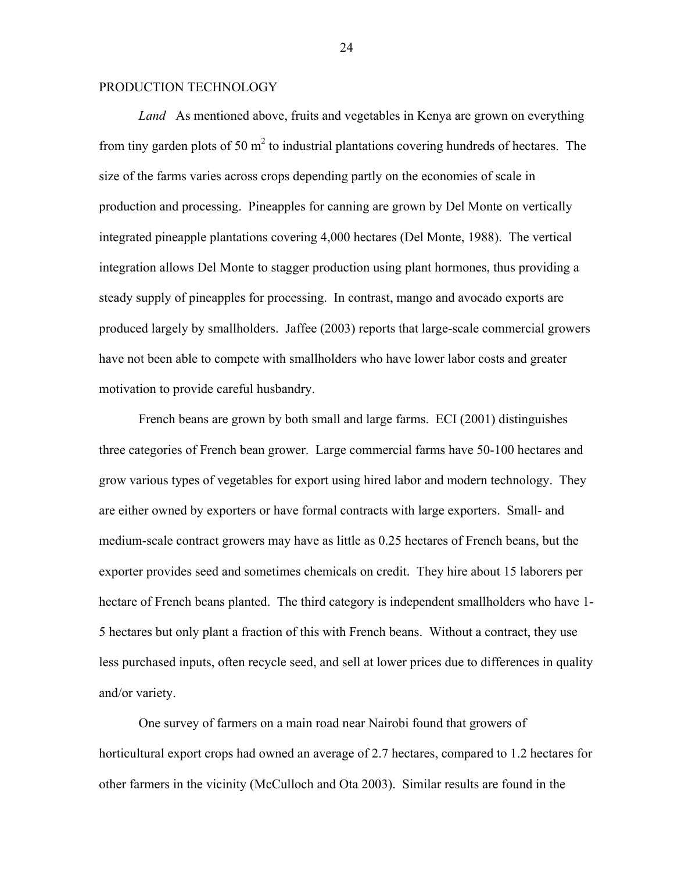#### PRODUCTION TECHNOLOGY

*Land* As mentioned above, fruits and vegetables in Kenya are grown on everything from tiny garden plots of 50  $m<sup>2</sup>$  to industrial plantations covering hundreds of hectares. The size of the farms varies across crops depending partly on the economies of scale in production and processing. Pineapples for canning are grown by Del Monte on vertically integrated pineapple plantations covering 4,000 hectares (Del Monte, 1988). The vertical integration allows Del Monte to stagger production using plant hormones, thus providing a steady supply of pineapples for processing. In contrast, mango and avocado exports are produced largely by smallholders. Jaffee (2003) reports that large-scale commercial growers have not been able to compete with smallholders who have lower labor costs and greater motivation to provide careful husbandry.

French beans are grown by both small and large farms. ECI (2001) distinguishes three categories of French bean grower. Large commercial farms have 50-100 hectares and grow various types of vegetables for export using hired labor and modern technology. They are either owned by exporters or have formal contracts with large exporters. Small- and medium-scale contract growers may have as little as 0.25 hectares of French beans, but the exporter provides seed and sometimes chemicals on credit. They hire about 15 laborers per hectare of French beans planted. The third category is independent smallholders who have 1- 5 hectares but only plant a fraction of this with French beans. Without a contract, they use less purchased inputs, often recycle seed, and sell at lower prices due to differences in quality and/or variety.

One survey of farmers on a main road near Nairobi found that growers of horticultural export crops had owned an average of 2.7 hectares, compared to 1.2 hectares for other farmers in the vicinity (McCulloch and Ota 2003). Similar results are found in the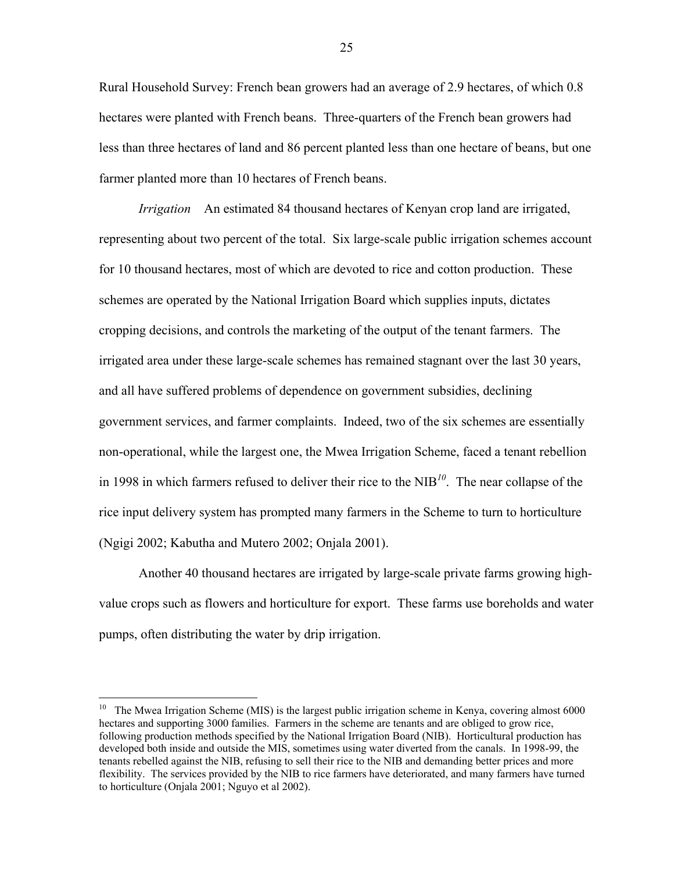Rural Household Survey: French bean growers had an average of 2.9 hectares, of which 0.8 hectares were planted with French beans. Three-quarters of the French bean growers had less than three hectares of land and 86 percent planted less than one hectare of beans, but one farmer planted more than 10 hectares of French beans.

*Irrigation* An estimated 84 thousand hectares of Kenyan crop land are irrigated, representing about two percent of the total. Six large-scale public irrigation schemes account for 10 thousand hectares, most of which are devoted to rice and cotton production. These schemes are operated by the National Irrigation Board which supplies inputs, dictates cropping decisions, and controls the marketing of the output of the tenant farmers. The irrigated area under these large-scale schemes has remained stagnant over the last 30 years, and all have suffered problems of dependence on government subsidies, declining government services, and farmer complaints. Indeed, two of the six schemes are essentially non-operational, while the largest one, the Mwea Irrigation Scheme, faced a tenant rebellion in 1998 in which farmers refused to deliver their rice to the NIB*<sup>10</sup>*. The near collapse of the rice input delivery system has prompted many farmers in the Scheme to turn to horticulture (Ngigi 2002; Kabutha and Mutero 2002; Onjala 2001).

Another 40 thousand hectares are irrigated by large-scale private farms growing highvalue crops such as flowers and horticulture for export. These farms use boreholds and water pumps, often distributing the water by drip irrigation.

 $\overline{a}$ 

<sup>&</sup>lt;sup>10</sup> The Mwea Irrigation Scheme (MIS) is the largest public irrigation scheme in Kenya, covering almost 6000 hectares and supporting 3000 families. Farmers in the scheme are tenants and are obliged to grow rice, following production methods specified by the National Irrigation Board (NIB). Horticultural production has developed both inside and outside the MIS, sometimes using water diverted from the canals. In 1998-99, the tenants rebelled against the NIB, refusing to sell their rice to the NIB and demanding better prices and more flexibility. The services provided by the NIB to rice farmers have deteriorated, and many farmers have turned to horticulture (Onjala 2001; Nguyo et al 2002).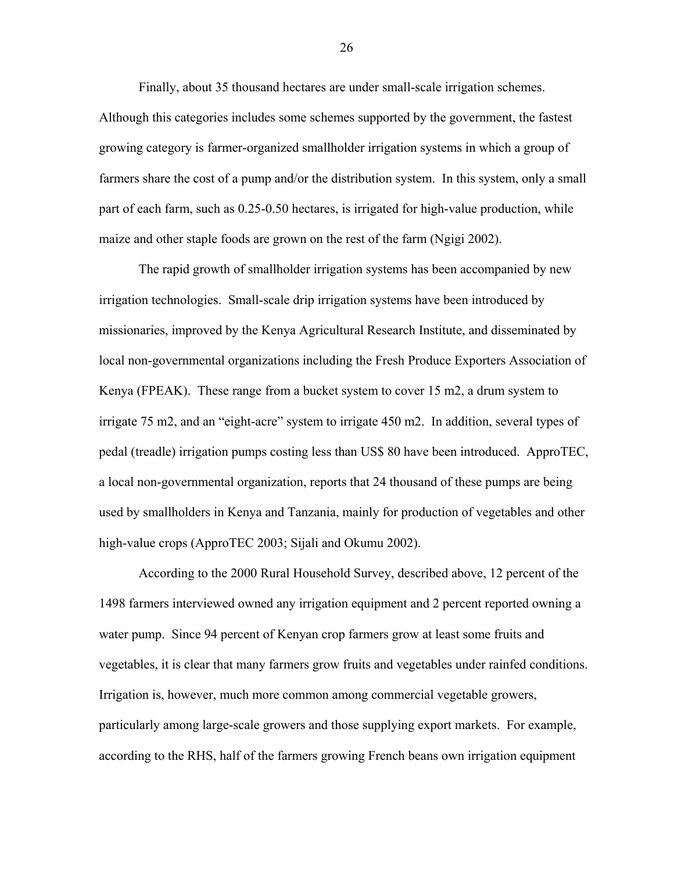Finally, about 35 thousand hectares are under small-scale irrigation schemes. Although this categories includes some schemes supported by the government, the fastest growing category is farmer-organized smallholder irrigation systems in which a group of farmers share the cost of a pump and/or the distribution system. In this system, only a small part of each farm, such as 0.25-0.50 hectares, is irrigated for high-value production, while maize and other staple foods are grown on the rest of the farm (Ngigi 2002).

The rapid growth of smallholder irrigation systems has been accompanied by new irrigation technologies. Small-scale drip irrigation systems have been introduced by missionaries, improved by the Kenya Agricultural Research Institute, and disseminated by local non-governmental organizations including the Fresh Produce Exporters Association of Kenya (FPEAK). These range from a bucket system to cover 15 m2, a drum system to irrigate 75 m2, and an "eight-acre" system to irrigate  $450$  m2. In addition, several types of pedal (treadle) irrigation pumps costing less than US\$ 80 have been introduced. ApproTEC, a local non-governmental organization, reports that 24 thousand of these pumps are being used by smallholders in Kenya and Tanzania, mainly for production of vegetables and other high-value crops (ApproTEC 2003; Sijali and Okumu 2002).

According to the 2000 Rural Household Survey, described above, 12 percent of the 1498 farmers interviewed owned any irrigation equipment and 2 percent reported owning a water pump. Since 94 percent of Kenyan crop farmers grow at least some fruits and vegetables, it is clear that many farmers grow fruits and vegetables under rainfed conditions. Irrigation is, however, much more common among commercial vegetable growers, particularly among large-scale growers and those supplying export markets. For example, according to the RHS, half of the farmers growing French beans own irrigation equipment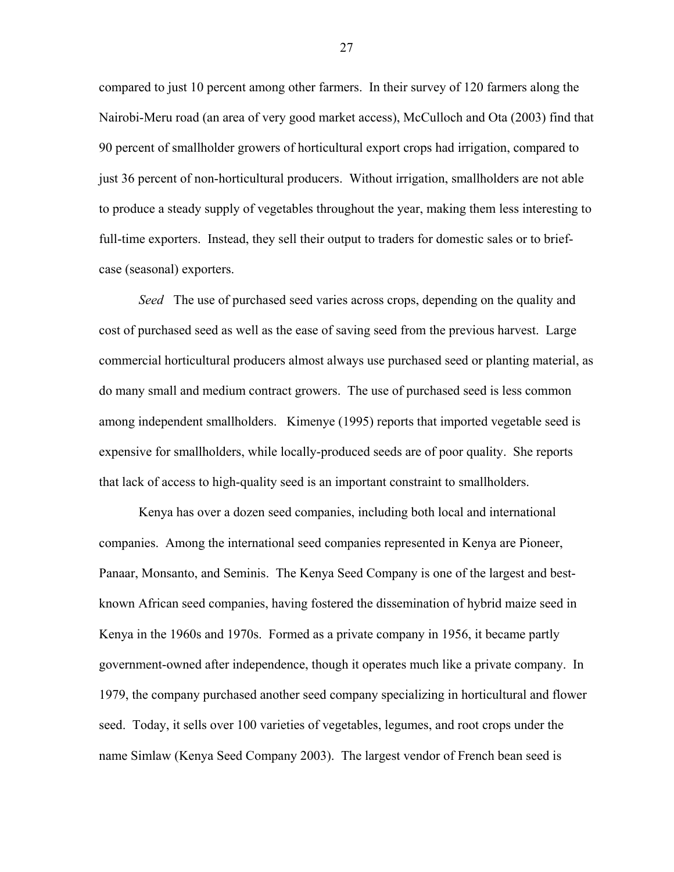compared to just 10 percent among other farmers. In their survey of 120 farmers along the Nairobi-Meru road (an area of very good market access), McCulloch and Ota (2003) find that 90 percent of smallholder growers of horticultural export crops had irrigation, compared to just 36 percent of non-horticultural producers. Without irrigation, smallholders are not able to produce a steady supply of vegetables throughout the year, making them less interesting to full-time exporters. Instead, they sell their output to traders for domestic sales or to briefcase (seasonal) exporters.

*Seed* The use of purchased seed varies across crops, depending on the quality and cost of purchased seed as well as the ease of saving seed from the previous harvest. Large commercial horticultural producers almost always use purchased seed or planting material, as do many small and medium contract growers. The use of purchased seed is less common among independent smallholders. Kimenye (1995) reports that imported vegetable seed is expensive for smallholders, while locally-produced seeds are of poor quality. She reports that lack of access to high-quality seed is an important constraint to smallholders.

Kenya has over a dozen seed companies, including both local and international companies. Among the international seed companies represented in Kenya are Pioneer, Panaar, Monsanto, and Seminis. The Kenya Seed Company is one of the largest and bestknown African seed companies, having fostered the dissemination of hybrid maize seed in Kenya in the 1960s and 1970s. Formed as a private company in 1956, it became partly government-owned after independence, though it operates much like a private company. In 1979, the company purchased another seed company specializing in horticultural and flower seed. Today, it sells over 100 varieties of vegetables, legumes, and root crops under the name Simlaw (Kenya Seed Company 2003). The largest vendor of French bean seed is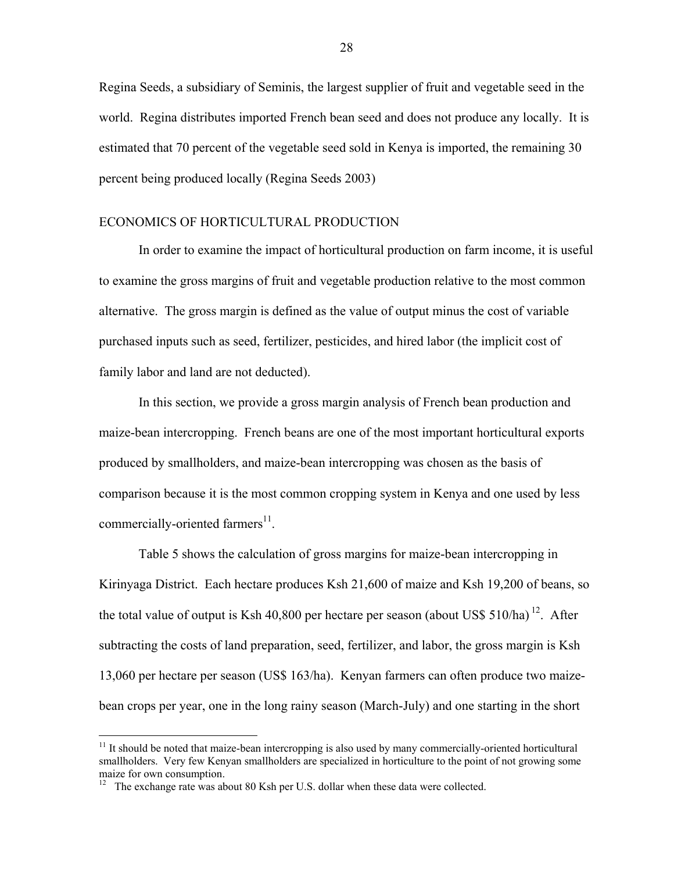Regina Seeds, a subsidiary of Seminis, the largest supplier of fruit and vegetable seed in the world. Regina distributes imported French bean seed and does not produce any locally. It is estimated that 70 percent of the vegetable seed sold in Kenya is imported, the remaining 30 percent being produced locally (Regina Seeds 2003)

## ECONOMICS OF HORTICULTURAL PRODUCTION

In order to examine the impact of horticultural production on farm income, it is useful to examine the gross margins of fruit and vegetable production relative to the most common alternative. The gross margin is defined as the value of output minus the cost of variable purchased inputs such as seed, fertilizer, pesticides, and hired labor (the implicit cost of family labor and land are not deducted).

In this section, we provide a gross margin analysis of French bean production and maize-bean intercropping. French beans are one of the most important horticultural exports produced by smallholders, and maize-bean intercropping was chosen as the basis of comparison because it is the most common cropping system in Kenya and one used by less commercially-oriented farmers $^{11}$ .

Table 5 shows the calculation of gross margins for maize-bean intercropping in Kirinyaga District. Each hectare produces Ksh 21,600 of maize and Ksh 19,200 of beans, so the total value of output is Ksh 40,800 per hectare per season (about US\$ 510/ha)<sup>12</sup>. After subtracting the costs of land preparation, seed, fertilizer, and labor, the gross margin is Ksh 13,060 per hectare per season (US\$ 163/ha). Kenyan farmers can often produce two maizebean crops per year, one in the long rainy season (March-July) and one starting in the short

<u>.</u>

<sup>&</sup>lt;sup>11</sup> It should be noted that maize-bean intercropping is also used by many commercially-oriented horticultural smallholders. Very few Kenyan smallholders are specialized in horticulture to the point of not growing some maize for own consumption.

 $12$  The exchange rate was about 80 Ksh per U.S. dollar when these data were collected.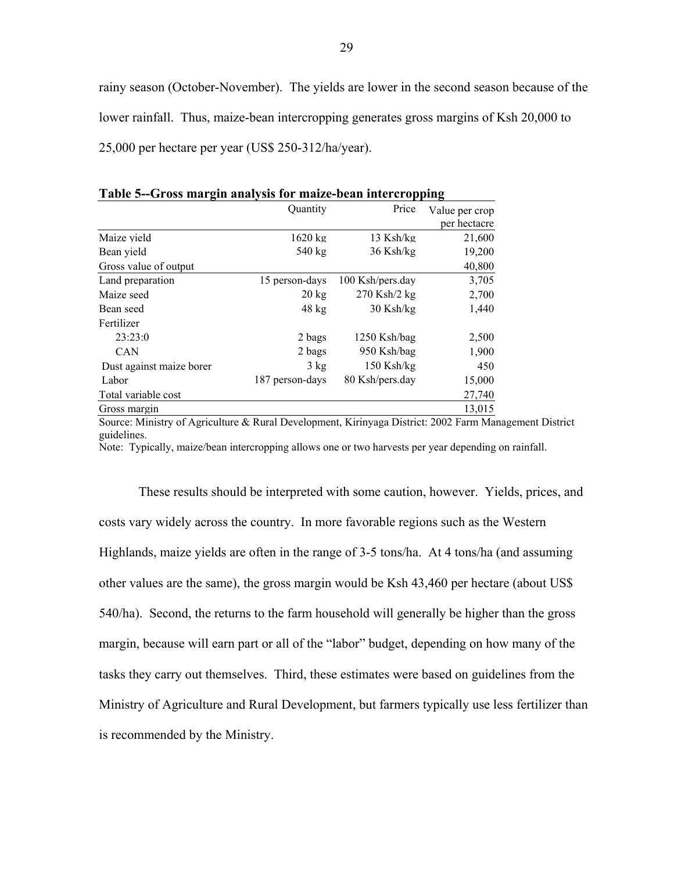rainy season (October-November). The yields are lower in the second season because of the lower rainfall. Thus, maize-bean intercropping generates gross margins of Ksh 20,000 to 25,000 per hectare per year (US\$ 250-312/ha/year).

|                          | Quantity          | Price             | Value per crop<br>per hectacre |
|--------------------------|-------------------|-------------------|--------------------------------|
| Maize yield              | $1620 \text{ kg}$ | $13$ Ksh/kg       | 21.600                         |
| Bean yield               | 540 kg            | $36$ Ksh/kg       | 19,200                         |
| Gross value of output    |                   |                   | 40,800                         |
| Land preparation         | 15 person-days    | 100 Ksh/pers.day  | 3,705                          |
| Maize seed               | $20 \text{ kg}$   | $270$ Ksh $/2$ kg | 2,700                          |
| Bean seed                | $48$ kg           | $30$ Ksh/kg       | 1,440                          |
| Fertilizer               |                   |                   |                                |
| 23:23:0                  | 2 bags            | 1250 Ksh/bag      | 2,500                          |
| <b>CAN</b>               | 2 bags            | 950 Ksh/bag       | 1,900                          |
| Dust against maize borer | $3 \text{ kg}$    | $150$ Ksh/kg      | 450                            |
| Labor                    | 187 person-days   | 80 Ksh/pers.day   | 15,000                         |
| Total variable cost      |                   |                   | 27,740                         |
| Gross margin             |                   |                   | 13,015                         |

**Table 5--Gross margin analysis for maize-bean intercropping** 

Source: Ministry of Agriculture & Rural Development, Kirinyaga District: 2002 Farm Management District guidelines.

Note: Typically, maize/bean intercropping allows one or two harvests per year depending on rainfall.

These results should be interpreted with some caution, however. Yields, prices, and costs vary widely across the country. In more favorable regions such as the Western Highlands, maize yields are often in the range of 3-5 tons/ha. At 4 tons/ha (and assuming other values are the same), the gross margin would be Ksh 43,460 per hectare (about US\$ 540/ha). Second, the returns to the farm household will generally be higher than the gross margin, because will earn part or all of the "labor" budget, depending on how many of the tasks they carry out themselves. Third, these estimates were based on guidelines from the Ministry of Agriculture and Rural Development, but farmers typically use less fertilizer than is recommended by the Ministry.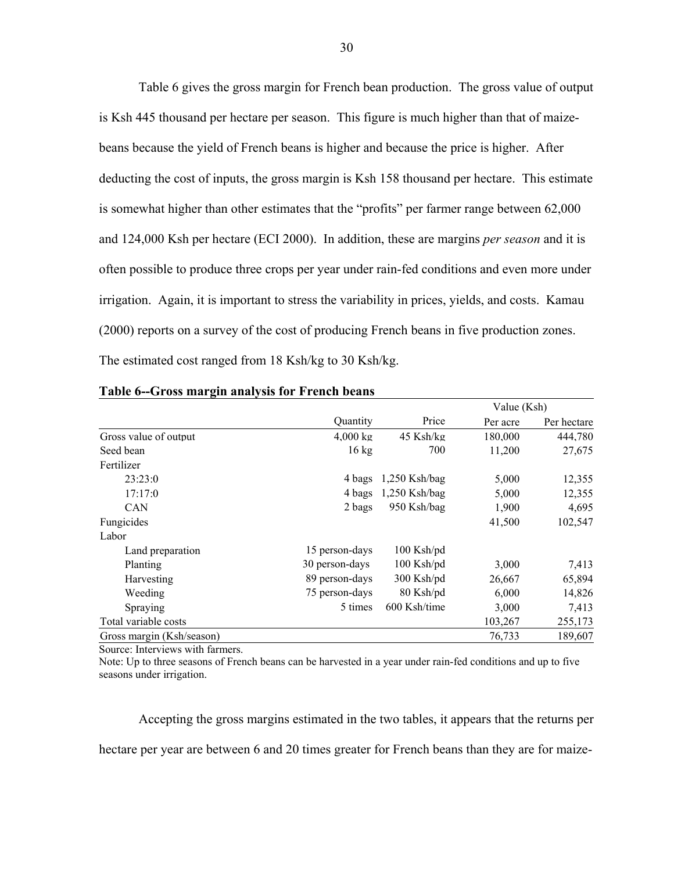Table 6 gives the gross margin for French bean production. The gross value of output is Ksh 445 thousand per hectare per season. This figure is much higher than that of maizebeans because the yield of French beans is higher and because the price is higher. After deducting the cost of inputs, the gross margin is Ksh 158 thousand per hectare. This estimate is somewhat higher than other estimates that the "profits" per farmer range between 62,000 and 124,000 Ksh per hectare (ECI 2000). In addition, these are margins *per season* and it is often possible to produce three crops per year under rain-fed conditions and even more under irrigation. Again, it is important to stress the variability in prices, yields, and costs. Kamau (2000) reports on a survey of the cost of producing French beans in five production zones. The estimated cost ranged from 18 Ksh/kg to 30 Ksh/kg.

|                           |                    |                 | Value (Ksh) |             |
|---------------------------|--------------------|-----------------|-------------|-------------|
|                           | Quantity           | Price           | Per acre    | Per hectare |
| Gross value of output     | $4,000 \text{ kg}$ | $45$ Ksh/kg     | 180,000     | 444,780     |
| Seed bean                 | $16 \text{ kg}$    | 700             | 11,200      | 27,675      |
| Fertilizer                |                    |                 |             |             |
| 23:23:0                   | 4 bags             | $1,250$ Ksh/bag | 5,000       | 12,355      |
| 17:17:0                   | 4 bags             | $1,250$ Ksh/bag | 5,000       | 12,355      |
| <b>CAN</b>                | 2 bags             | 950 Ksh/bag     | 1,900       | 4,695       |
| Fungicides                |                    |                 | 41,500      | 102,547     |
| Labor                     |                    |                 |             |             |
| Land preparation          | 15 person-days     | $100$ Ksh/pd    |             |             |
| Planting                  | 30 person-days     | $100$ Ksh/pd    | 3,000       | 7,413       |
| Harvesting                | 89 person-days     | 300 Ksh/pd      | 26,667      | 65,894      |
| Weeding                   | 75 person-days     | 80 Ksh/pd       | 6,000       | 14,826      |
| Spraying                  | 5 times            | 600 Ksh/time    | 3,000       | 7,413       |
| Total variable costs      |                    |                 | 103,267     | 255,173     |
| Gross margin (Ksh/season) |                    |                 | 76,733      | 189,607     |

#### **Table 6--Gross margin analysis for French beans**

Source: Interviews with farmers.

Note: Up to three seasons of French beans can be harvested in a year under rain-fed conditions and up to five seasons under irrigation.

Accepting the gross margins estimated in the two tables, it appears that the returns per hectare per year are between 6 and 20 times greater for French beans than they are for maize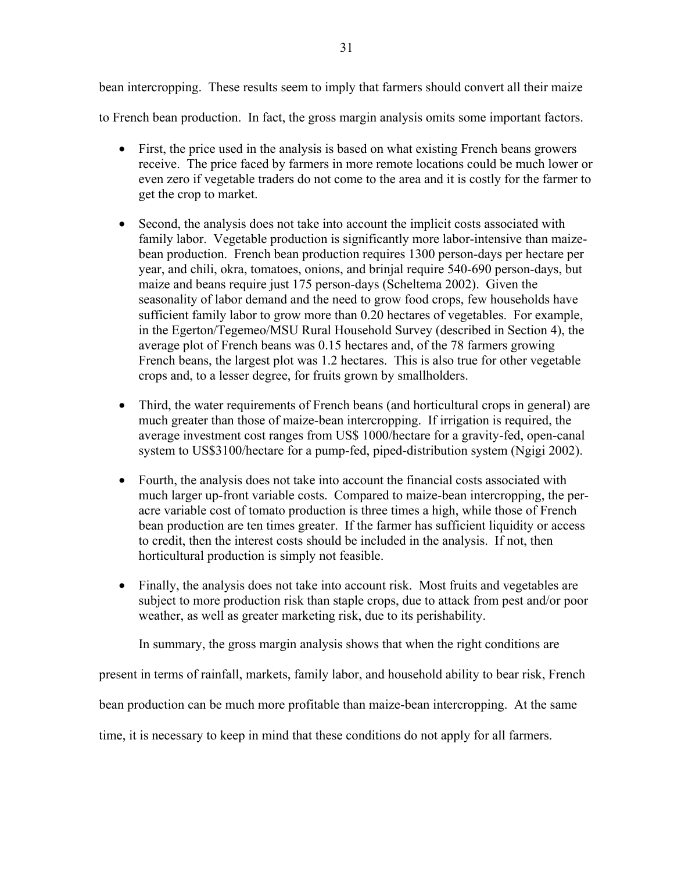bean intercropping. These results seem to imply that farmers should convert all their maize

to French bean production. In fact, the gross margin analysis omits some important factors.

- First, the price used in the analysis is based on what existing French beans growers receive. The price faced by farmers in more remote locations could be much lower or even zero if vegetable traders do not come to the area and it is costly for the farmer to get the crop to market.
- Second, the analysis does not take into account the implicit costs associated with family labor. Vegetable production is significantly more labor-intensive than maizebean production. French bean production requires 1300 person-days per hectare per year, and chili, okra, tomatoes, onions, and brinjal require 540-690 person-days, but maize and beans require just 175 person-days (Scheltema 2002). Given the seasonality of labor demand and the need to grow food crops, few households have sufficient family labor to grow more than 0.20 hectares of vegetables. For example, in the Egerton/Tegemeo/MSU Rural Household Survey (described in Section 4), the average plot of French beans was 0.15 hectares and, of the 78 farmers growing French beans, the largest plot was 1.2 hectares. This is also true for other vegetable crops and, to a lesser degree, for fruits grown by smallholders.
- Third, the water requirements of French beans (and horticultural crops in general) are much greater than those of maize-bean intercropping. If irrigation is required, the average investment cost ranges from US\$ 1000/hectare for a gravity-fed, open-canal system to US\$3100/hectare for a pump-fed, piped-distribution system (Ngigi 2002).
- Fourth, the analysis does not take into account the financial costs associated with much larger up-front variable costs. Compared to maize-bean intercropping, the peracre variable cost of tomato production is three times a high, while those of French bean production are ten times greater. If the farmer has sufficient liquidity or access to credit, then the interest costs should be included in the analysis. If not, then horticultural production is simply not feasible.
- Finally, the analysis does not take into account risk. Most fruits and vegetables are subject to more production risk than staple crops, due to attack from pest and/or poor weather, as well as greater marketing risk, due to its perishability.

In summary, the gross margin analysis shows that when the right conditions are

present in terms of rainfall, markets, family labor, and household ability to bear risk, French

bean production can be much more profitable than maize-bean intercropping. At the same

time, it is necessary to keep in mind that these conditions do not apply for all farmers.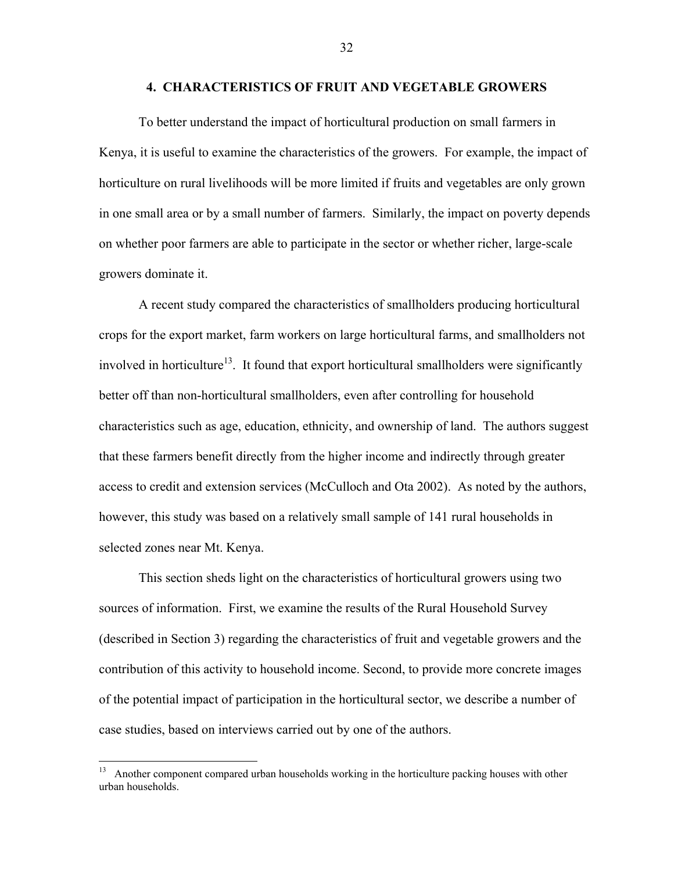#### **4. CHARACTERISTICS OF FRUIT AND VEGETABLE GROWERS**

To better understand the impact of horticultural production on small farmers in Kenya, it is useful to examine the characteristics of the growers. For example, the impact of horticulture on rural livelihoods will be more limited if fruits and vegetables are only grown in one small area or by a small number of farmers. Similarly, the impact on poverty depends on whether poor farmers are able to participate in the sector or whether richer, large-scale growers dominate it.

A recent study compared the characteristics of smallholders producing horticultural crops for the export market, farm workers on large horticultural farms, and smallholders not involved in horticulture<sup>13</sup>. It found that export horticultural smallholders were significantly better off than non-horticultural smallholders, even after controlling for household characteristics such as age, education, ethnicity, and ownership of land. The authors suggest that these farmers benefit directly from the higher income and indirectly through greater access to credit and extension services (McCulloch and Ota 2002). As noted by the authors, however, this study was based on a relatively small sample of 141 rural households in selected zones near Mt. Kenya.

This section sheds light on the characteristics of horticultural growers using two sources of information. First, we examine the results of the Rural Household Survey (described in Section 3) regarding the characteristics of fruit and vegetable growers and the contribution of this activity to household income. Second, to provide more concrete images of the potential impact of participation in the horticultural sector, we describe a number of case studies, based on interviews carried out by one of the authors.

Another component compared urban households working in the horticulture packing houses with other urban households.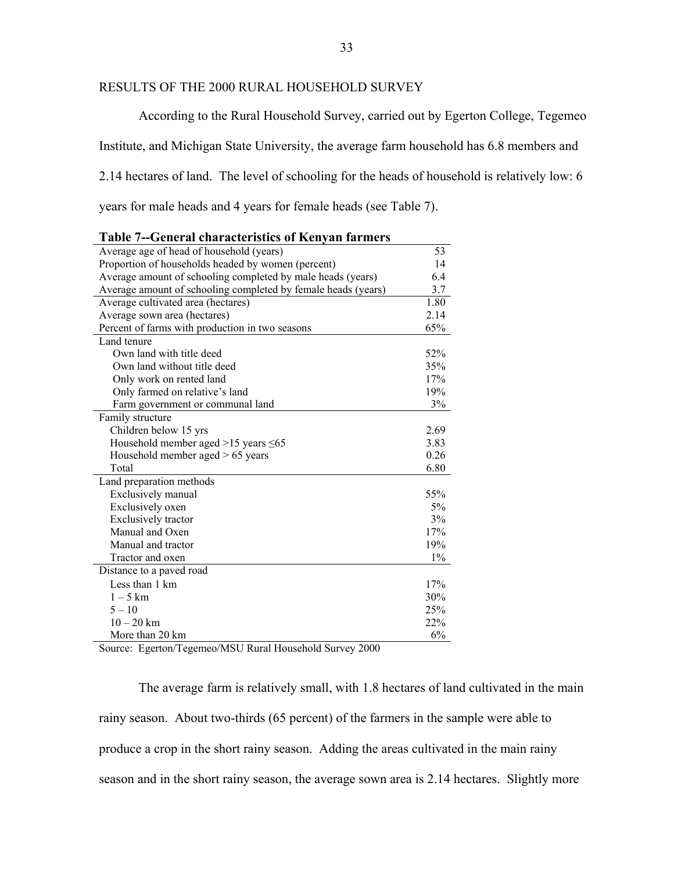## RESULTS OF THE 2000 RURAL HOUSEHOLD SURVEY

According to the Rural Household Survey, carried out by Egerton College, Tegemeo Institute, and Michigan State University, the average farm household has 6.8 members and 2.14 hectares of land. The level of schooling for the heads of household is relatively low: 6

years for male heads and 4 years for female heads (see Table 7).

| Table 7--General characteristics of Kenyah iarmers            |       |
|---------------------------------------------------------------|-------|
| Average age of head of household (years)                      | 53    |
| Proportion of households headed by women (percent)            | 14    |
| Average amount of schooling completed by male heads (years)   | 6.4   |
| Average amount of schooling completed by female heads (years) | 3.7   |
| Average cultivated area (hectares)                            | 1.80  |
| Average sown area (hectares)                                  | 2.14  |
| Percent of farms with production in two seasons               | 65%   |
| Land tenure                                                   |       |
| Own land with title deed                                      | 52%   |
| Own land without title deed                                   | 35%   |
| Only work on rented land                                      | 17%   |
| Only farmed on relative's land                                | 19%   |
| Farm government or communal land                              | 3%    |
| Family structure                                              |       |
| Children below 15 yrs                                         | 2.69  |
| Household member aged $>15$ years $\leq 65$                   | 3.83  |
| Household member aged $> 65$ years                            | 0.26  |
| Total                                                         | 6.80  |
| Land preparation methods                                      |       |
| Exclusively manual                                            | 55%   |
| Exclusively oxen                                              | 5%    |
| <b>Exclusively tractor</b>                                    | 3%    |
| Manual and Oxen                                               | 17%   |
| Manual and tractor                                            | 19%   |
| Tractor and oxen                                              | $1\%$ |
| Distance to a paved road                                      |       |
| Less than 1 km                                                | 17%   |
| $1-5$ km                                                      | 30%   |
| $5 - 10$                                                      | 25%   |
| $10 - 20$ km                                                  | 22%   |
| More than 20 km                                               | 6%    |

| <b>Table 7--General characteristics of Kenyan farmers</b> |
|-----------------------------------------------------------|
|-----------------------------------------------------------|

Source: Egerton/Tegemeo/MSU Rural Household Survey 2000

The average farm is relatively small, with 1.8 hectares of land cultivated in the main rainy season. About two-thirds (65 percent) of the farmers in the sample were able to produce a crop in the short rainy season. Adding the areas cultivated in the main rainy season and in the short rainy season, the average sown area is 2.14 hectares. Slightly more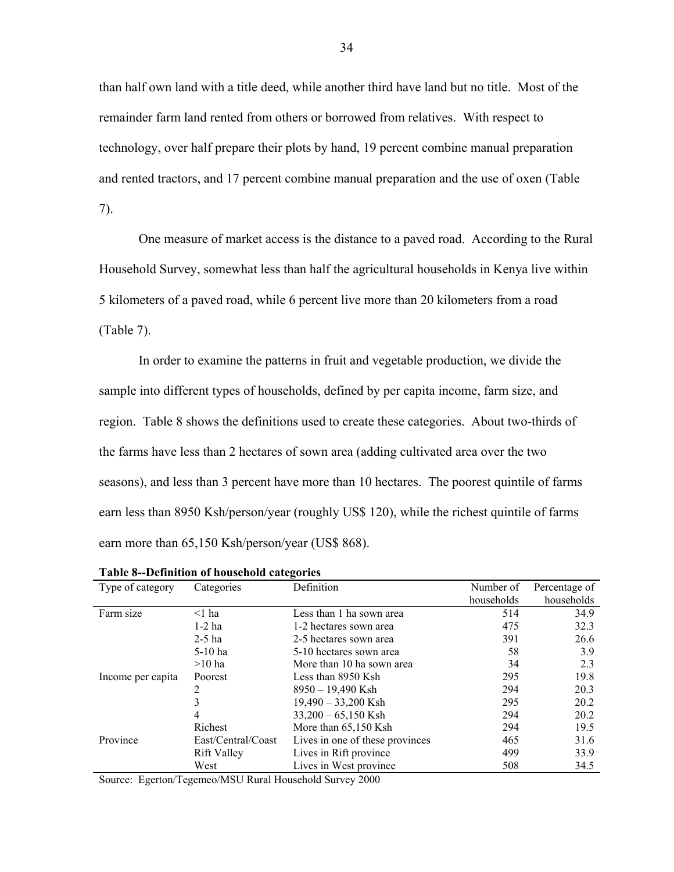than half own land with a title deed, while another third have land but no title. Most of the remainder farm land rented from others or borrowed from relatives. With respect to technology, over half prepare their plots by hand, 19 percent combine manual preparation and rented tractors, and 17 percent combine manual preparation and the use of oxen (Table 7).

One measure of market access is the distance to a paved road. According to the Rural Household Survey, somewhat less than half the agricultural households in Kenya live within 5 kilometers of a paved road, while 6 percent live more than 20 kilometers from a road (Table 7).

In order to examine the patterns in fruit and vegetable production, we divide the sample into different types of households, defined by per capita income, farm size, and region. Table 8 shows the definitions used to create these categories. About two-thirds of the farms have less than 2 hectares of sown area (adding cultivated area over the two seasons), and less than 3 percent have more than 10 hectares. The poorest quintile of farms earn less than 8950 Ksh/person/year (roughly US\$ 120), while the richest quintile of farms earn more than 65,150 Ksh/person/year (US\$ 868).

| Type of category  | Categories         | Definition                      | Number of  | Percentage of |
|-------------------|--------------------|---------------------------------|------------|---------------|
|                   |                    |                                 | households | households    |
| Farm size         | $\leq$ 1 ha        | Less than 1 ha sown area        | 514        | 34.9          |
|                   | $1-2$ ha           | 1-2 hectares sown area          | 475        | 32.3          |
|                   | $2-5$ ha           | 2-5 hectares sown area          | 391        | 26.6          |
|                   | $5-10$ ha          | 5-10 hectares sown area         | 58         | 3.9           |
|                   | $>10$ ha           | More than 10 ha sown area       | 34         | 2.3           |
| Income per capita | Poorest            | Less than 8950 Ksh              | 295        | 19.8          |
|                   |                    | $8950 - 19,490$ Ksh             | 294        | 20.3          |
|                   |                    | $19,490 - 33,200$ Ksh           | 295        | 20.2          |
|                   | 4                  | $33,200 - 65,150$ Ksh           | 294        | 20.2          |
|                   | Richest            | More than $65,150$ Ksh          | 294        | 19.5          |
| Province          | East/Central/Coast | Lives in one of these provinces | 465        | 31.6          |
|                   | <b>Rift Valley</b> | Lives in Rift province          | 499        | 33.9          |
|                   | West               | Lives in West province          | 508        | 34.5          |

**Table 8--Definition of household categories** 

Source: Egerton/Tegemeo/MSU Rural Household Survey 2000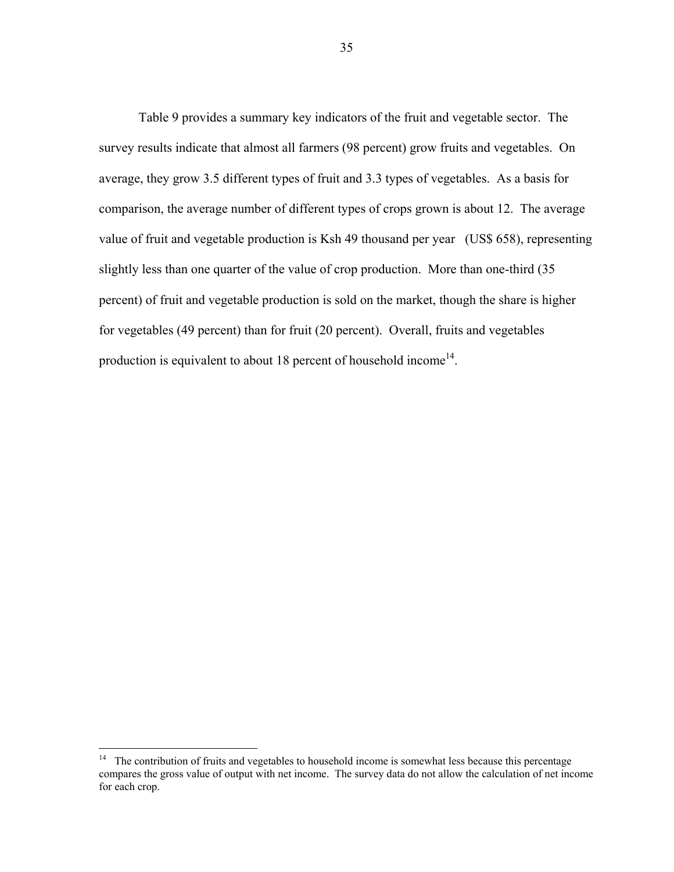Table 9 provides a summary key indicators of the fruit and vegetable sector. The survey results indicate that almost all farmers (98 percent) grow fruits and vegetables. On average, they grow 3.5 different types of fruit and 3.3 types of vegetables. As a basis for comparison, the average number of different types of crops grown is about 12. The average value of fruit and vegetable production is Ksh 49 thousand per year (US\$ 658), representing slightly less than one quarter of the value of crop production. More than one-third (35 percent) of fruit and vegetable production is sold on the market, though the share is higher for vegetables (49 percent) than for fruit (20 percent). Overall, fruits and vegetables production is equivalent to about 18 percent of household income<sup>14</sup>.

 $\overline{a}$ 

 $14$  The contribution of fruits and vegetables to household income is somewhat less because this percentage compares the gross value of output with net income. The survey data do not allow the calculation of net income for each crop.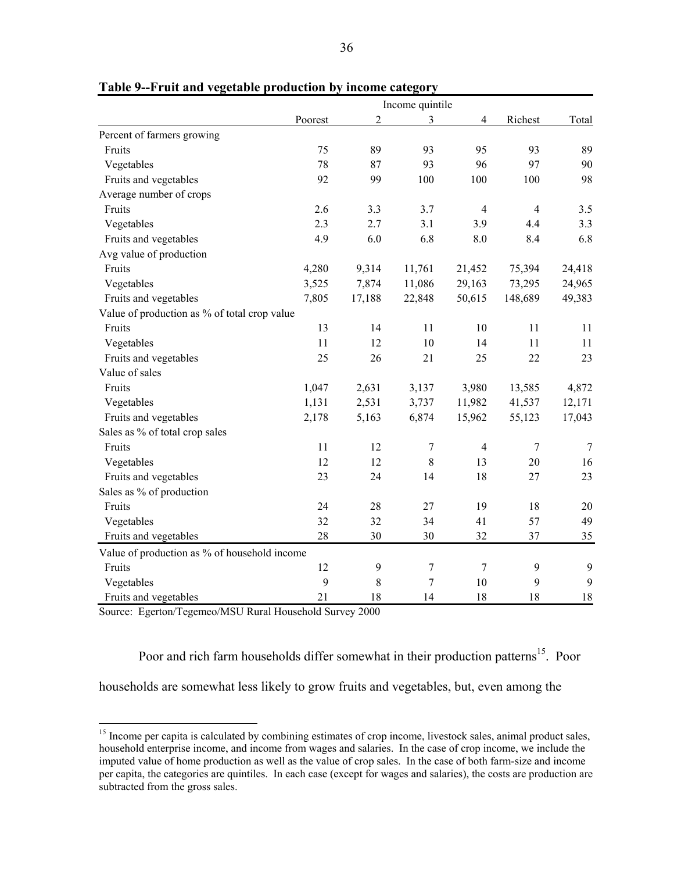|                                              | Income quintile |                |             |                |                |                  |  |  |
|----------------------------------------------|-----------------|----------------|-------------|----------------|----------------|------------------|--|--|
|                                              | Poorest         | $\overline{2}$ | 3           | $\overline{4}$ | Richest        | Total            |  |  |
| Percent of farmers growing                   |                 |                |             |                |                |                  |  |  |
| Fruits                                       | 75              | 89             | 93          | 95             | 93             | 89               |  |  |
| Vegetables                                   | 78              | 87             | 93          | 96             | 97             | 90               |  |  |
| Fruits and vegetables                        | 92              | 99             | 100         | 100            | 100            | 98               |  |  |
| Average number of crops                      |                 |                |             |                |                |                  |  |  |
| Fruits                                       | 2.6             | 3.3            | 3.7         | $\overline{4}$ | $\overline{4}$ | 3.5              |  |  |
| Vegetables                                   | 2.3             | 2.7            | 3.1         | 3.9            | 4.4            | 3.3              |  |  |
| Fruits and vegetables                        | 4.9             | 6.0            | 6.8         | 8.0            | 8.4            | 6.8              |  |  |
| Avg value of production                      |                 |                |             |                |                |                  |  |  |
| Fruits                                       | 4,280           | 9,314          | 11,761      | 21,452         | 75,394         | 24,418           |  |  |
| Vegetables                                   | 3,525           | 7,874          | 11,086      | 29,163         | 73,295         | 24,965           |  |  |
| Fruits and vegetables                        | 7,805           | 17,188         | 22,848      | 50,615         | 148,689        | 49,383           |  |  |
| Value of production as % of total crop value |                 |                |             |                |                |                  |  |  |
| Fruits                                       | 13              | 14             | 11          | 10             | 11             | 11               |  |  |
| Vegetables                                   | 11              | 12             | 10          | 14             | 11             | 11               |  |  |
| Fruits and vegetables                        | 25              | 26             | 21          | 25             | 22             | 23               |  |  |
| Value of sales                               |                 |                |             |                |                |                  |  |  |
| Fruits                                       | 1,047           | 2,631          | 3,137       | 3,980          | 13,585         | 4,872            |  |  |
| Vegetables                                   | 1,131           | 2,531          | 3,737       | 11,982         | 41,537         | 12,171           |  |  |
| Fruits and vegetables                        | 2,178           | 5,163          | 6,874       | 15,962         | 55,123         | 17,043           |  |  |
| Sales as % of total crop sales               |                 |                |             |                |                |                  |  |  |
| Fruits                                       | 11              | 12             | 7           | $\overline{4}$ | 7              | 7                |  |  |
| Vegetables                                   | 12              | 12             | $\,$ 8 $\,$ | 13             | 20             | 16               |  |  |
| Fruits and vegetables                        | 23              | 24             | 14          | 18             | 27             | 23               |  |  |
| Sales as % of production                     |                 |                |             |                |                |                  |  |  |
| Fruits                                       | 24              | 28             | 27          | 19             | 18             | 20               |  |  |
| Vegetables                                   | 32              | 32             | 34          | 41             | 57             | 49               |  |  |
| Fruits and vegetables                        | 28              | 30             | 30          | 32             | 37             | 35               |  |  |
| Value of production as % of household income |                 |                |             |                |                |                  |  |  |
| Fruits                                       | 12              | 9              | 7           | $\overline{7}$ | 9              | $\boldsymbol{9}$ |  |  |
| Vegetables                                   | 9               | 8              | 7           | 10             | 9              | $\mathbf{9}$     |  |  |
| Fruits and vegetables                        | 21              | 18             | 14          | 18             | 18             | 18               |  |  |

**Table 9--Fruit and vegetable production by income category** 

Source: Egerton/Tegemeo/MSU Rural Household Survey 2000

1

Poor and rich farm households differ somewhat in their production patterns<sup>15</sup>. Poor households are somewhat less likely to grow fruits and vegetables, but, even among the

<sup>&</sup>lt;sup>15</sup> Income per capita is calculated by combining estimates of crop income, livestock sales, animal product sales, household enterprise income, and income from wages and salaries. In the case of crop income, we include the imputed value of home production as well as the value of crop sales. In the case of both farm-size and income per capita, the categories are quintiles. In each case (except for wages and salaries), the costs are production are subtracted from the gross sales.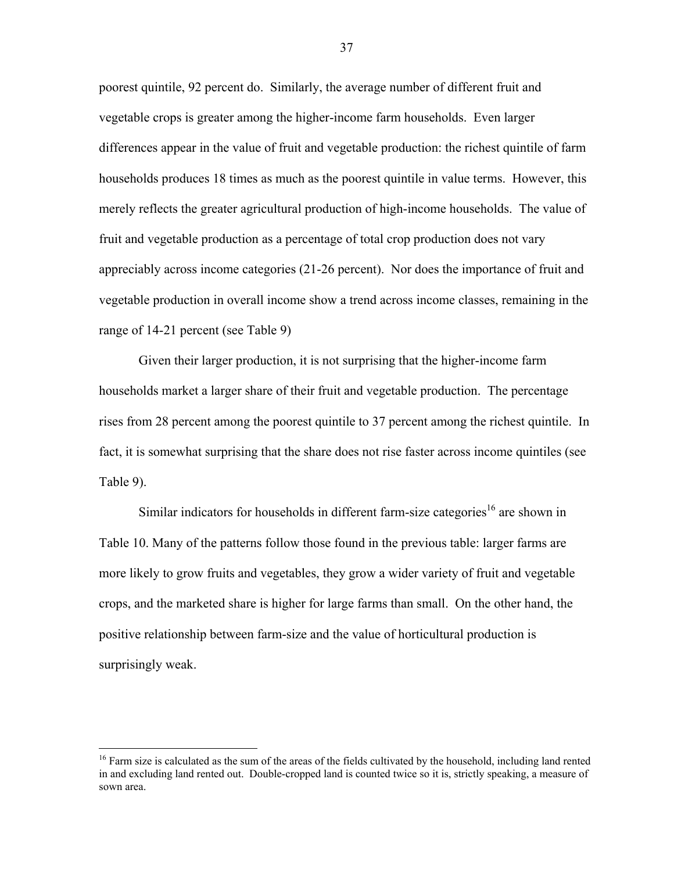poorest quintile, 92 percent do. Similarly, the average number of different fruit and vegetable crops is greater among the higher-income farm households. Even larger differences appear in the value of fruit and vegetable production: the richest quintile of farm households produces 18 times as much as the poorest quintile in value terms. However, this merely reflects the greater agricultural production of high-income households. The value of fruit and vegetable production as a percentage of total crop production does not vary appreciably across income categories (21-26 percent). Nor does the importance of fruit and vegetable production in overall income show a trend across income classes, remaining in the range of 14-21 percent (see Table 9)

Given their larger production, it is not surprising that the higher-income farm households market a larger share of their fruit and vegetable production. The percentage rises from 28 percent among the poorest quintile to 37 percent among the richest quintile. In fact, it is somewhat surprising that the share does not rise faster across income quintiles (see Table 9).

Similar indicators for households in different farm-size categories<sup>16</sup> are shown in Table 10. Many of the patterns follow those found in the previous table: larger farms are more likely to grow fruits and vegetables, they grow a wider variety of fruit and vegetable crops, and the marketed share is higher for large farms than small. On the other hand, the positive relationship between farm-size and the value of horticultural production is surprisingly weak.

 $\overline{a}$ 

<sup>&</sup>lt;sup>16</sup> Farm size is calculated as the sum of the areas of the fields cultivated by the household, including land rented in and excluding land rented out. Double-cropped land is counted twice so it is, strictly speaking, a measure of sown area.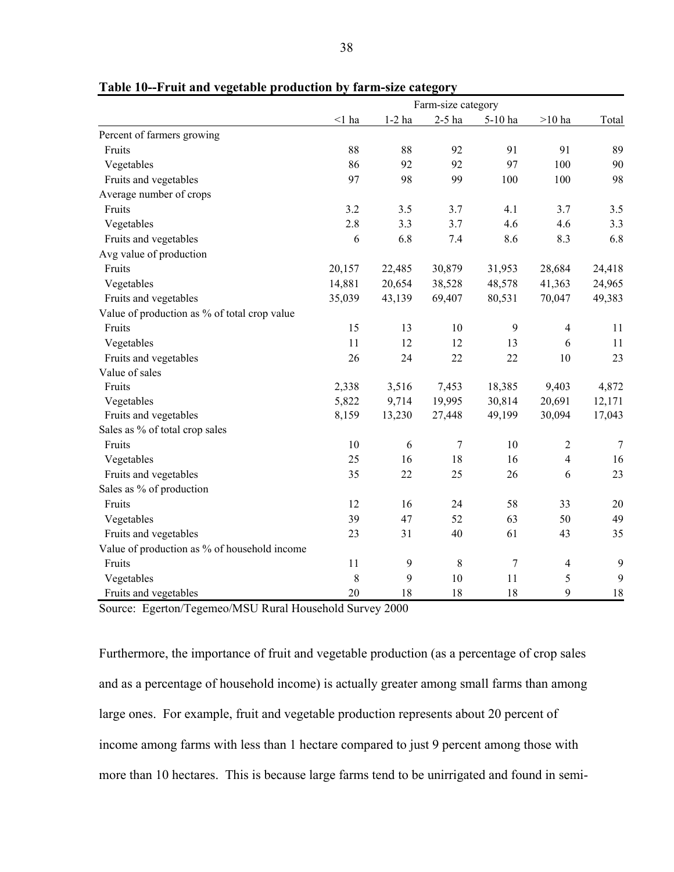|                                              |          |              | Farm-size category |         |                |        |
|----------------------------------------------|----------|--------------|--------------------|---------|----------------|--------|
|                                              | $<$ 1 ha | $1-2$ ha     | $2-5$ ha           | 5-10 ha | $>10$ ha       | Total  |
| Percent of farmers growing                   |          |              |                    |         |                |        |
| Fruits                                       | 88       | 88           | 92                 | 91      | 91             | 89     |
| Vegetables                                   | 86       | 92           | 92                 | 97      | 100            | 90     |
| Fruits and vegetables                        | 97       | 98           | 99                 | 100     | 100            | 98     |
| Average number of crops                      |          |              |                    |         |                |        |
| Fruits                                       | 3.2      | 3.5          | 3.7                | 4.1     | 3.7            | 3.5    |
| Vegetables                                   | 2.8      | 3.3          | 3.7                | 4.6     | 4.6            | 3.3    |
| Fruits and vegetables                        | 6        | 6.8          | 7.4                | 8.6     | 8.3            | 6.8    |
| Avg value of production                      |          |              |                    |         |                |        |
| Fruits                                       | 20,157   | 22,485       | 30,879             | 31,953  | 28,684         | 24,418 |
| Vegetables                                   | 14,881   | 20,654       | 38,528             | 48,578  | 41,363         | 24,965 |
| Fruits and vegetables                        | 35,039   | 43,139       | 69,407             | 80,531  | 70,047         | 49,383 |
| Value of production as % of total crop value |          |              |                    |         |                |        |
| Fruits                                       | 15       | 13           | 10                 | 9       | $\overline{4}$ | 11     |
| Vegetables                                   | 11       | 12           | 12                 | 13      | 6              | 11     |
| Fruits and vegetables                        | 26       | 24           | 22                 | 22      | 10             | 23     |
| Value of sales                               |          |              |                    |         |                |        |
| Fruits                                       | 2,338    | 3,516        | 7,453              | 18,385  | 9,403          | 4,872  |
| Vegetables                                   | 5,822    | 9,714        | 19,995             | 30,814  | 20,691         | 12,171 |
| Fruits and vegetables                        | 8,159    | 13,230       | 27,448             | 49,199  | 30,094         | 17,043 |
| Sales as % of total crop sales               |          |              |                    |         |                |        |
| Fruits                                       | 10       | $\sqrt{6}$   | 7                  | 10      | $\overline{2}$ | $\tau$ |
| Vegetables                                   | 25       | 16           | 18                 | 16      | $\overline{4}$ | 16     |
| Fruits and vegetables                        | 35       | 22           | 25                 | 26      | 6              | 23     |
| Sales as % of production                     |          |              |                    |         |                |        |
| Fruits                                       | 12       | 16           | 24                 | 58      | 33             | 20     |
| Vegetables                                   | 39       | 47           | 52                 | 63      | 50             | 49     |
| Fruits and vegetables                        | 23       | 31           | 40                 | 61      | 43             | 35     |
| Value of production as % of household income |          |              |                    |         |                |        |
| Fruits                                       | 11       | $\mathbf{9}$ | 8                  | $\tau$  | $\overline{4}$ | 9      |
| Vegetables                                   | 8        | 9            | 10                 | 11      | 5              | 9      |
| Fruits and vegetables                        | 20       | 18           | 18                 | 18      | 9              | 18     |

|  |  | Table 10--Fruit and vegetable production by farm-size category |  |  |
|--|--|----------------------------------------------------------------|--|--|
|  |  |                                                                |  |  |

Source: Egerton/Tegemeo/MSU Rural Household Survey 2000

Furthermore, the importance of fruit and vegetable production (as a percentage of crop sales and as a percentage of household income) is actually greater among small farms than among large ones. For example, fruit and vegetable production represents about 20 percent of income among farms with less than 1 hectare compared to just 9 percent among those with more than 10 hectares. This is because large farms tend to be unirrigated and found in semi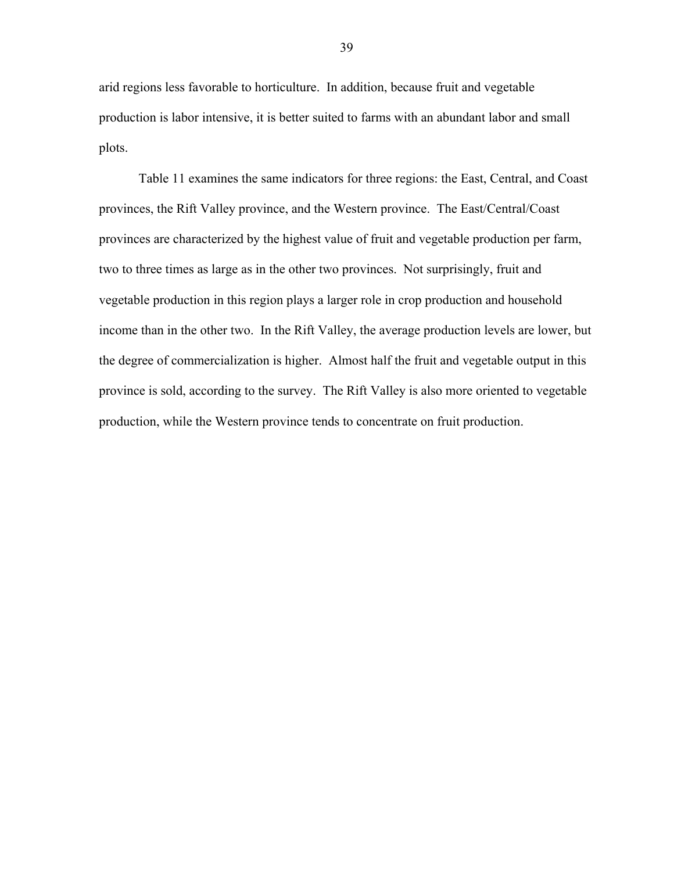arid regions less favorable to horticulture. In addition, because fruit and vegetable production is labor intensive, it is better suited to farms with an abundant labor and small plots.

Table 11 examines the same indicators for three regions: the East, Central, and Coast provinces, the Rift Valley province, and the Western province. The East/Central/Coast provinces are characterized by the highest value of fruit and vegetable production per farm, two to three times as large as in the other two provinces. Not surprisingly, fruit and vegetable production in this region plays a larger role in crop production and household income than in the other two. In the Rift Valley, the average production levels are lower, but the degree of commercialization is higher. Almost half the fruit and vegetable output in this province is sold, according to the survey. The Rift Valley is also more oriented to vegetable production, while the Western province tends to concentrate on fruit production.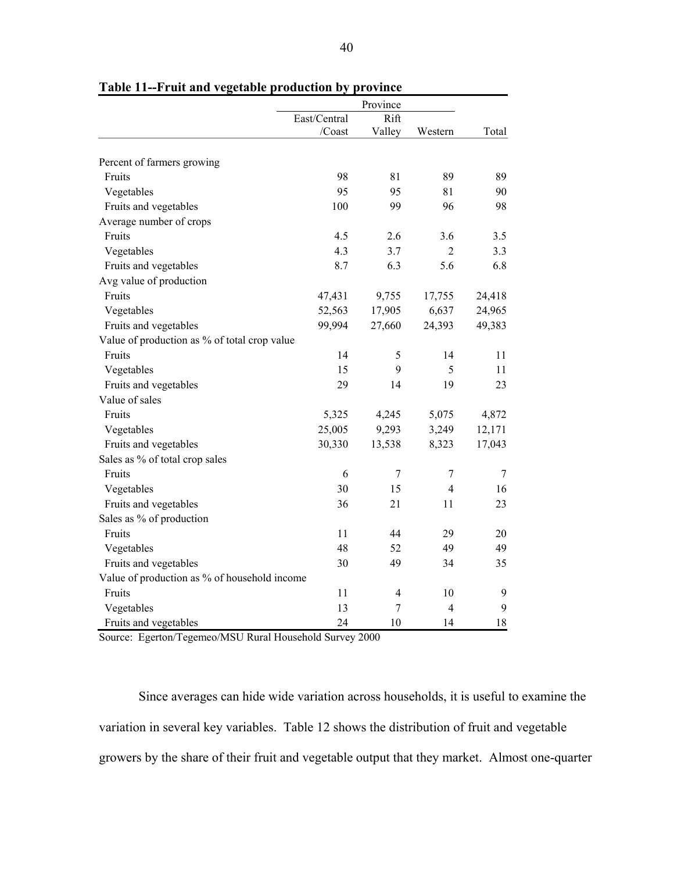|                                              | East/Central | Rift   |                |        |
|----------------------------------------------|--------------|--------|----------------|--------|
|                                              | /Coast       | Valley | Western        | Total  |
| Percent of farmers growing                   |              |        |                |        |
| Fruits                                       | 98           | 81     | 89             | 89     |
| Vegetables                                   | 95           | 95     | 81             | 90     |
| Fruits and vegetables                        | 100          | 99     | 96             | 98     |
| Average number of crops                      |              |        |                |        |
| Fruits                                       | 4.5          | 2.6    | 3.6            | 3.5    |
| Vegetables                                   | 4.3          | 3.7    | $\overline{2}$ | 3.3    |
| Fruits and vegetables                        | 8.7          | 6.3    | 5.6            | 6.8    |
| Avg value of production                      |              |        |                |        |
| Fruits                                       | 47,431       | 9,755  | 17,755         | 24,418 |
| Vegetables                                   | 52,563       | 17,905 | 6,637          | 24,965 |
| Fruits and vegetables                        | 99,994       | 27,660 | 24,393         | 49,383 |
| Value of production as % of total crop value |              |        |                |        |
| Fruits                                       | 14           | 5      | 14             | 11     |
| Vegetables                                   | 15           | 9      | 5              | 11     |
| Fruits and vegetables                        | 29           | 14     | 19             | 23     |
| Value of sales                               |              |        |                |        |
| Fruits                                       | 5,325        | 4,245  | 5,075          | 4,872  |
| Vegetables                                   | 25,005       | 9,293  | 3,249          | 12,171 |
| Fruits and vegetables                        | 30,330       | 13,538 | 8,323          | 17,043 |
| Sales as % of total crop sales               |              |        |                |        |
| Fruits                                       | 6            | 7      | $\tau$         | 7      |
| Vegetables                                   | 30           | 15     | 4              | 16     |
| Fruits and vegetables                        | 36           | 21     | 11             | 23     |
| Sales as % of production                     |              |        |                |        |
| Fruits                                       | 11           | 44     | 29             | 20     |
| Vegetables                                   | 48           | 52     | 49             | 49     |
| Fruits and vegetables                        | 30           | 49     | 34             | 35     |
| Value of production as % of household income |              |        |                |        |
| Fruits                                       | 11           | 4      | 10             | 9      |
| Vegetables                                   | 13           | 7      | $\overline{4}$ | 9      |
| Fruits and vegetables                        | 24           | 10     | 14             | 18     |

**Table 11--Fruit and vegetable production by province** 

Source: Egerton/Tegemeo/MSU Rural Household Survey 2000

Since averages can hide wide variation across households, it is useful to examine the variation in several key variables. Table 12 shows the distribution of fruit and vegetable growers by the share of their fruit and vegetable output that they market. Almost one-quarter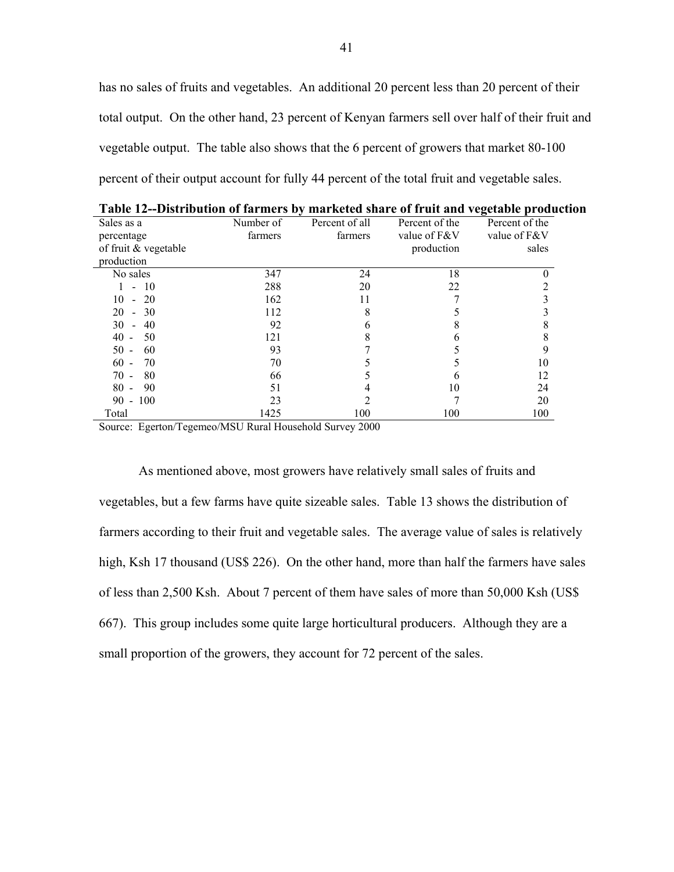has no sales of fruits and vegetables. An additional 20 percent less than 20 percent of their total output. On the other hand, 23 percent of Kenyan farmers sell over half of their fruit and vegetable output. The table also shows that the 6 percent of growers that market 80-100 percent of their output account for fully 44 percent of the total fruit and vegetable sales.

| <i><u><b>BRUTHOMMON</b></u></i> OF IMP |           |                |                | $\mathbf{r}$   |
|----------------------------------------|-----------|----------------|----------------|----------------|
| Sales as a                             | Number of | Percent of all | Percent of the | Percent of the |
| percentage                             | farmers   | farmers        | value of F&V   | value of F&V   |
| of fruit & vegetable                   |           |                | production     | sales          |
| production                             |           |                |                |                |
| No sales                               | 347       | 24             | 18             |                |
| 10                                     | 288       | 20             | 22             | າ              |
| 20<br>10                               | 162       | 11             |                |                |
| 20<br>30<br>$\blacksquare$             | 112       | 8              |                |                |
| 30<br>40                               | 92        |                |                |                |
| 40<br>50                               | 121       | 8              | h              | 8              |
| 50<br>60                               | 93        |                |                |                |
| 60<br>70                               | 70        |                |                | 10             |
| 80<br>70                               | 66        |                | h              | 12             |
| 90<br>80                               | 51        |                | 10             | 24             |
| $90 - 100$                             | 23        |                |                | 20             |
| Total                                  | 1425      | 100            | 100            | 100            |

**Table 12--Distribution of farmers by marketed share of fruit and vegetable production** 

Source: Egerton/Tegemeo/MSU Rural Household Survey 2000

As mentioned above, most growers have relatively small sales of fruits and vegetables, but a few farms have quite sizeable sales. Table 13 shows the distribution of farmers according to their fruit and vegetable sales. The average value of sales is relatively high, Ksh 17 thousand (US\$ 226). On the other hand, more than half the farmers have sales of less than 2,500 Ksh. About 7 percent of them have sales of more than 50,000 Ksh (US\$ 667). This group includes some quite large horticultural producers. Although they are a small proportion of the growers, they account for 72 percent of the sales.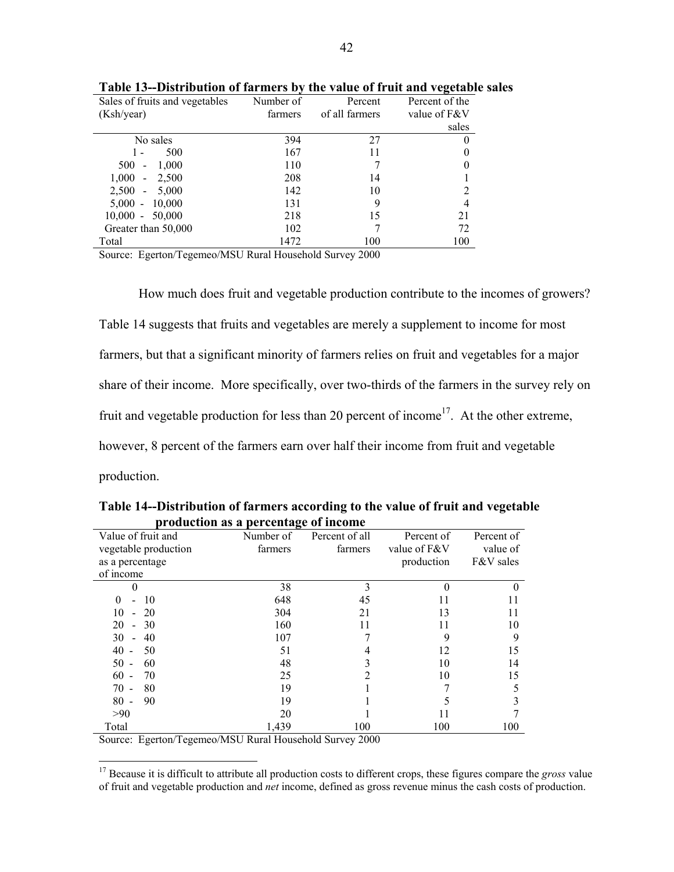| $P$ to the weight of the method $\theta$ |           |                | $\frac{1}{2}$  |
|------------------------------------------|-----------|----------------|----------------|
| Sales of fruits and vegetables           | Number of | Percent        | Percent of the |
| (Ksh/year)                               | farmers   | of all farmers | value of F&V   |
|                                          |           |                | sales          |
| No sales                                 | 394       | 27             |                |
| 500                                      | 167       | 11             |                |
| 500<br>1,000<br>$\blacksquare$           | 110       |                |                |
| 1,000<br>2,500<br>$\sim$                 | 208       | 14             |                |
| $2,500 -$<br>5,000                       | 142       | 10             |                |
| 10,000<br>$5,000 -$                      | 131       | 9              |                |
| $10,000 -$<br>50,000                     | 218       | 15             | 21             |
| Greater than 50,000                      | 102       |                | 72             |
| Total                                    | 1472      | 100            | 100            |

**Table 13--Distribution of farmers by the value of fruit and vegetable sales** 

Source: Egerton/Tegemeo/MSU Rural Household Survey 2000

How much does fruit and vegetable production contribute to the incomes of growers? Table 14 suggests that fruits and vegetables are merely a supplement to income for most farmers, but that a significant minority of farmers relies on fruit and vegetables for a major share of their income. More specifically, over two-thirds of the farmers in the survey rely on fruit and vegetable production for less than 20 percent of income<sup>17</sup>. At the other extreme, however, 8 percent of the farmers earn over half their income from fruit and vegetable production.

| Value of fruit and                         | o<br>Number of | Percent of all | Percent of   | Percent of |
|--------------------------------------------|----------------|----------------|--------------|------------|
| vegetable production                       | farmers        | farmers        | value of F&V | value of   |
| as a percentage                            |                |                | production   | F&V sales  |
| of income                                  |                |                |              |            |
| 0                                          | 38             | 3              |              |            |
| 10<br>$\Omega$<br>$\overline{\phantom{0}}$ | 648            | 45             | 11           | 11         |
| 10<br>20<br>$\overline{a}$                 | 304            | 21             | 13           | 11         |
| 20<br>30<br>$\blacksquare$                 | 160            | 11             | 11           | 10         |
| 30<br>40<br>$\overline{\phantom{a}}$       | 107            |                | 9            | 9          |
| 40<br>50                                   | 51             |                | 12           | 15         |
| 50<br>60                                   | 48             |                | 10           | 14         |
| 60<br>70                                   | 25             |                | 10           | 15         |
| 80<br>70                                   | 19             |                |              |            |
| 90<br>80                                   | 19             |                |              |            |
| >90                                        | 20             |                | 11           |            |
| Total                                      | 1,439          | 100            | 100          | 100        |

**Table 14--Distribution of farmers according to the value of fruit and vegetable production as a percentage of income** 

Source: Egerton/Tegemeo/MSU Rural Household Survey 2000

 $\overline{a}$ 

<sup>17</sup> Because it is difficult to attribute all production costs to different crops, these figures compare the *gross* value of fruit and vegetable production and *net* income, defined as gross revenue minus the cash costs of production.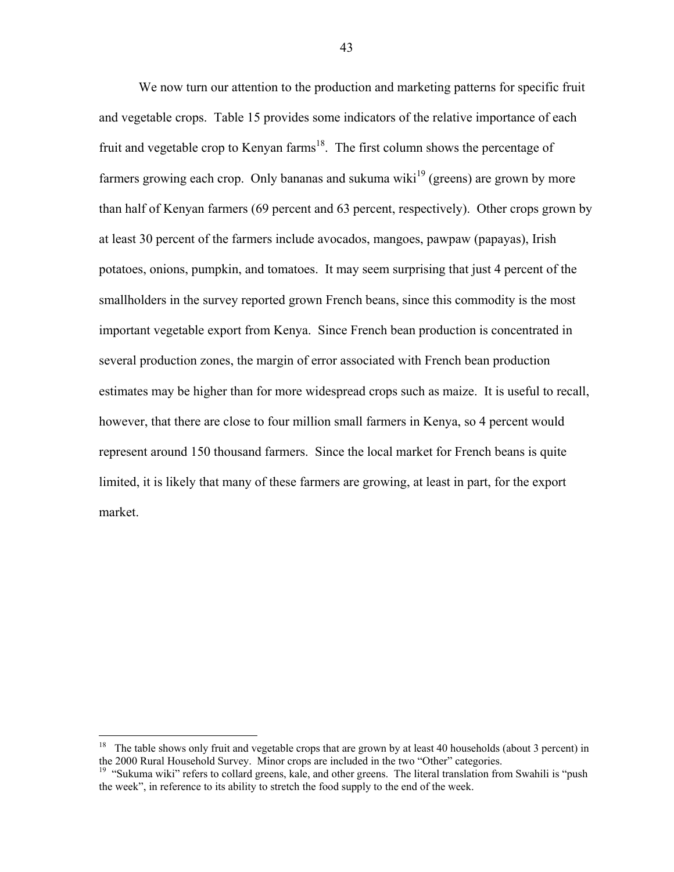We now turn our attention to the production and marketing patterns for specific fruit and vegetable crops. Table 15 provides some indicators of the relative importance of each fruit and vegetable crop to Kenyan farms<sup>18</sup>. The first column shows the percentage of farmers growing each crop. Only bananas and sukuma wiki<sup>19</sup> (greens) are grown by more than half of Kenyan farmers (69 percent and 63 percent, respectively). Other crops grown by at least 30 percent of the farmers include avocados, mangoes, pawpaw (papayas), Irish potatoes, onions, pumpkin, and tomatoes. It may seem surprising that just 4 percent of the smallholders in the survey reported grown French beans, since this commodity is the most important vegetable export from Kenya. Since French bean production is concentrated in several production zones, the margin of error associated with French bean production estimates may be higher than for more widespread crops such as maize. It is useful to recall, however, that there are close to four million small farmers in Kenya, so 4 percent would represent around 150 thousand farmers. Since the local market for French beans is quite limited, it is likely that many of these farmers are growing, at least in part, for the export market.

 $\overline{a}$ 

<sup>&</sup>lt;sup>18</sup> The table shows only fruit and vegetable crops that are grown by at least 40 households (about 3 percent) in the 2000 Rural Household Survey. Minor crops are included in the two "Other" categories.

<sup>&</sup>lt;sup>19</sup> "Sukuma wiki" refers to collard greens, kale, and other greens. The literal translation from Swahili is "push the week", in reference to its ability to stretch the food supply to the end of the week.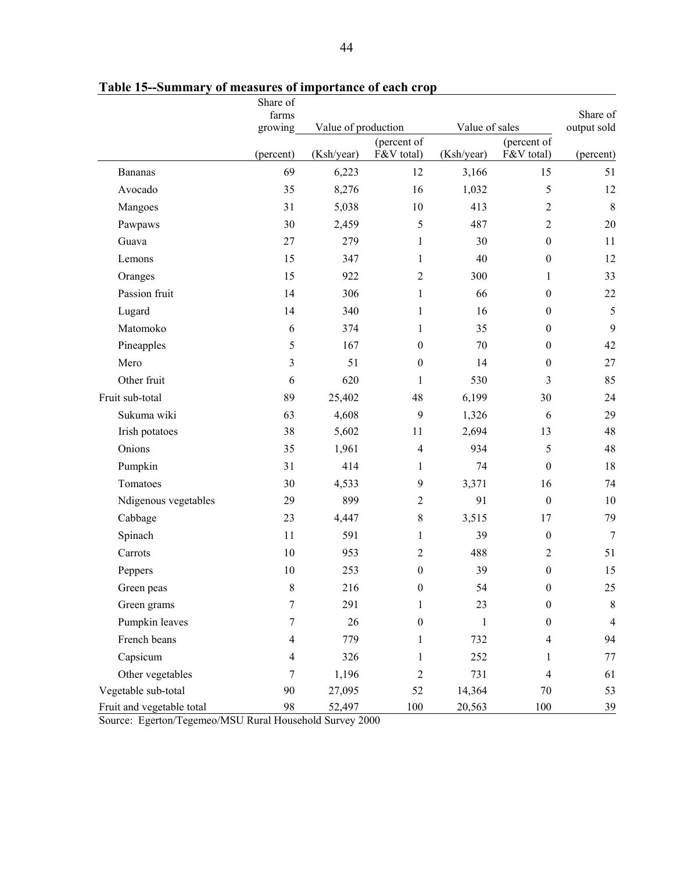|                           | Share of<br>farms        |            |                                       |            |                  | Share of       |
|---------------------------|--------------------------|------------|---------------------------------------|------------|------------------|----------------|
|                           | growing                  |            | Value of sales<br>Value of production |            |                  | output sold    |
|                           |                          |            | (percent of                           |            | (percent of      |                |
|                           | (percent)                | (Ksh/year) | F&V total)                            | (Ksh/year) | F&V total)       | (percent)      |
| <b>Bananas</b>            | 69                       | 6,223      | 12                                    | 3,166      | 15               | 51             |
| Avocado                   | 35                       | 8,276      | 16                                    | 1,032      | 5                | 12             |
| Mangoes                   | 31                       | 5,038      | 10                                    | 413        | 2                | 8              |
| Pawpaws                   | 30                       | 2,459      | $\sqrt{5}$                            | 487        | $\overline{2}$   | 20             |
| Guava                     | 27                       | 279        | $\mathbf{1}$                          | 30         | $\boldsymbol{0}$ | 11             |
| Lemons                    | 15                       | 347        | $\mathbf{1}$                          | 40         | $\boldsymbol{0}$ | 12             |
| Oranges                   | 15                       | 922        | $\overline{2}$                        | 300        | 1                | 33             |
| Passion fruit             | 14                       | 306        | $\mathbf{1}$                          | 66         | $\mathbf{0}$     | 22             |
| Lugard                    | 14                       | 340        | $\mathbf{1}$                          | 16         | $\boldsymbol{0}$ | 5              |
| Matomoko                  | $\epsilon$               | 374        | $\mathbf{1}$                          | 35         | $\boldsymbol{0}$ | 9              |
| Pineapples                | 5                        | 167        | $\boldsymbol{0}$                      | 70         | $\mathbf{0}$     | 42             |
| Mero                      | 3                        | 51         | $\boldsymbol{0}$                      | 14         | $\boldsymbol{0}$ | 27             |
| Other fruit               | 6                        | 620        | $\mathbf{1}$                          | 530        | 3                | 85             |
| Fruit sub-total           | 89                       | 25,402     | 48                                    | 6,199      | 30               | 24             |
| Sukuma wiki               | 63                       | 4,608      | $\mathbf{9}$                          | 1,326      | 6                | 29             |
| Irish potatoes            | 38                       | 5,602      | 11                                    | 2,694      | 13               | 48             |
| Onions                    | 35                       | 1,961      | $\overline{4}$                        | 934        | 5                | 48             |
| Pumpkin                   | 31                       | 414        | $\mathbf{1}$                          | 74         | $\boldsymbol{0}$ | 18             |
| Tomatoes                  | 30                       | 4,533      | 9                                     | 3,371      | 16               | 74             |
| Ndigenous vegetables      | 29                       | 899        | $\overline{2}$                        | 91         | $\boldsymbol{0}$ | 10             |
| Cabbage                   | 23                       | 4,447      | $\,8\,$                               | 3,515      | 17               | 79             |
| Spinach                   | 11                       | 591        | $\mathbf{1}$                          | 39         | $\boldsymbol{0}$ | $\overline{7}$ |
| Carrots                   | 10                       | 953        | $\overline{2}$                        | 488        | $\overline{2}$   | 51             |
| Peppers                   | 10                       | 253        | $\boldsymbol{0}$                      | 39         | $\boldsymbol{0}$ | 15             |
| Green peas                | 8                        | 216        | $\boldsymbol{0}$                      | 54         | $\boldsymbol{0}$ | $25\,$         |
| Green grams               | $\tau$                   | 291        | $\mathbf{1}$                          | 23         | $\boldsymbol{0}$ | $\,8\,$        |
| Pumpkin leaves            | 7                        | 26         | $\boldsymbol{0}$                      | 1          | $\mathbf{0}$     | $\overline{4}$ |
| French beans              | $\overline{4}$           | 779        | 1                                     | 732        | $\overline{4}$   | 94             |
| Capsicum                  | $\overline{\mathcal{A}}$ | 326        | 1                                     | 252        | 1                | 77             |
| Other vegetables          | 7                        | 1,196      | $\sqrt{2}$                            | 731        | $\overline{4}$   | 61             |
| Vegetable sub-total       | 90                       | 27,095     | 52                                    | 14,364     | 70               | 53             |
| Fruit and vegetable total | 98                       | 52,497     | 100                                   | 20,563     | 100              | 39             |

**Table 15--Summary of measures of importance of each crop** 

Source: Egerton/Tegemeo/MSU Rural Household Survey 2000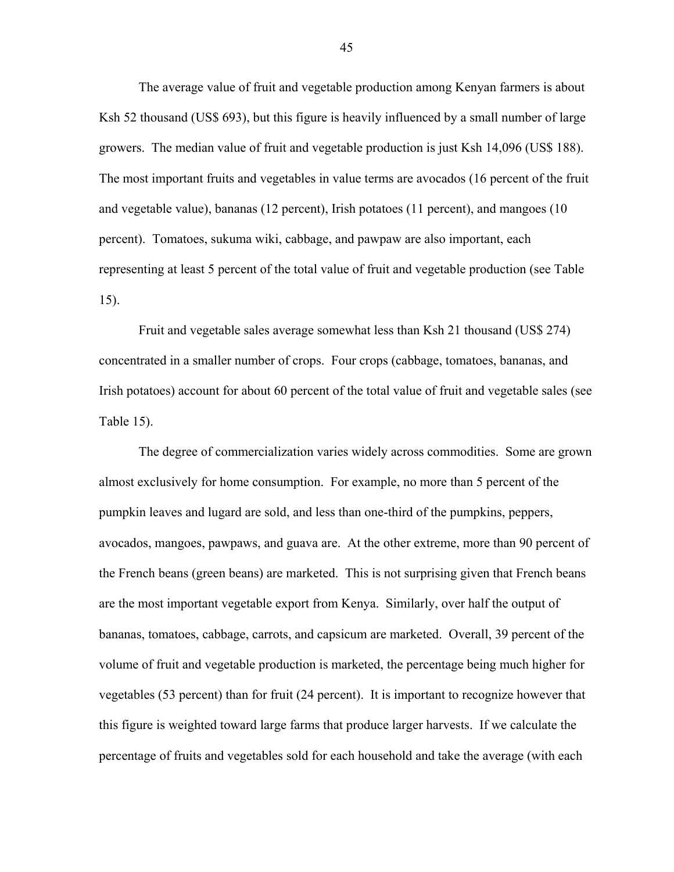The average value of fruit and vegetable production among Kenyan farmers is about Ksh 52 thousand (US\$ 693), but this figure is heavily influenced by a small number of large growers. The median value of fruit and vegetable production is just Ksh 14,096 (US\$ 188). The most important fruits and vegetables in value terms are avocados (16 percent of the fruit and vegetable value), bananas (12 percent), Irish potatoes (11 percent), and mangoes (10 percent). Tomatoes, sukuma wiki, cabbage, and pawpaw are also important, each representing at least 5 percent of the total value of fruit and vegetable production (see Table 15).

Fruit and vegetable sales average somewhat less than Ksh 21 thousand (US\$ 274) concentrated in a smaller number of crops. Four crops (cabbage, tomatoes, bananas, and Irish potatoes) account for about 60 percent of the total value of fruit and vegetable sales (see Table 15).

The degree of commercialization varies widely across commodities. Some are grown almost exclusively for home consumption. For example, no more than 5 percent of the pumpkin leaves and lugard are sold, and less than one-third of the pumpkins, peppers, avocados, mangoes, pawpaws, and guava are. At the other extreme, more than 90 percent of the French beans (green beans) are marketed. This is not surprising given that French beans are the most important vegetable export from Kenya. Similarly, over half the output of bananas, tomatoes, cabbage, carrots, and capsicum are marketed. Overall, 39 percent of the volume of fruit and vegetable production is marketed, the percentage being much higher for vegetables (53 percent) than for fruit (24 percent). It is important to recognize however that this figure is weighted toward large farms that produce larger harvests. If we calculate the percentage of fruits and vegetables sold for each household and take the average (with each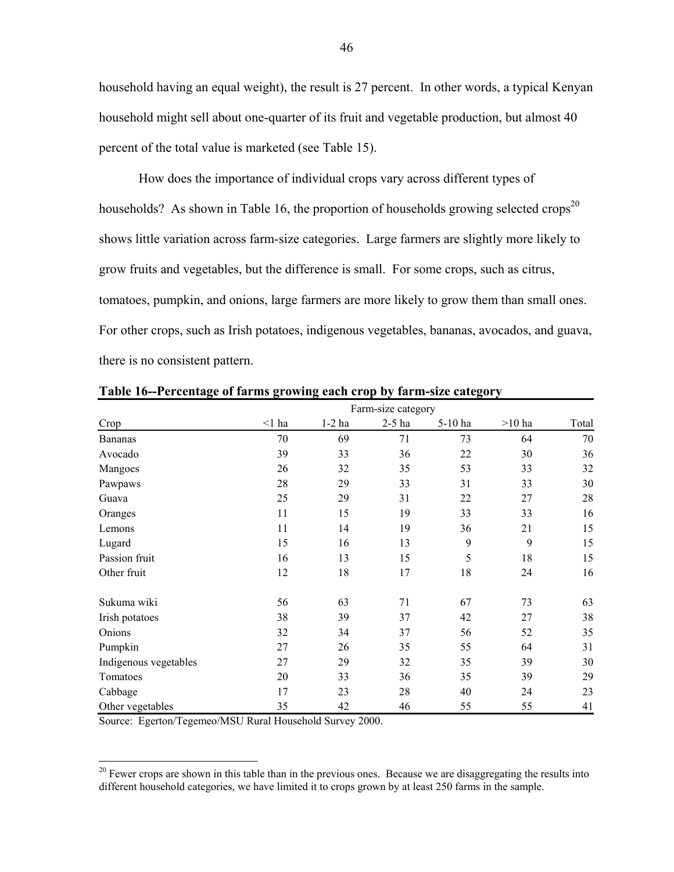household having an equal weight), the result is 27 percent. In other words, a typical Kenyan household might sell about one-quarter of its fruit and vegetable production, but almost 40 percent of the total value is marketed (see Table 15).

How does the importance of individual crops vary across different types of households? As shown in Table 16, the proportion of households growing selected crops<sup>20</sup> shows little variation across farm-size categories. Large farmers are slightly more likely to grow fruits and vegetables, but the difference is small. For some crops, such as citrus, tomatoes, pumpkin, and onions, large farmers are more likely to grow them than small ones. For other crops, such as Irish potatoes, indigenous vegetables, bananas, avocados, and guava, there is no consistent pattern.

|                       |             |          | Farm-size category |         |          |       |
|-----------------------|-------------|----------|--------------------|---------|----------|-------|
| Crop                  | $\leq$ 1 ha | $1-2$ ha | $2-5$ ha           | 5-10 ha | $>10$ ha | Total |
| <b>Bananas</b>        | 70          | 69       | 71                 | 73      | 64       | 70    |
| Avocado               | 39          | 33       | 36                 | 22      | 30       | 36    |
| Mangoes               | 26          | 32       | 35                 | 53      | 33       | 32    |
| Pawpaws               | 28          | 29       | 33                 | 31      | 33       | 30    |
| Guava                 | 25          | 29       | 31                 | 22      | 27       | 28    |
| Oranges               | 11          | 15       | 19                 | 33      | 33       | 16    |
| Lemons                | 11          | 14       | 19                 | 36      | 21       | 15    |
| Lugard                | 15          | 16       | 13                 | 9       | 9        | 15    |
| Passion fruit         | 16          | 13       | 15                 | 5       | 18       | 15    |
| Other fruit           | 12          | 18       | 17                 | 18      | 24       | 16    |
| Sukuma wiki           | 56          | 63       | 71                 | 67      | 73       | 63    |
| Irish potatoes        | 38          | 39       | 37                 | 42      | 27       | 38    |
| Onions                | 32          | 34       | 37                 | 56      | 52       | 35    |
| Pumpkin               | 27          | 26       | 35                 | 55      | 64       | 31    |
| Indigenous vegetables | 27          | 29       | 32                 | 35      | 39       | 30    |
| Tomatoes              | 20          | 33       | 36                 | 35      | 39       | 29    |
| Cabbage               | 17          | 23       | 28                 | 40      | 24       | 23    |
| Other vegetables      | 35          | 42       | 46                 | 55      | 55       | 41    |

**Table 16--Percentage of farms growing each crop by farm-size category** 

Source: Egerton/Tegemeo/MSU Rural Household Survey 2000.

 $\overline{a}$ 

 $20$  Fewer crops are shown in this table than in the previous ones. Because we are disaggregating the results into different household categories, we have limited it to crops grown by at least 250 farms in the sample.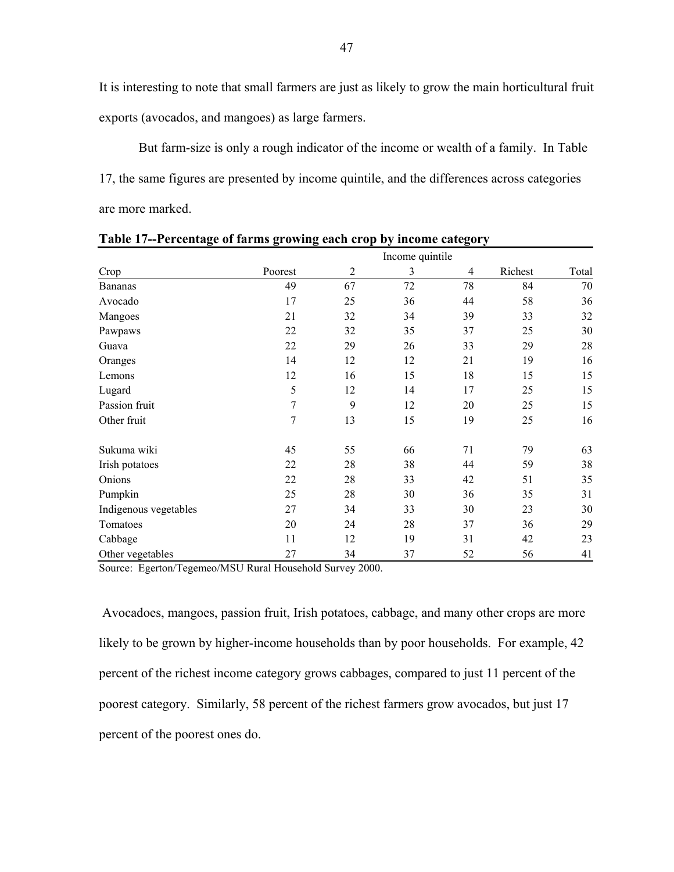It is interesting to note that small farmers are just as likely to grow the main horticultural fruit exports (avocados, and mangoes) as large farmers.

But farm-size is only a rough indicator of the income or wealth of a family. In Table 17, the same figures are presented by income quintile, and the differences across categories are more marked.

|                       |         |                | Income quintile |    |         |       |
|-----------------------|---------|----------------|-----------------|----|---------|-------|
| Crop                  | Poorest | $\overline{2}$ | 3               | 4  | Richest | Total |
| <b>Bananas</b>        | 49      | 67             | 72              | 78 | 84      | 70    |
| Avocado               | 17      | 25             | 36              | 44 | 58      | 36    |
| Mangoes               | 21      | 32             | 34              | 39 | 33      | 32    |
| Pawpaws               | 22      | 32             | 35              | 37 | 25      | 30    |
| Guava                 | 22      | 29             | 26              | 33 | 29      | 28    |
| Oranges               | 14      | 12             | 12              | 21 | 19      | 16    |
| Lemons                | 12      | 16             | 15              | 18 | 15      | 15    |
| Lugard                | 5       | 12             | 14              | 17 | 25      | 15    |
| Passion fruit         | 7       | 9              | 12              | 20 | 25      | 15    |
| Other fruit           | 7       | 13             | 15              | 19 | 25      | 16    |
| Sukuma wiki           | 45      | 55             | 66              | 71 | 79      | 63    |
| Irish potatoes        | 22      | 28             | 38              | 44 | 59      | 38    |
| Onions                | 22      | 28             | 33              | 42 | 51      | 35    |
| Pumpkin               | 25      | 28             | 30              | 36 | 35      | 31    |
| Indigenous vegetables | 27      | 34             | 33              | 30 | 23      | 30    |
| Tomatoes              | 20      | 24             | 28              | 37 | 36      | 29    |
| Cabbage               | 11      | 12             | 19              | 31 | 42      | 23    |
| Other vegetables      | 27      | 34             | 37              | 52 | 56      | 41    |

**Table 17--Percentage of farms growing each crop by income category** 

Source: Egerton/Tegemeo/MSU Rural Household Survey 2000.

 Avocadoes, mangoes, passion fruit, Irish potatoes, cabbage, and many other crops are more likely to be grown by higher-income households than by poor households. For example, 42 percent of the richest income category grows cabbages, compared to just 11 percent of the poorest category. Similarly, 58 percent of the richest farmers grow avocados, but just 17 percent of the poorest ones do.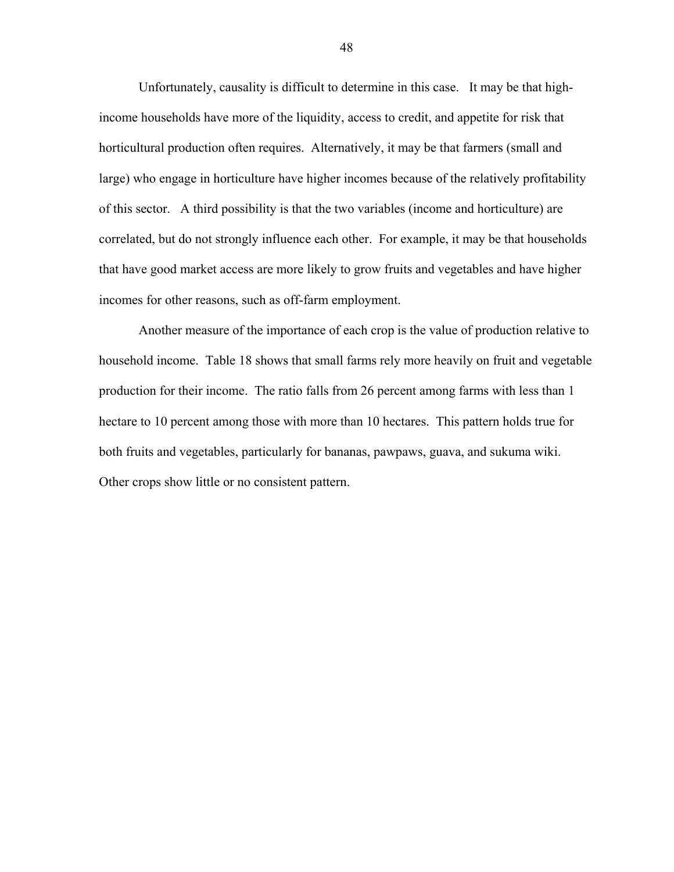Unfortunately, causality is difficult to determine in this case. It may be that highincome households have more of the liquidity, access to credit, and appetite for risk that horticultural production often requires. Alternatively, it may be that farmers (small and large) who engage in horticulture have higher incomes because of the relatively profitability of this sector. A third possibility is that the two variables (income and horticulture) are correlated, but do not strongly influence each other. For example, it may be that households that have good market access are more likely to grow fruits and vegetables and have higher incomes for other reasons, such as off-farm employment.

Another measure of the importance of each crop is the value of production relative to household income. Table 18 shows that small farms rely more heavily on fruit and vegetable production for their income. The ratio falls from 26 percent among farms with less than 1 hectare to 10 percent among those with more than 10 hectares. This pattern holds true for both fruits and vegetables, particularly for bananas, pawpaws, guava, and sukuma wiki. Other crops show little or no consistent pattern.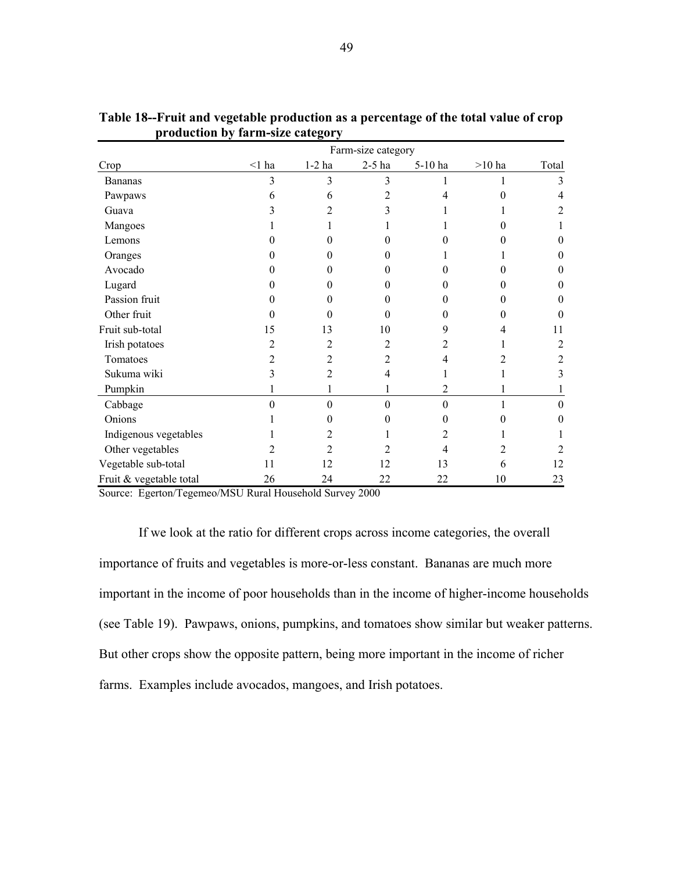| Farm-size category      |          |                |              |          |          |       |  |  |
|-------------------------|----------|----------------|--------------|----------|----------|-------|--|--|
| Crop                    | $<$ 1 ha | $1-2$ ha       | $2-5$ ha     | 5-10 ha  | $>10$ ha | Total |  |  |
| <b>Bananas</b>          | 3        | 3              | 3            |          |          | 3     |  |  |
| Pawpaws                 | 6        | 6              | 2            |          |          | 4     |  |  |
| Guava                   | 3        | 2              |              |          |          | 2     |  |  |
| Mangoes                 |          |                |              |          |          |       |  |  |
| Lemons                  |          | 0              |              |          |          |       |  |  |
| Oranges                 |          | 0              |              |          |          | 0     |  |  |
| Avocado                 |          | 0              | 0            |          |          |       |  |  |
| Lugard                  | 0        | 0              | $\mathbf{0}$ | 0        |          | 0     |  |  |
| Passion fruit           | 0        | 0              | $\mathbf{0}$ |          |          | 0     |  |  |
| Other fruit             | 0        | 0              | 0            | 0        |          | 0     |  |  |
| Fruit sub-total         | 15       | 13             | 10           | 9        |          | 11    |  |  |
| Irish potatoes          | 2        | 2              | 2            | 2        |          | 2     |  |  |
| Tomatoes                | 2        | 2              | 2            | 4        |          |       |  |  |
| Sukuma wiki             | 3        | $\overline{c}$ | 4            |          |          | 3     |  |  |
| Pumpkin                 |          |                |              | 2        |          |       |  |  |
| Cabbage                 | 0        | $\Omega$       | $\Omega$     | $\Omega$ |          | 0     |  |  |
| Onions                  |          | 0              |              | 0        |          | 0     |  |  |
| Indigenous vegetables   |          | 2              |              |          |          |       |  |  |
| Other vegetables        |          | 2              |              |          |          |       |  |  |
| Vegetable sub-total     | 11       | 12             | 12           | 13       | 6        | 12    |  |  |
| Fruit & vegetable total | 26       | 24             | 22           | 22       | 10       | 23    |  |  |

**Table 18--Fruit and vegetable production as a percentage of the total value of crop production by farm-size category** 

Source: Egerton/Tegemeo/MSU Rural Household Survey 2000

If we look at the ratio for different crops across income categories, the overall importance of fruits and vegetables is more-or-less constant. Bananas are much more important in the income of poor households than in the income of higher-income households (see Table 19). Pawpaws, onions, pumpkins, and tomatoes show similar but weaker patterns. But other crops show the opposite pattern, being more important in the income of richer farms. Examples include avocados, mangoes, and Irish potatoes.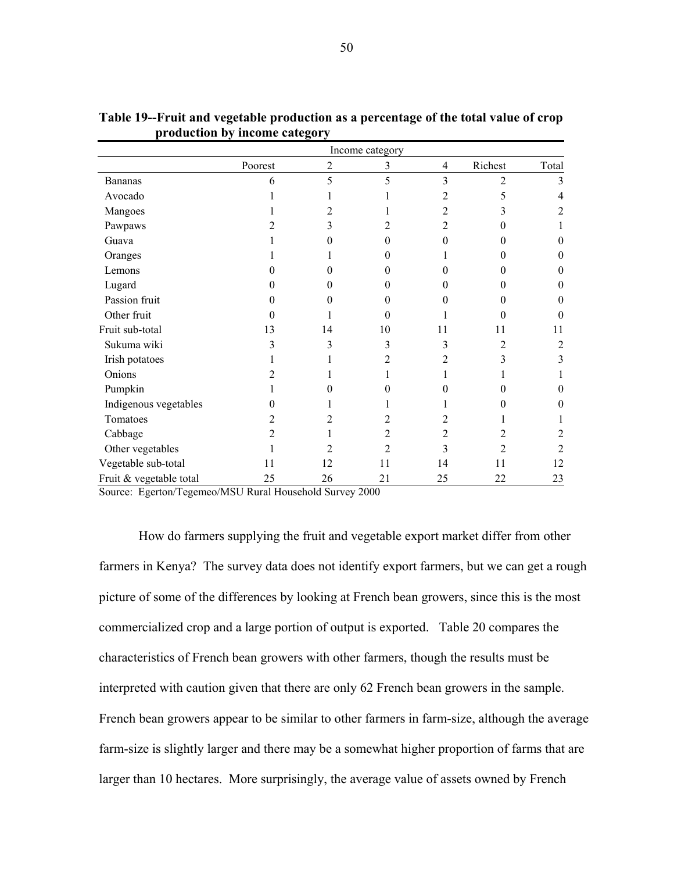|                         | Income category |    |              |    |         |       |
|-------------------------|-----------------|----|--------------|----|---------|-------|
|                         | Poorest         | 2  | 3            | 4  | Richest | Total |
| <b>Bananas</b>          | 6               | 5  | 5            | 3  | 2       | 3     |
| Avocado                 |                 |    |              |    | 5       | 4     |
| Mangoes                 |                 | 2  |              | 2  | 3       | 2     |
| Pawpaws                 |                 | 3  | 2            | 2  |         |       |
| Guava                   |                 | 0  | 0            | 0  |         | 0     |
| Oranges                 |                 |    |              |    |         | 0     |
| Lemons                  |                 | 0  | $\mathbf{0}$ |    |         | 0     |
| Lugard                  |                 | 0  | $\theta$     | 0  | 0       | 0     |
| Passion fruit           |                 | 0  | 0            |    |         | 0     |
| Other fruit             |                 |    | 0            |    |         | 0     |
| Fruit sub-total         | 13              | 14 | 10           | 11 | 11      | 11    |
| Sukuma wiki             |                 | 3  | 3            | 3  | 2       | 2     |
| Irish potatoes          |                 |    | 2            | 2  | 3       | 3     |
| Onions                  |                 |    |              |    |         |       |
| Pumpkin                 |                 | 0  |              |    |         | 0     |
| Indigenous vegetables   |                 |    |              |    |         | 0     |
| Tomatoes                |                 |    |              |    |         |       |
| Cabbage                 | 2               |    | 2            |    |         |       |
| Other vegetables        |                 | 2  | 2            | 3  | 2       | 2     |
| Vegetable sub-total     | 11              | 12 | 11           | 14 | 11      | 12    |
| Fruit & vegetable total | 25              | 26 | 21           | 25 | 22      | 23    |

**Table 19--Fruit and vegetable production as a percentage of the total value of crop production by income category** 

Source: Egerton/Tegemeo/MSU Rural Household Survey 2000

How do farmers supplying the fruit and vegetable export market differ from other farmers in Kenya? The survey data does not identify export farmers, but we can get a rough picture of some of the differences by looking at French bean growers, since this is the most commercialized crop and a large portion of output is exported. Table 20 compares the characteristics of French bean growers with other farmers, though the results must be interpreted with caution given that there are only 62 French bean growers in the sample. French bean growers appear to be similar to other farmers in farm-size, although the average farm-size is slightly larger and there may be a somewhat higher proportion of farms that are larger than 10 hectares. More surprisingly, the average value of assets owned by French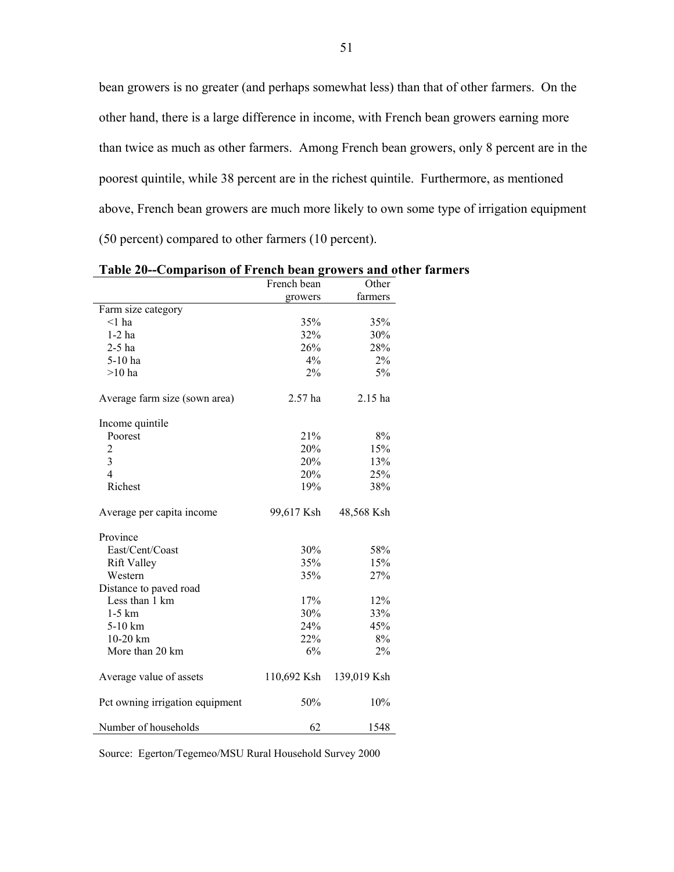bean growers is no greater (and perhaps somewhat less) than that of other farmers. On the other hand, there is a large difference in income, with French bean growers earning more than twice as much as other farmers. Among French bean growers, only 8 percent are in the poorest quintile, while 38 percent are in the richest quintile. Furthermore, as mentioned above, French bean growers are much more likely to own some type of irrigation equipment (50 percent) compared to other farmers (10 percent).

|                                 | French bean | Other       |
|---------------------------------|-------------|-------------|
|                                 | growers     | farmers     |
| Farm size category              |             |             |
| $\leq$ 1 ha                     | 35%         | 35%         |
| $1-2$ ha                        | 32%         | 30%         |
| $2-5$ ha                        | 26%         | 28%         |
| 5-10 ha                         | 4%          | $2\%$       |
| $>10$ ha                        | $2\%$       | 5%          |
| Average farm size (sown area)   | 2.57 ha     | 2.15 ha     |
| Income quintile                 |             |             |
| Poorest                         | 21%         | 8%          |
| $\overline{c}$                  | 20%         | 15%         |
| $\overline{\mathbf{3}}$         | 20%         | 13%         |
| $\overline{4}$                  | 20%         | 25%         |
| Richest                         | 19%         | 38%         |
| Average per capita income       | 99,617 Ksh  | 48,568 Ksh  |
| Province                        |             |             |
| East/Cent/Coast                 | 30%         | 58%         |
| <b>Rift Valley</b>              | 35%         | 15%         |
| Western                         | 35%         | 27%         |
| Distance to paved road          |             |             |
| Less than 1 km                  | 17%         | 12%         |
| $1-5$ km                        | 30%         | 33%         |
| 5-10 km                         | 24%         | 45%         |
| $10-20$ km                      | 22%         | 8%          |
| More than 20 km                 | 6%          | 2%          |
| Average value of assets         | 110,692 Ksh | 139,019 Ksh |
| Pct owning irrigation equipment | 50%         | 10%         |
| Number of households            | 62          | 1548        |

**Table 20--Comparison of French bean growers and other farmers** 

Source: Egerton/Tegemeo/MSU Rural Household Survey 2000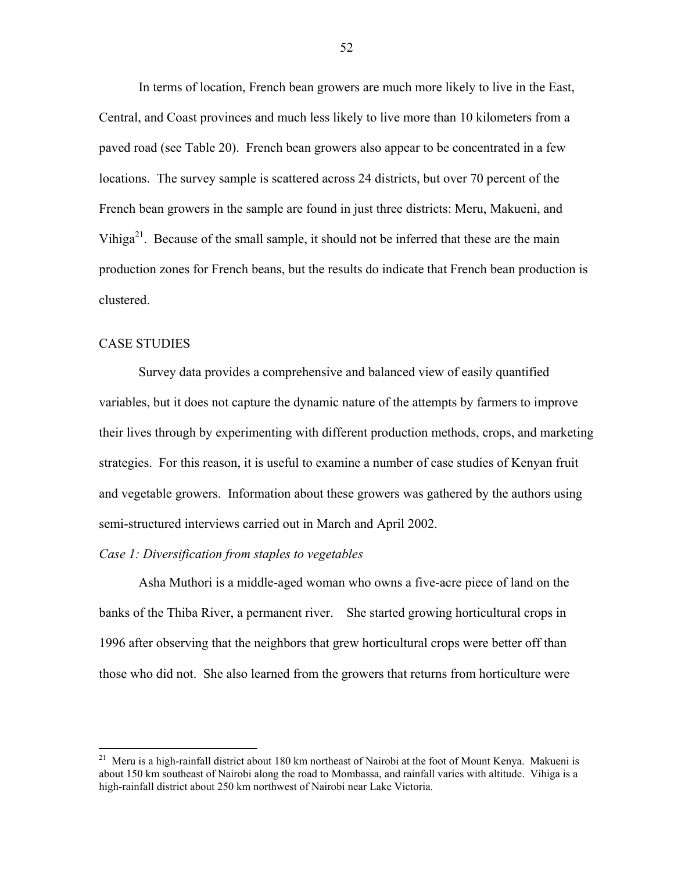In terms of location, French bean growers are much more likely to live in the East, Central, and Coast provinces and much less likely to live more than 10 kilometers from a paved road (see Table 20). French bean growers also appear to be concentrated in a few locations. The survey sample is scattered across 24 districts, but over 70 percent of the French bean growers in the sample are found in just three districts: Meru, Makueni, and Vihiga<sup>21</sup>. Because of the small sample, it should not be inferred that these are the main production zones for French beans, but the results do indicate that French bean production is clustered.

#### CASE STUDIES

1

Survey data provides a comprehensive and balanced view of easily quantified variables, but it does not capture the dynamic nature of the attempts by farmers to improve their lives through by experimenting with different production methods, crops, and marketing strategies. For this reason, it is useful to examine a number of case studies of Kenyan fruit and vegetable growers. Information about these growers was gathered by the authors using semi-structured interviews carried out in March and April 2002.

#### *Case 1: Diversification from staples to vegetables*

Asha Muthori is a middle-aged woman who owns a five-acre piece of land on the banks of the Thiba River, a permanent river. She started growing horticultural crops in 1996 after observing that the neighbors that grew horticultural crops were better off than those who did not. She also learned from the growers that returns from horticulture were

<sup>&</sup>lt;sup>21</sup> Meru is a high-rainfall district about 180 km northeast of Nairobi at the foot of Mount Kenya. Makueni is about 150 km southeast of Nairobi along the road to Mombassa, and rainfall varies with altitude. Vihiga is a high-rainfall district about 250 km northwest of Nairobi near Lake Victoria.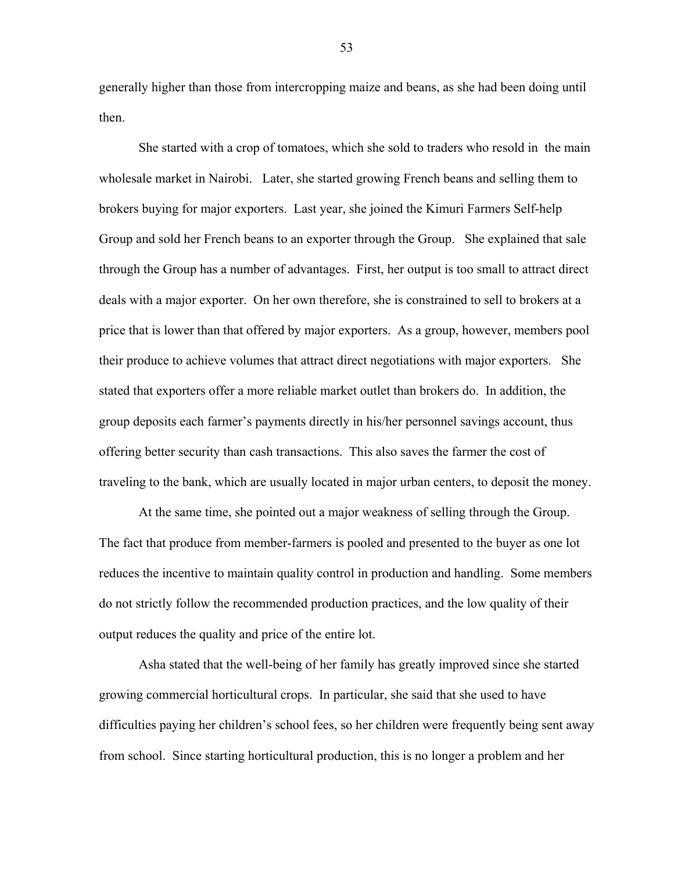generally higher than those from intercropping maize and beans, as she had been doing until then.

She started with a crop of tomatoes, which she sold to traders who resold in the main wholesale market in Nairobi. Later, she started growing French beans and selling them to brokers buying for major exporters. Last year, she joined the Kimuri Farmers Self-help Group and sold her French beans to an exporter through the Group. She explained that sale through the Group has a number of advantages. First, her output is too small to attract direct deals with a major exporter. On her own therefore, she is constrained to sell to brokers at a price that is lower than that offered by major exporters. As a group, however, members pool their produce to achieve volumes that attract direct negotiations with major exporters. She stated that exporters offer a more reliable market outlet than brokers do. In addition, the group deposits each farmer's payments directly in his/her personnel savings account, thus offering better security than cash transactions. This also saves the farmer the cost of traveling to the bank, which are usually located in major urban centers, to deposit the money.

At the same time, she pointed out a major weakness of selling through the Group. The fact that produce from member-farmers is pooled and presented to the buyer as one lot reduces the incentive to maintain quality control in production and handling. Some members do not strictly follow the recommended production practices, and the low quality of their output reduces the quality and price of the entire lot.

Asha stated that the well-being of her family has greatly improved since she started growing commercial horticultural crops. In particular, she said that she used to have difficulties paying her children's school fees, so her children were frequently being sent away from school. Since starting horticultural production, this is no longer a problem and her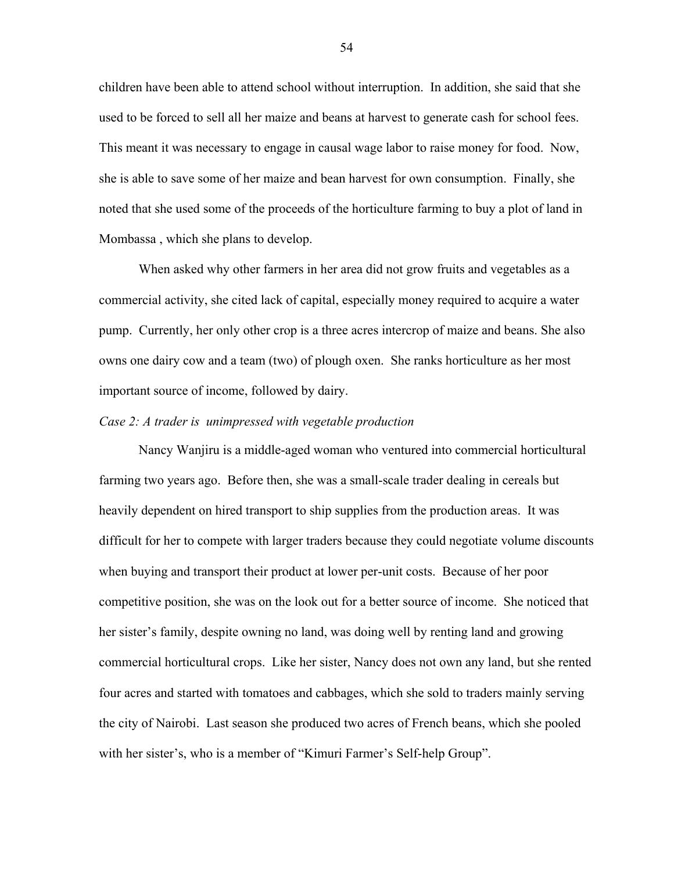children have been able to attend school without interruption. In addition, she said that she used to be forced to sell all her maize and beans at harvest to generate cash for school fees. This meant it was necessary to engage in causal wage labor to raise money for food. Now, she is able to save some of her maize and bean harvest for own consumption. Finally, she noted that she used some of the proceeds of the horticulture farming to buy a plot of land in Mombassa , which she plans to develop.

When asked why other farmers in her area did not grow fruits and vegetables as a commercial activity, she cited lack of capital, especially money required to acquire a water pump. Currently, her only other crop is a three acres intercrop of maize and beans. She also owns one dairy cow and a team (two) of plough oxen. She ranks horticulture as her most important source of income, followed by dairy.

## *Case 2: A trader is unimpressed with vegetable production*

Nancy Wanjiru is a middle-aged woman who ventured into commercial horticultural farming two years ago. Before then, she was a small-scale trader dealing in cereals but heavily dependent on hired transport to ship supplies from the production areas. It was difficult for her to compete with larger traders because they could negotiate volume discounts when buying and transport their product at lower per-unit costs. Because of her poor competitive position, she was on the look out for a better source of income. She noticed that her sister's family, despite owning no land, was doing well by renting land and growing commercial horticultural crops. Like her sister, Nancy does not own any land, but she rented four acres and started with tomatoes and cabbages, which she sold to traders mainly serving the city of Nairobi. Last season she produced two acres of French beans, which she pooled with her sister's, who is a member of "Kimuri Farmer's Self-help Group".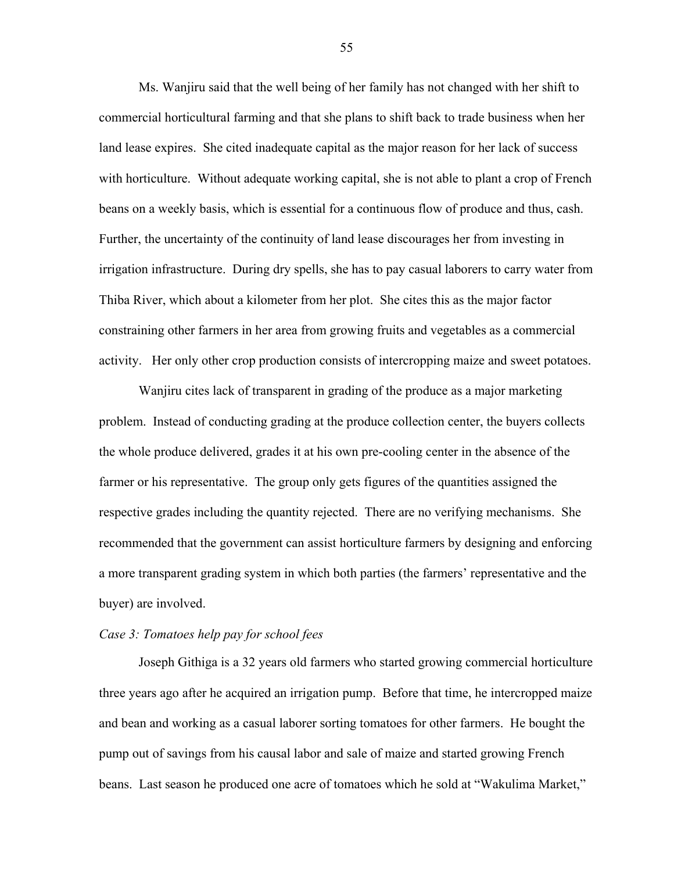Ms. Wanjiru said that the well being of her family has not changed with her shift to commercial horticultural farming and that she plans to shift back to trade business when her land lease expires. She cited inadequate capital as the major reason for her lack of success with horticulture. Without adequate working capital, she is not able to plant a crop of French beans on a weekly basis, which is essential for a continuous flow of produce and thus, cash. Further, the uncertainty of the continuity of land lease discourages her from investing in irrigation infrastructure. During dry spells, she has to pay casual laborers to carry water from Thiba River, which about a kilometer from her plot. She cites this as the major factor constraining other farmers in her area from growing fruits and vegetables as a commercial activity. Her only other crop production consists of intercropping maize and sweet potatoes.

Wanjiru cites lack of transparent in grading of the produce as a major marketing problem. Instead of conducting grading at the produce collection center, the buyers collects the whole produce delivered, grades it at his own pre-cooling center in the absence of the farmer or his representative. The group only gets figures of the quantities assigned the respective grades including the quantity rejected. There are no verifying mechanisms. She recommended that the government can assist horticulture farmers by designing and enforcing a more transparent grading system in which both parties (the farmers' representative and the buyer) are involved.

# *Case 3: Tomatoes help pay for school fees*

Joseph Githiga is a 32 years old farmers who started growing commercial horticulture three years ago after he acquired an irrigation pump. Before that time, he intercropped maize and bean and working as a casual laborer sorting tomatoes for other farmers. He bought the pump out of savings from his causal labor and sale of maize and started growing French beans. Last season he produced one acre of tomatoes which he sold at "Wakulima Market,"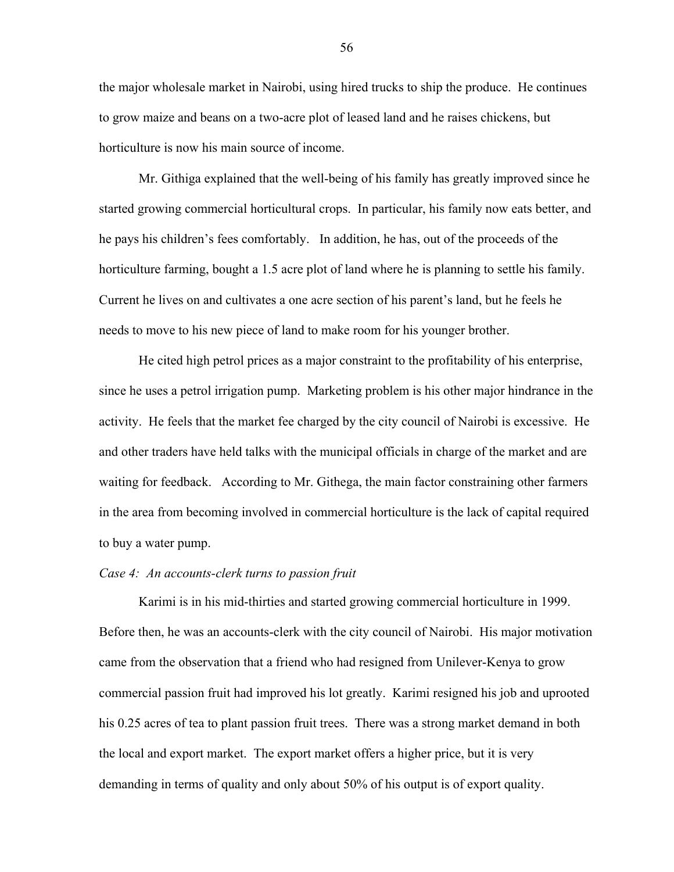the major wholesale market in Nairobi, using hired trucks to ship the produce. He continues to grow maize and beans on a two-acre plot of leased land and he raises chickens, but horticulture is now his main source of income.

Mr. Githiga explained that the well-being of his family has greatly improved since he started growing commercial horticultural crops. In particular, his family now eats better, and he pays his children's fees comfortably. In addition, he has, out of the proceeds of the horticulture farming, bought a 1.5 acre plot of land where he is planning to settle his family. Current he lives on and cultivates a one acre section of his parent's land, but he feels he needs to move to his new piece of land to make room for his younger brother.

He cited high petrol prices as a major constraint to the profitability of his enterprise, since he uses a petrol irrigation pump. Marketing problem is his other major hindrance in the activity. He feels that the market fee charged by the city council of Nairobi is excessive. He and other traders have held talks with the municipal officials in charge of the market and are waiting for feedback. According to Mr. Githega, the main factor constraining other farmers in the area from becoming involved in commercial horticulture is the lack of capital required to buy a water pump.

## *Case 4: An accounts-clerk turns to passion fruit*

Karimi is in his mid-thirties and started growing commercial horticulture in 1999. Before then, he was an accounts-clerk with the city council of Nairobi. His major motivation came from the observation that a friend who had resigned from Unilever-Kenya to grow commercial passion fruit had improved his lot greatly. Karimi resigned his job and uprooted his 0.25 acres of tea to plant passion fruit trees. There was a strong market demand in both the local and export market. The export market offers a higher price, but it is very demanding in terms of quality and only about 50% of his output is of export quality.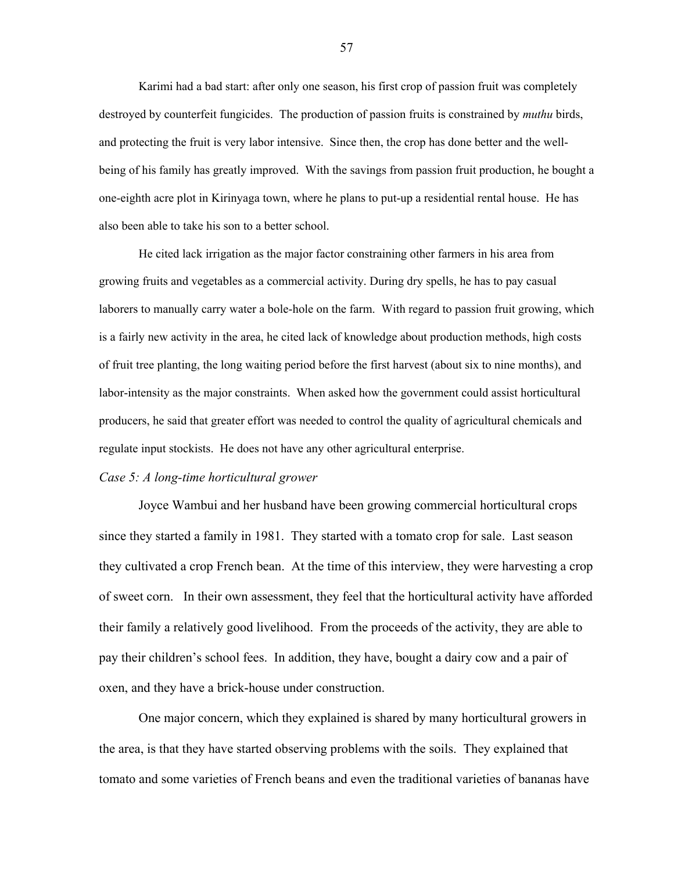Karimi had a bad start: after only one season, his first crop of passion fruit was completely destroyed by counterfeit fungicides. The production of passion fruits is constrained by *muthu* birds, and protecting the fruit is very labor intensive. Since then, the crop has done better and the wellbeing of his family has greatly improved. With the savings from passion fruit production, he bought a one-eighth acre plot in Kirinyaga town, where he plans to put-up a residential rental house. He has also been able to take his son to a better school.

He cited lack irrigation as the major factor constraining other farmers in his area from growing fruits and vegetables as a commercial activity. During dry spells, he has to pay casual laborers to manually carry water a bole-hole on the farm. With regard to passion fruit growing, which is a fairly new activity in the area, he cited lack of knowledge about production methods, high costs of fruit tree planting, the long waiting period before the first harvest (about six to nine months), and labor-intensity as the major constraints. When asked how the government could assist horticultural producers, he said that greater effort was needed to control the quality of agricultural chemicals and regulate input stockists. He does not have any other agricultural enterprise.

# *Case 5: A long-time horticultural grower*

Joyce Wambui and her husband have been growing commercial horticultural crops since they started a family in 1981. They started with a tomato crop for sale. Last season they cultivated a crop French bean. At the time of this interview, they were harvesting a crop of sweet corn. In their own assessment, they feel that the horticultural activity have afforded their family a relatively good livelihood. From the proceeds of the activity, they are able to pay their childrenís school fees. In addition, they have, bought a dairy cow and a pair of oxen, and they have a brick-house under construction.

One major concern, which they explained is shared by many horticultural growers in the area, is that they have started observing problems with the soils. They explained that tomato and some varieties of French beans and even the traditional varieties of bananas have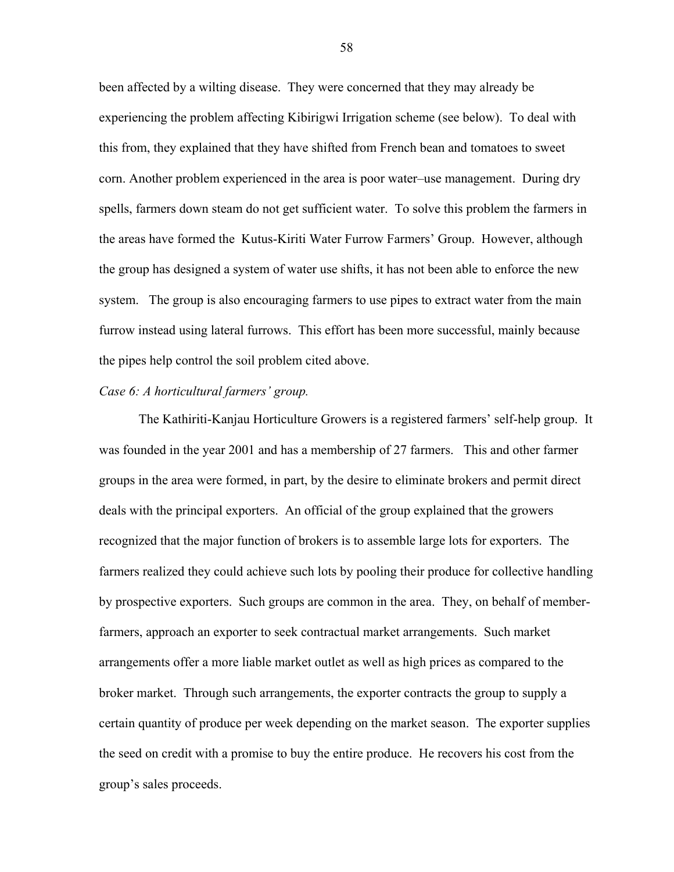been affected by a wilting disease. They were concerned that they may already be experiencing the problem affecting Kibirigwi Irrigation scheme (see below). To deal with this from, they explained that they have shifted from French bean and tomatoes to sweet corn. Another problem experienced in the area is poor water–use management. During dry spells, farmers down steam do not get sufficient water. To solve this problem the farmers in the areas have formed the Kutus-Kiriti Water Furrow Farmersí Group. However, although the group has designed a system of water use shifts, it has not been able to enforce the new system. The group is also encouraging farmers to use pipes to extract water from the main furrow instead using lateral furrows. This effort has been more successful, mainly because the pipes help control the soil problem cited above.

#### *Case 6: A horticultural farmers' group.*

The Kathiriti-Kanjau Horticulture Growers is a registered farmers' self-help group. It was founded in the year 2001 and has a membership of 27 farmers. This and other farmer groups in the area were formed, in part, by the desire to eliminate brokers and permit direct deals with the principal exporters. An official of the group explained that the growers recognized that the major function of brokers is to assemble large lots for exporters. The farmers realized they could achieve such lots by pooling their produce for collective handling by prospective exporters. Such groups are common in the area. They, on behalf of memberfarmers, approach an exporter to seek contractual market arrangements. Such market arrangements offer a more liable market outlet as well as high prices as compared to the broker market. Through such arrangements, the exporter contracts the group to supply a certain quantity of produce per week depending on the market season. The exporter supplies the seed on credit with a promise to buy the entire produce. He recovers his cost from the group's sales proceeds.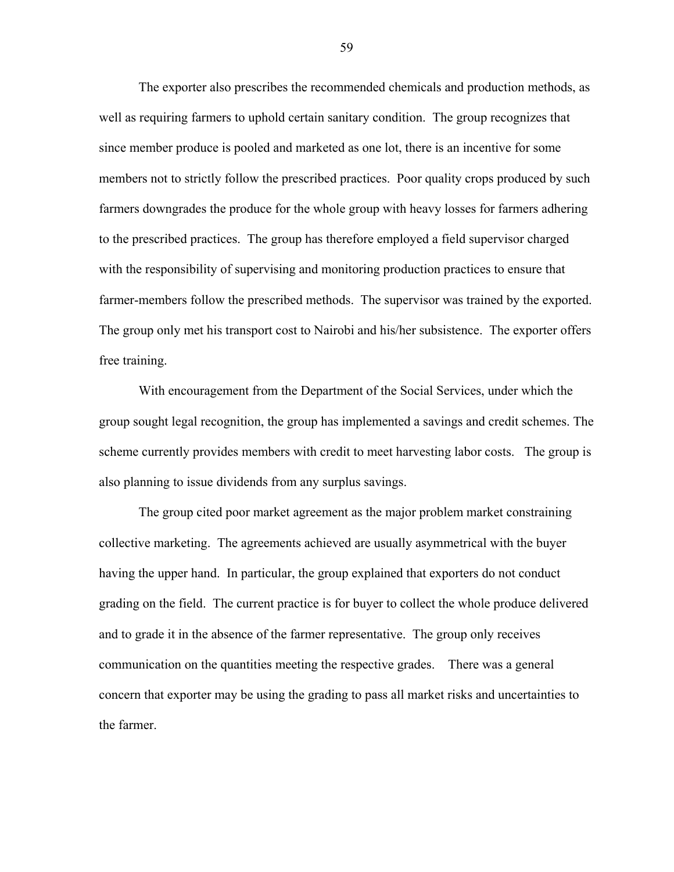The exporter also prescribes the recommended chemicals and production methods, as well as requiring farmers to uphold certain sanitary condition. The group recognizes that since member produce is pooled and marketed as one lot, there is an incentive for some members not to strictly follow the prescribed practices. Poor quality crops produced by such farmers downgrades the produce for the whole group with heavy losses for farmers adhering to the prescribed practices. The group has therefore employed a field supervisor charged with the responsibility of supervising and monitoring production practices to ensure that farmer-members follow the prescribed methods. The supervisor was trained by the exported. The group only met his transport cost to Nairobi and his/her subsistence. The exporter offers free training.

With encouragement from the Department of the Social Services, under which the group sought legal recognition, the group has implemented a savings and credit schemes. The scheme currently provides members with credit to meet harvesting labor costs. The group is also planning to issue dividends from any surplus savings.

The group cited poor market agreement as the major problem market constraining collective marketing. The agreements achieved are usually asymmetrical with the buyer having the upper hand. In particular, the group explained that exporters do not conduct grading on the field. The current practice is for buyer to collect the whole produce delivered and to grade it in the absence of the farmer representative. The group only receives communication on the quantities meeting the respective grades. There was a general concern that exporter may be using the grading to pass all market risks and uncertainties to the farmer.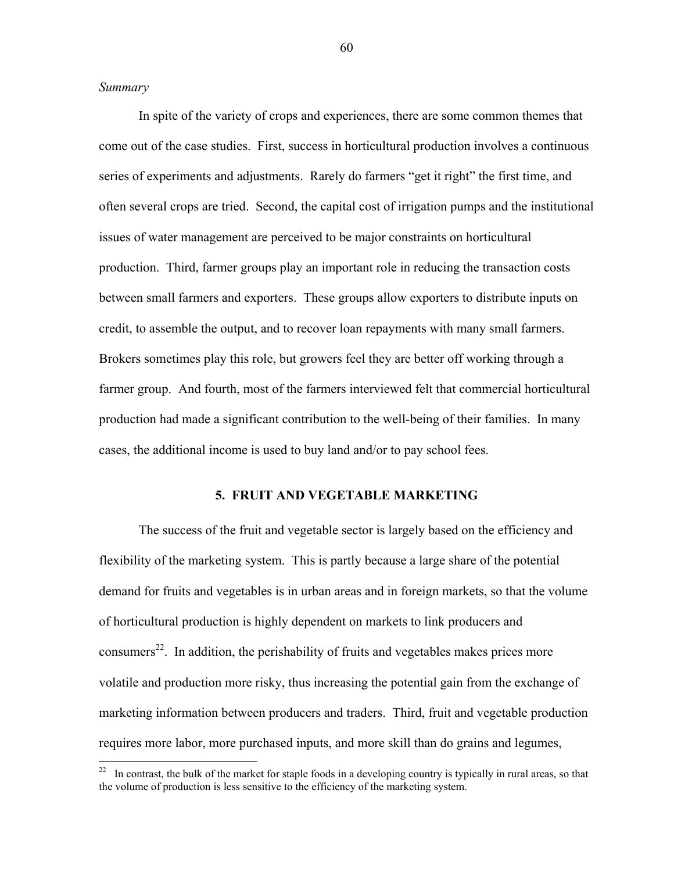## *Summary*

 $\overline{a}$ 

In spite of the variety of crops and experiences, there are some common themes that come out of the case studies. First, success in horticultural production involves a continuous series of experiments and adjustments. Rarely do farmers "get it right" the first time, and often several crops are tried. Second, the capital cost of irrigation pumps and the institutional issues of water management are perceived to be major constraints on horticultural production. Third, farmer groups play an important role in reducing the transaction costs between small farmers and exporters. These groups allow exporters to distribute inputs on credit, to assemble the output, and to recover loan repayments with many small farmers. Brokers sometimes play this role, but growers feel they are better off working through a farmer group. And fourth, most of the farmers interviewed felt that commercial horticultural production had made a significant contribution to the well-being of their families. In many cases, the additional income is used to buy land and/or to pay school fees.

## **5. FRUIT AND VEGETABLE MARKETING**

The success of the fruit and vegetable sector is largely based on the efficiency and flexibility of the marketing system. This is partly because a large share of the potential demand for fruits and vegetables is in urban areas and in foreign markets, so that the volume of horticultural production is highly dependent on markets to link producers and consumers<sup>22</sup>. In addition, the perishability of fruits and vegetables makes prices more volatile and production more risky, thus increasing the potential gain from the exchange of marketing information between producers and traders. Third, fruit and vegetable production requires more labor, more purchased inputs, and more skill than do grains and legumes,

 $22$  In contrast, the bulk of the market for staple foods in a developing country is typically in rural areas, so that the volume of production is less sensitive to the efficiency of the marketing system.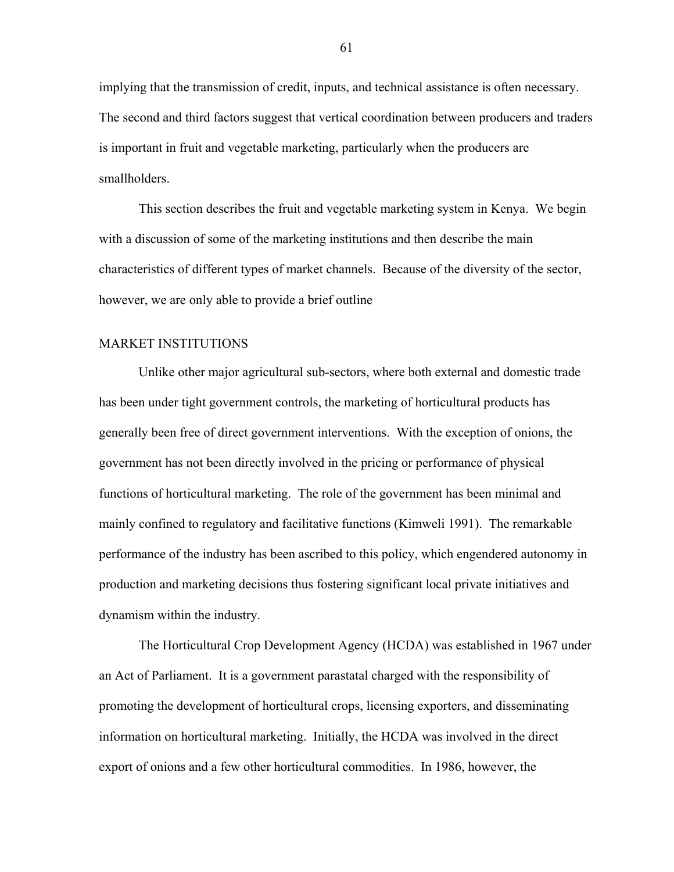implying that the transmission of credit, inputs, and technical assistance is often necessary. The second and third factors suggest that vertical coordination between producers and traders is important in fruit and vegetable marketing, particularly when the producers are smallholders.

This section describes the fruit and vegetable marketing system in Kenya. We begin with a discussion of some of the marketing institutions and then describe the main characteristics of different types of market channels. Because of the diversity of the sector, however, we are only able to provide a brief outline

#### MARKET INSTITUTIONS

Unlike other major agricultural sub-sectors, where both external and domestic trade has been under tight government controls, the marketing of horticultural products has generally been free of direct government interventions. With the exception of onions, the government has not been directly involved in the pricing or performance of physical functions of horticultural marketing. The role of the government has been minimal and mainly confined to regulatory and facilitative functions (Kimweli 1991). The remarkable performance of the industry has been ascribed to this policy, which engendered autonomy in production and marketing decisions thus fostering significant local private initiatives and dynamism within the industry.

The Horticultural Crop Development Agency (HCDA) was established in 1967 under an Act of Parliament. It is a government parastatal charged with the responsibility of promoting the development of horticultural crops, licensing exporters, and disseminating information on horticultural marketing. Initially, the HCDA was involved in the direct export of onions and a few other horticultural commodities. In 1986, however, the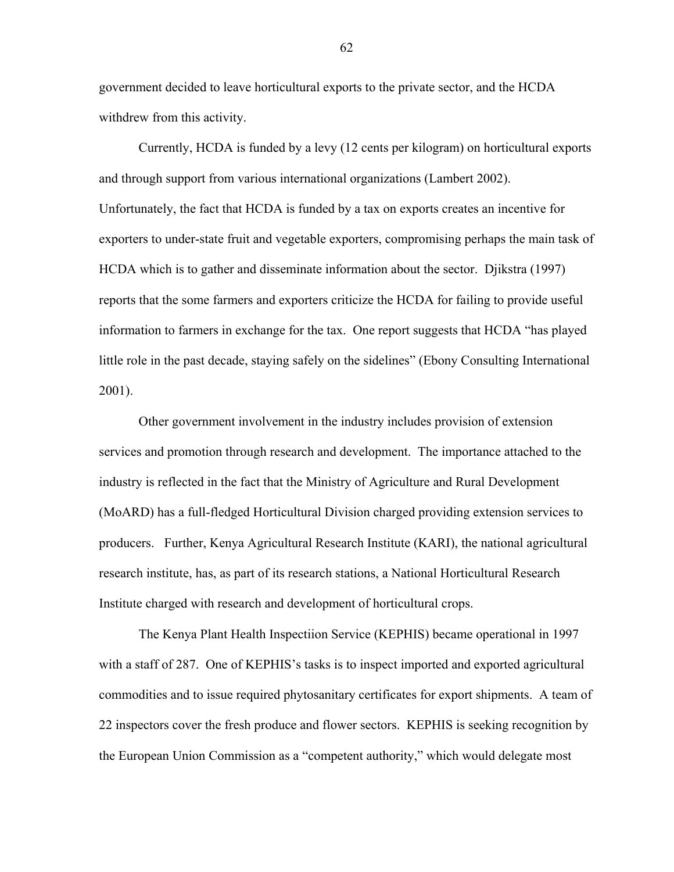government decided to leave horticultural exports to the private sector, and the HCDA withdrew from this activity.

Currently, HCDA is funded by a levy (12 cents per kilogram) on horticultural exports and through support from various international organizations (Lambert 2002). Unfortunately, the fact that HCDA is funded by a tax on exports creates an incentive for exporters to under-state fruit and vegetable exporters, compromising perhaps the main task of HCDA which is to gather and disseminate information about the sector. Djikstra (1997) reports that the some farmers and exporters criticize the HCDA for failing to provide useful information to farmers in exchange for the tax. One report suggests that HCDA "has played little role in the past decade, staying safely on the sidelines" (Ebony Consulting International 2001).

Other government involvement in the industry includes provision of extension services and promotion through research and development. The importance attached to the industry is reflected in the fact that the Ministry of Agriculture and Rural Development (MoARD) has a full-fledged Horticultural Division charged providing extension services to producers. Further, Kenya Agricultural Research Institute (KARI), the national agricultural research institute, has, as part of its research stations, a National Horticultural Research Institute charged with research and development of horticultural crops.

The Kenya Plant Health Inspectiion Service (KEPHIS) became operational in 1997 with a staff of 287. One of KEPHIS's tasks is to inspect imported and exported agricultural commodities and to issue required phytosanitary certificates for export shipments. A team of 22 inspectors cover the fresh produce and flower sectors. KEPHIS is seeking recognition by the European Union Commission as a "competent authority," which would delegate most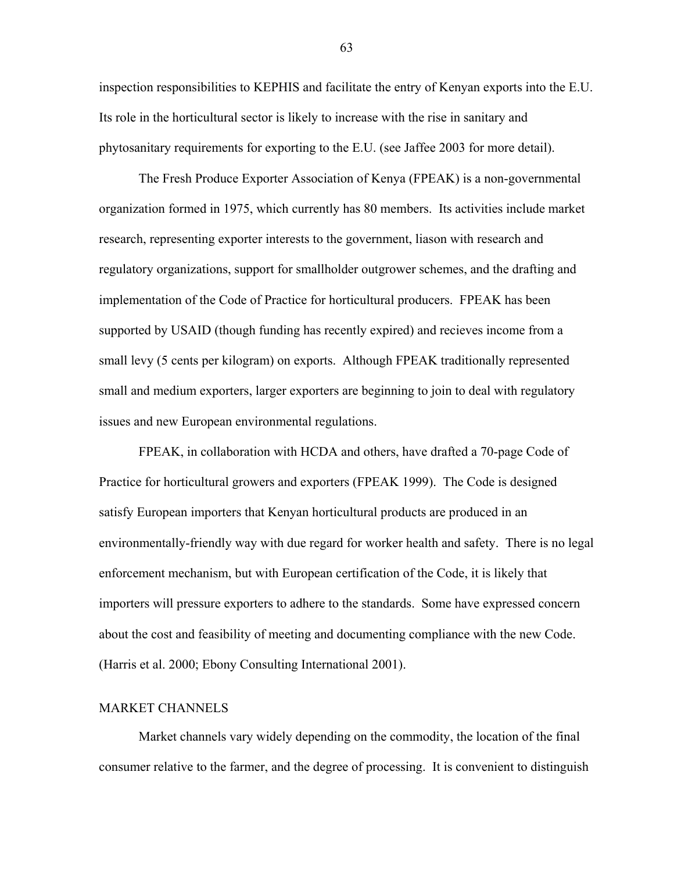inspection responsibilities to KEPHIS and facilitate the entry of Kenyan exports into the E.U. Its role in the horticultural sector is likely to increase with the rise in sanitary and phytosanitary requirements for exporting to the E.U. (see Jaffee 2003 for more detail).

The Fresh Produce Exporter Association of Kenya (FPEAK) is a non-governmental organization formed in 1975, which currently has 80 members. Its activities include market research, representing exporter interests to the government, liason with research and regulatory organizations, support for smallholder outgrower schemes, and the drafting and implementation of the Code of Practice for horticultural producers. FPEAK has been supported by USAID (though funding has recently expired) and recieves income from a small levy (5 cents per kilogram) on exports. Although FPEAK traditionally represented small and medium exporters, larger exporters are beginning to join to deal with regulatory issues and new European environmental regulations.

FPEAK, in collaboration with HCDA and others, have drafted a 70-page Code of Practice for horticultural growers and exporters (FPEAK 1999). The Code is designed satisfy European importers that Kenyan horticultural products are produced in an environmentally-friendly way with due regard for worker health and safety. There is no legal enforcement mechanism, but with European certification of the Code, it is likely that importers will pressure exporters to adhere to the standards. Some have expressed concern about the cost and feasibility of meeting and documenting compliance with the new Code. (Harris et al. 2000; Ebony Consulting International 2001).

# MARKET CHANNELS

Market channels vary widely depending on the commodity, the location of the final consumer relative to the farmer, and the degree of processing. It is convenient to distinguish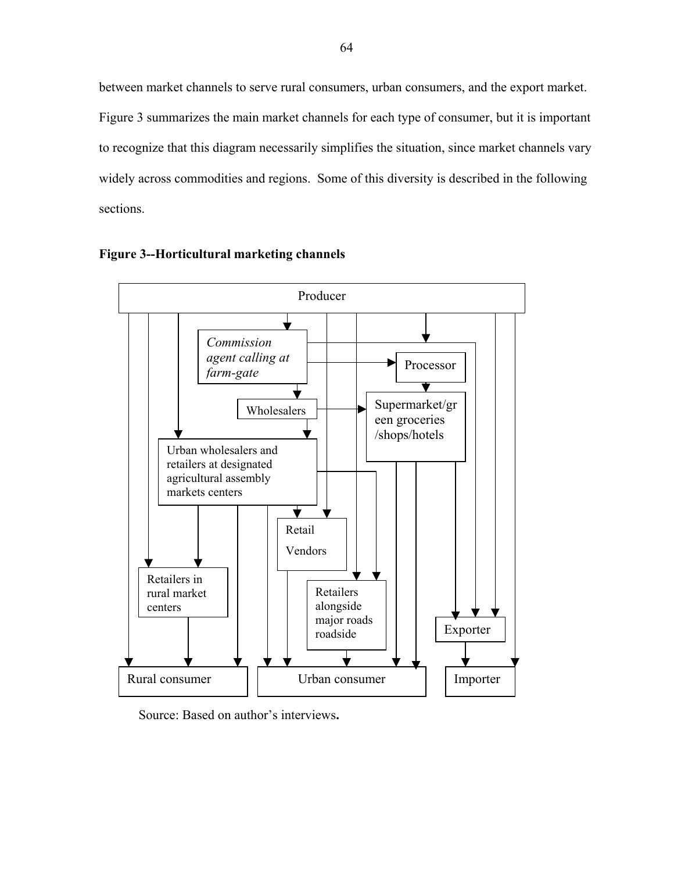between market channels to serve rural consumers, urban consumers, and the export market. Figure 3 summarizes the main market channels for each type of consumer, but it is important to recognize that this diagram necessarily simplifies the situation, since market channels vary widely across commodities and regions. Some of this diversity is described in the following sections.





Source: Based on author's interviews.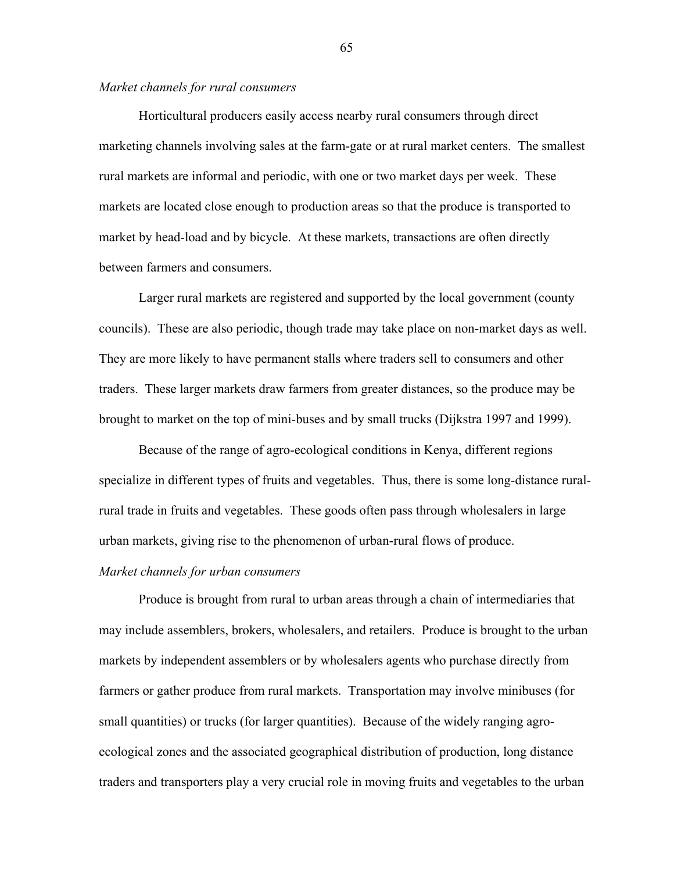# *Market channels for rural consumers*

Horticultural producers easily access nearby rural consumers through direct marketing channels involving sales at the farm-gate or at rural market centers. The smallest rural markets are informal and periodic, with one or two market days per week. These markets are located close enough to production areas so that the produce is transported to market by head-load and by bicycle. At these markets, transactions are often directly between farmers and consumers.

Larger rural markets are registered and supported by the local government (county councils). These are also periodic, though trade may take place on non-market days as well. They are more likely to have permanent stalls where traders sell to consumers and other traders. These larger markets draw farmers from greater distances, so the produce may be brought to market on the top of mini-buses and by small trucks (Dijkstra 1997 and 1999).

Because of the range of agro-ecological conditions in Kenya, different regions specialize in different types of fruits and vegetables. Thus, there is some long-distance ruralrural trade in fruits and vegetables. These goods often pass through wholesalers in large urban markets, giving rise to the phenomenon of urban-rural flows of produce.

#### *Market channels for urban consumers*

Produce is brought from rural to urban areas through a chain of intermediaries that may include assemblers, brokers, wholesalers, and retailers. Produce is brought to the urban markets by independent assemblers or by wholesalers agents who purchase directly from farmers or gather produce from rural markets. Transportation may involve minibuses (for small quantities) or trucks (for larger quantities). Because of the widely ranging agroecological zones and the associated geographical distribution of production, long distance traders and transporters play a very crucial role in moving fruits and vegetables to the urban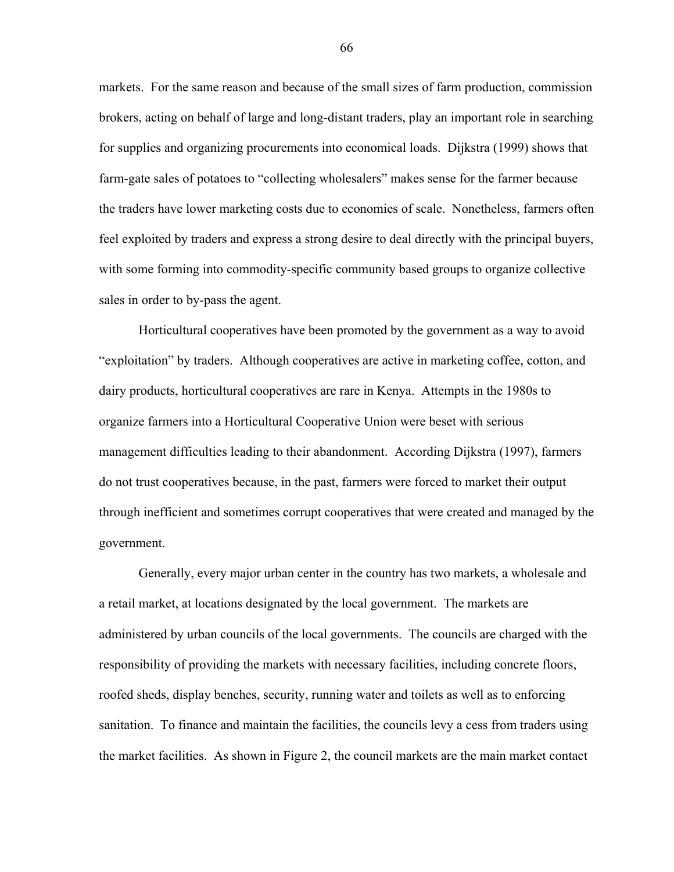markets. For the same reason and because of the small sizes of farm production, commission brokers, acting on behalf of large and long-distant traders, play an important role in searching for supplies and organizing procurements into economical loads. Dijkstra (1999) shows that farm-gate sales of potatoes to "collecting wholesalers" makes sense for the farmer because the traders have lower marketing costs due to economies of scale. Nonetheless, farmers often feel exploited by traders and express a strong desire to deal directly with the principal buyers, with some forming into commodity-specific community based groups to organize collective sales in order to by-pass the agent.

Horticultural cooperatives have been promoted by the government as a way to avoid ìexploitationî by traders. Although cooperatives are active in marketing coffee, cotton, and dairy products, horticultural cooperatives are rare in Kenya. Attempts in the 1980s to organize farmers into a Horticultural Cooperative Union were beset with serious management difficulties leading to their abandonment. According Dijkstra (1997), farmers do not trust cooperatives because, in the past, farmers were forced to market their output through inefficient and sometimes corrupt cooperatives that were created and managed by the government.

Generally, every major urban center in the country has two markets, a wholesale and a retail market, at locations designated by the local government. The markets are administered by urban councils of the local governments. The councils are charged with the responsibility of providing the markets with necessary facilities, including concrete floors, roofed sheds, display benches, security, running water and toilets as well as to enforcing sanitation. To finance and maintain the facilities, the councils levy a cess from traders using the market facilities. As shown in Figure 2, the council markets are the main market contact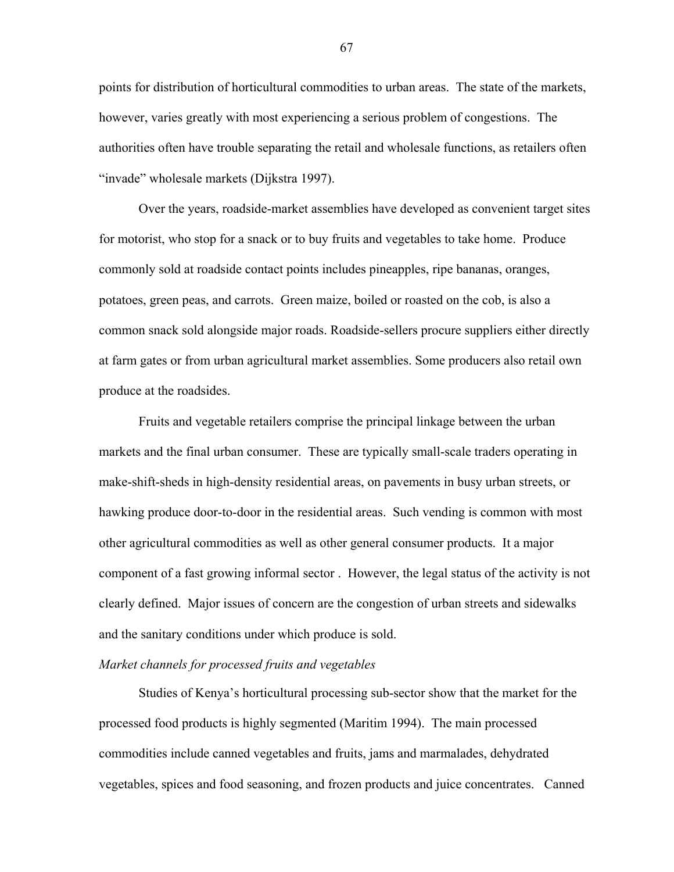points for distribution of horticultural commodities to urban areas. The state of the markets, however, varies greatly with most experiencing a serious problem of congestions. The authorities often have trouble separating the retail and wholesale functions, as retailers often "invade" wholesale markets (Dijkstra 1997).

Over the years, roadside-market assemblies have developed as convenient target sites for motorist, who stop for a snack or to buy fruits and vegetables to take home. Produce commonly sold at roadside contact points includes pineapples, ripe bananas, oranges, potatoes, green peas, and carrots. Green maize, boiled or roasted on the cob, is also a common snack sold alongside major roads. Roadside-sellers procure suppliers either directly at farm gates or from urban agricultural market assemblies. Some producers also retail own produce at the roadsides.

Fruits and vegetable retailers comprise the principal linkage between the urban markets and the final urban consumer. These are typically small-scale traders operating in make-shift-sheds in high-density residential areas, on pavements in busy urban streets, or hawking produce door-to-door in the residential areas. Such vending is common with most other agricultural commodities as well as other general consumer products. It a major component of a fast growing informal sector . However, the legal status of the activity is not clearly defined. Major issues of concern are the congestion of urban streets and sidewalks and the sanitary conditions under which produce is sold.

# *Market channels for processed fruits and vegetables*

Studies of Kenya's horticultural processing sub-sector show that the market for the processed food products is highly segmented (Maritim 1994). The main processed commodities include canned vegetables and fruits, jams and marmalades, dehydrated vegetables, spices and food seasoning, and frozen products and juice concentrates. Canned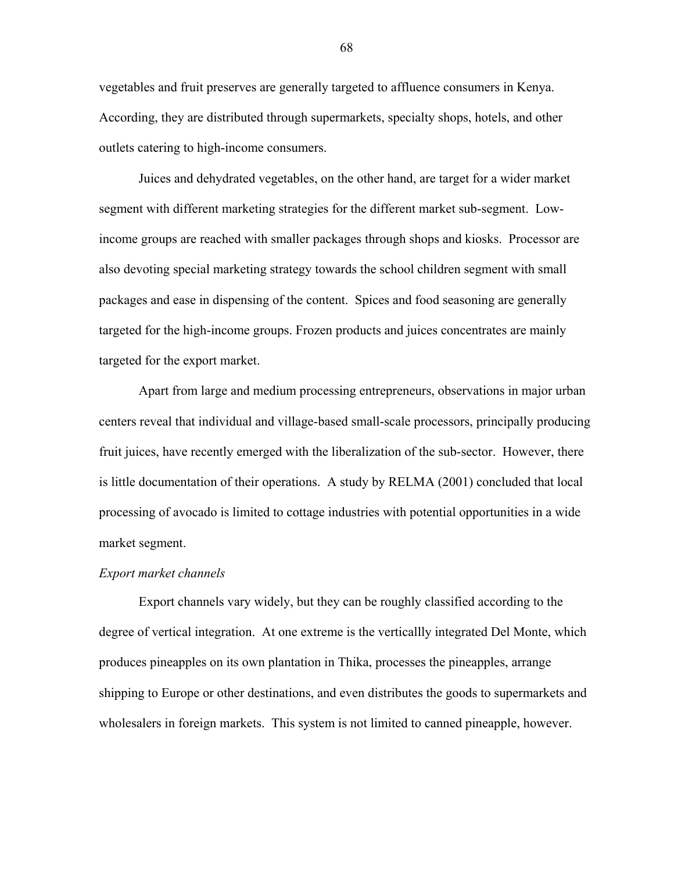vegetables and fruit preserves are generally targeted to affluence consumers in Kenya. According, they are distributed through supermarkets, specialty shops, hotels, and other outlets catering to high-income consumers.

Juices and dehydrated vegetables, on the other hand, are target for a wider market segment with different marketing strategies for the different market sub-segment. Lowincome groups are reached with smaller packages through shops and kiosks. Processor are also devoting special marketing strategy towards the school children segment with small packages and ease in dispensing of the content. Spices and food seasoning are generally targeted for the high-income groups. Frozen products and juices concentrates are mainly targeted for the export market.

Apart from large and medium processing entrepreneurs, observations in major urban centers reveal that individual and village-based small-scale processors, principally producing fruit juices, have recently emerged with the liberalization of the sub-sector. However, there is little documentation of their operations. A study by RELMA (2001) concluded that local processing of avocado is limited to cottage industries with potential opportunities in a wide market segment.

#### *Export market channels*

Export channels vary widely, but they can be roughly classified according to the degree of vertical integration. At one extreme is the verticallly integrated Del Monte, which produces pineapples on its own plantation in Thika, processes the pineapples, arrange shipping to Europe or other destinations, and even distributes the goods to supermarkets and wholesalers in foreign markets. This system is not limited to canned pineapple, however.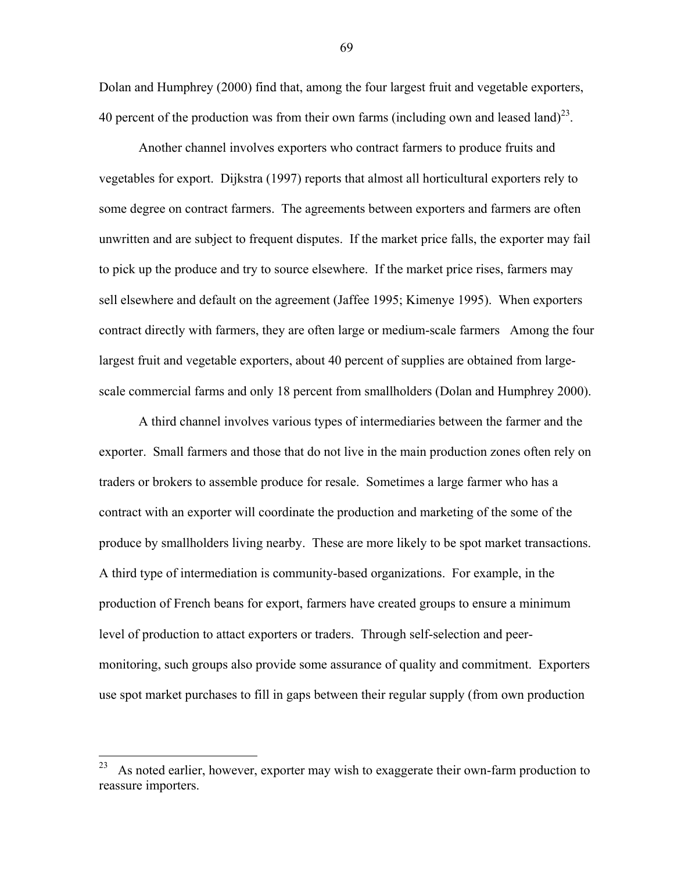Dolan and Humphrey (2000) find that, among the four largest fruit and vegetable exporters, 40 percent of the production was from their own farms (including own and leased land)<sup>23</sup>.

Another channel involves exporters who contract farmers to produce fruits and vegetables for export. Dijkstra (1997) reports that almost all horticultural exporters rely to some degree on contract farmers. The agreements between exporters and farmers are often unwritten and are subject to frequent disputes. If the market price falls, the exporter may fail to pick up the produce and try to source elsewhere. If the market price rises, farmers may sell elsewhere and default on the agreement (Jaffee 1995; Kimenye 1995). When exporters contract directly with farmers, they are often large or medium-scale farmers Among the four largest fruit and vegetable exporters, about 40 percent of supplies are obtained from largescale commercial farms and only 18 percent from smallholders (Dolan and Humphrey 2000).

A third channel involves various types of intermediaries between the farmer and the exporter. Small farmers and those that do not live in the main production zones often rely on traders or brokers to assemble produce for resale. Sometimes a large farmer who has a contract with an exporter will coordinate the production and marketing of the some of the produce by smallholders living nearby. These are more likely to be spot market transactions. A third type of intermediation is community-based organizations. For example, in the production of French beans for export, farmers have created groups to ensure a minimum level of production to attact exporters or traders. Through self-selection and peermonitoring, such groups also provide some assurance of quality and commitment. Exporters use spot market purchases to fill in gaps between their regular supply (from own production

1

 $^{23}$  As noted earlier, however, exporter may wish to exaggerate their own-farm production to reassure importers.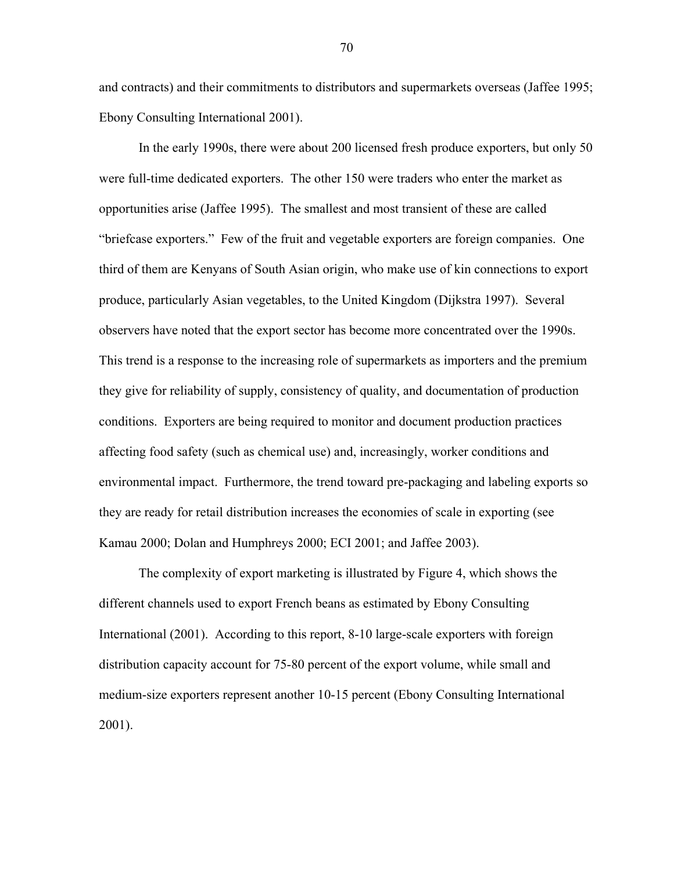and contracts) and their commitments to distributors and supermarkets overseas (Jaffee 1995; Ebony Consulting International 2001).

In the early 1990s, there were about 200 licensed fresh produce exporters, but only 50 were full-time dedicated exporters. The other 150 were traders who enter the market as opportunities arise (Jaffee 1995). The smallest and most transient of these are called "briefcase exporters." Few of the fruit and vegetable exporters are foreign companies. One third of them are Kenyans of South Asian origin, who make use of kin connections to export produce, particularly Asian vegetables, to the United Kingdom (Dijkstra 1997). Several observers have noted that the export sector has become more concentrated over the 1990s. This trend is a response to the increasing role of supermarkets as importers and the premium they give for reliability of supply, consistency of quality, and documentation of production conditions. Exporters are being required to monitor and document production practices affecting food safety (such as chemical use) and, increasingly, worker conditions and environmental impact. Furthermore, the trend toward pre-packaging and labeling exports so they are ready for retail distribution increases the economies of scale in exporting (see Kamau 2000; Dolan and Humphreys 2000; ECI 2001; and Jaffee 2003).

The complexity of export marketing is illustrated by Figure 4, which shows the different channels used to export French beans as estimated by Ebony Consulting International (2001). According to this report, 8-10 large-scale exporters with foreign distribution capacity account for 75-80 percent of the export volume, while small and medium-size exporters represent another 10-15 percent (Ebony Consulting International 2001).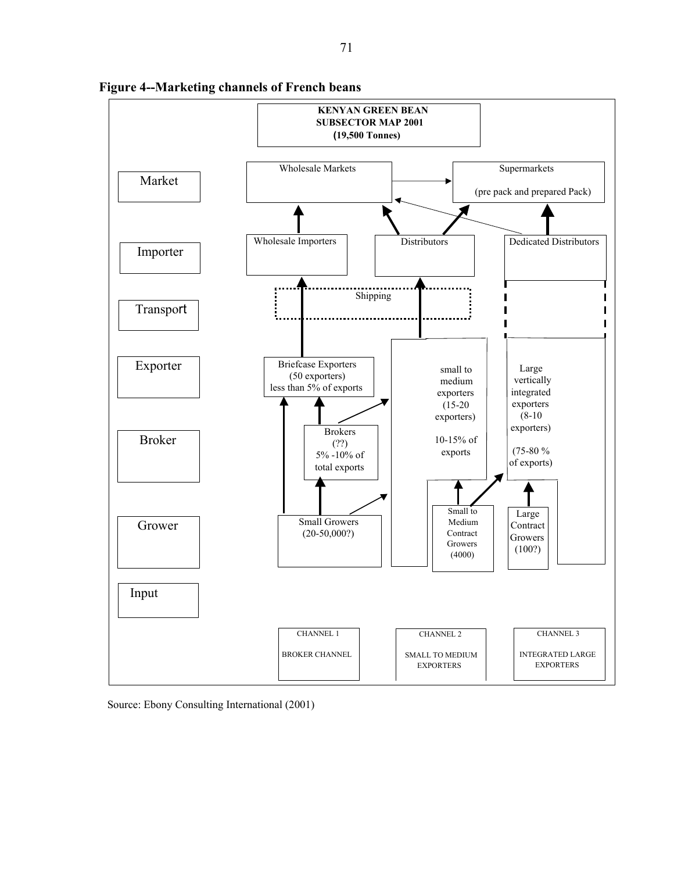

**Figure 4--Marketing channels of French beans** 

Source: Ebony Consulting International (2001)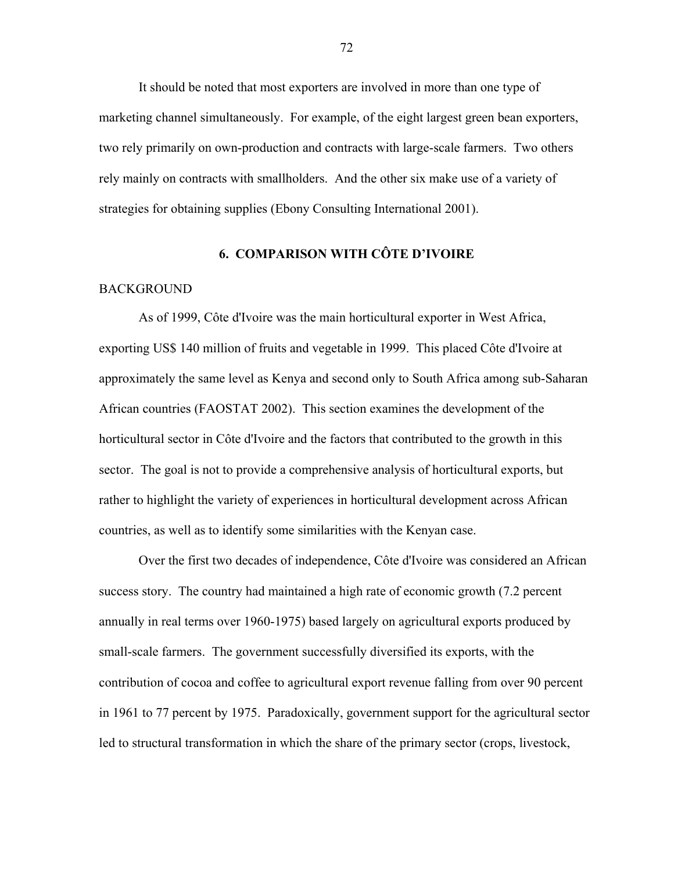It should be noted that most exporters are involved in more than one type of marketing channel simultaneously. For example, of the eight largest green bean exporters, two rely primarily on own-production and contracts with large-scale farmers. Two others rely mainly on contracts with smallholders. And the other six make use of a variety of strategies for obtaining supplies (Ebony Consulting International 2001).

# **6. COMPARISON WITH CÔTE D'IVOIRE**

#### BACKGROUND

As of 1999, Côte d'Ivoire was the main horticultural exporter in West Africa, exporting US\$ 140 million of fruits and vegetable in 1999. This placed Côte d'Ivoire at approximately the same level as Kenya and second only to South Africa among sub-Saharan African countries (FAOSTAT 2002). This section examines the development of the horticultural sector in Côte d'Ivoire and the factors that contributed to the growth in this sector. The goal is not to provide a comprehensive analysis of horticultural exports, but rather to highlight the variety of experiences in horticultural development across African countries, as well as to identify some similarities with the Kenyan case.

Over the first two decades of independence, Côte d'Ivoire was considered an African success story. The country had maintained a high rate of economic growth (7.2 percent annually in real terms over 1960-1975) based largely on agricultural exports produced by small-scale farmers. The government successfully diversified its exports, with the contribution of cocoa and coffee to agricultural export revenue falling from over 90 percent in 1961 to 77 percent by 1975. Paradoxically, government support for the agricultural sector led to structural transformation in which the share of the primary sector (crops, livestock,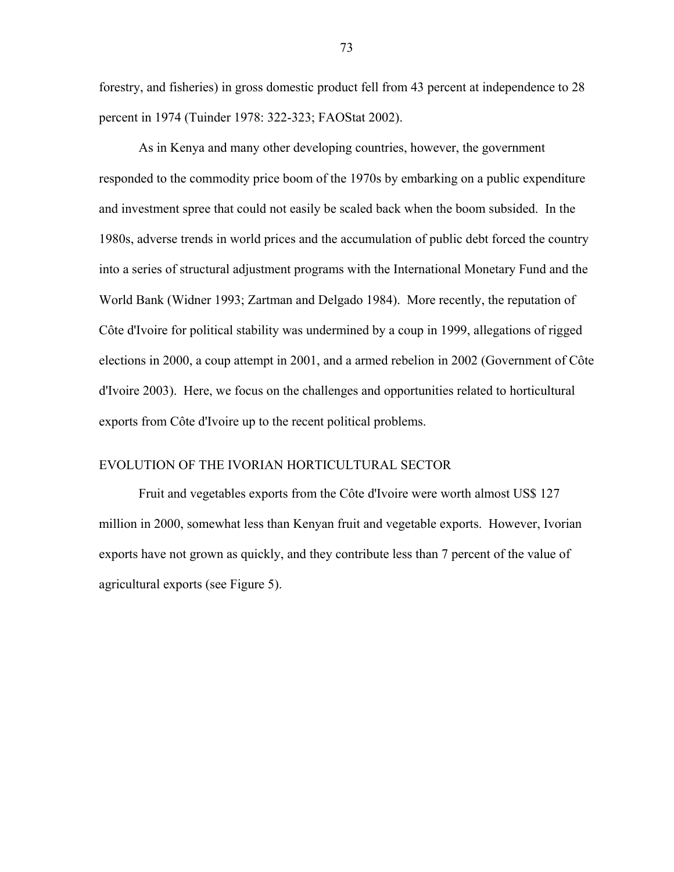forestry, and fisheries) in gross domestic product fell from 43 percent at independence to 28 percent in 1974 (Tuinder 1978: 322-323; FAOStat 2002).

As in Kenya and many other developing countries, however, the government responded to the commodity price boom of the 1970s by embarking on a public expenditure and investment spree that could not easily be scaled back when the boom subsided. In the 1980s, adverse trends in world prices and the accumulation of public debt forced the country into a series of structural adjustment programs with the International Monetary Fund and the World Bank (Widner 1993; Zartman and Delgado 1984). More recently, the reputation of Côte d'Ivoire for political stability was undermined by a coup in 1999, allegations of rigged elections in 2000, a coup attempt in 2001, and a armed rebelion in 2002 (Government of Côte d'Ivoire 2003). Here, we focus on the challenges and opportunities related to horticultural exports from Côte d'Ivoire up to the recent political problems.

### EVOLUTION OF THE IVORIAN HORTICULTURAL SECTOR

Fruit and vegetables exports from the Côte d'Ivoire were worth almost US\$ 127 million in 2000, somewhat less than Kenyan fruit and vegetable exports. However, Ivorian exports have not grown as quickly, and they contribute less than 7 percent of the value of agricultural exports (see Figure 5).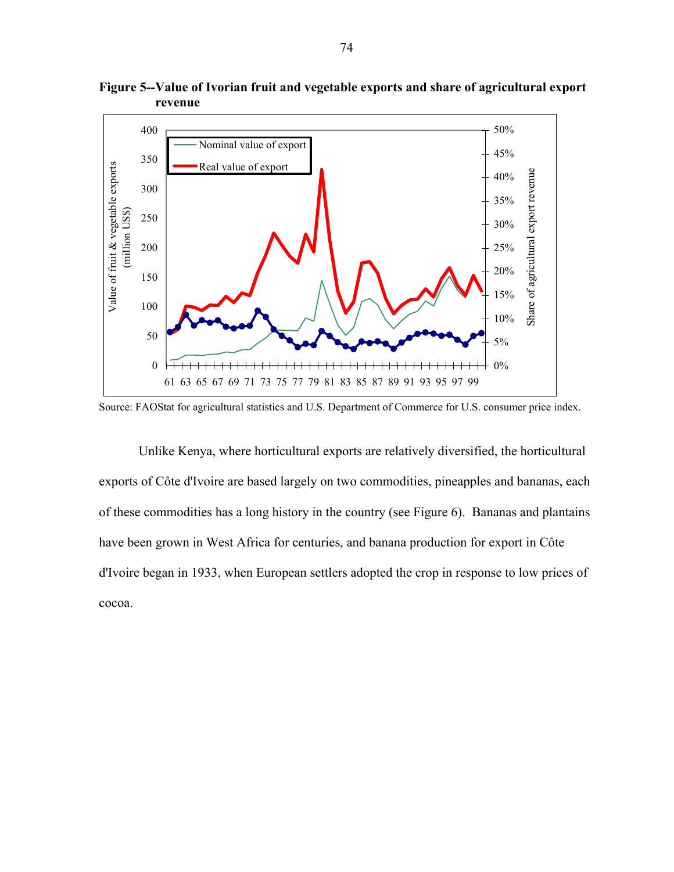

**Figure 5--Value of Ivorian fruit and vegetable exports and share of agricultural export revenue** 

Source: FAOStat for agricultural statistics and U.S. Department of Commerce for U.S. consumer price index.

Unlike Kenya, where horticultural exports are relatively diversified, the horticultural exports of Côte d'Ivoire are based largely on two commodities, pineapples and bananas, each of these commodities has a long history in the country (see Figure 6). Bananas and plantains have been grown in West Africa for centuries, and banana production for export in Côte d'Ivoire began in 1933, when European settlers adopted the crop in response to low prices of cocoa.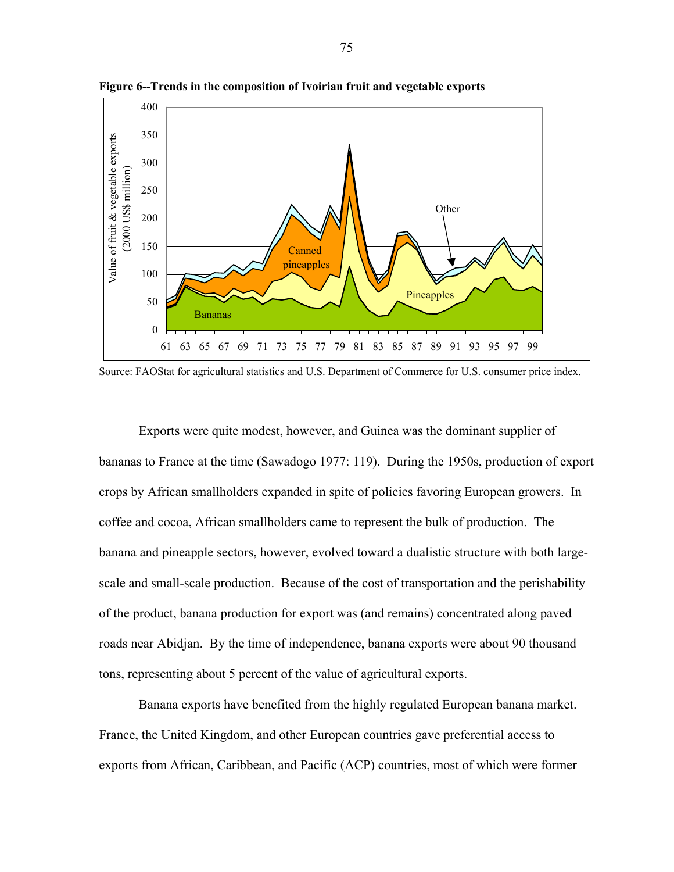

**Figure 6--Trends in the composition of Ivoirian fruit and vegetable exports** 

Source: FAOStat for agricultural statistics and U.S. Department of Commerce for U.S. consumer price index.

Exports were quite modest, however, and Guinea was the dominant supplier of bananas to France at the time (Sawadogo 1977: 119). During the 1950s, production of export crops by African smallholders expanded in spite of policies favoring European growers. In coffee and cocoa, African smallholders came to represent the bulk of production. The banana and pineapple sectors, however, evolved toward a dualistic structure with both largescale and small-scale production. Because of the cost of transportation and the perishability of the product, banana production for export was (and remains) concentrated along paved roads near Abidjan. By the time of independence, banana exports were about 90 thousand tons, representing about 5 percent of the value of agricultural exports.

Banana exports have benefited from the highly regulated European banana market. France, the United Kingdom, and other European countries gave preferential access to exports from African, Caribbean, and Pacific (ACP) countries, most of which were former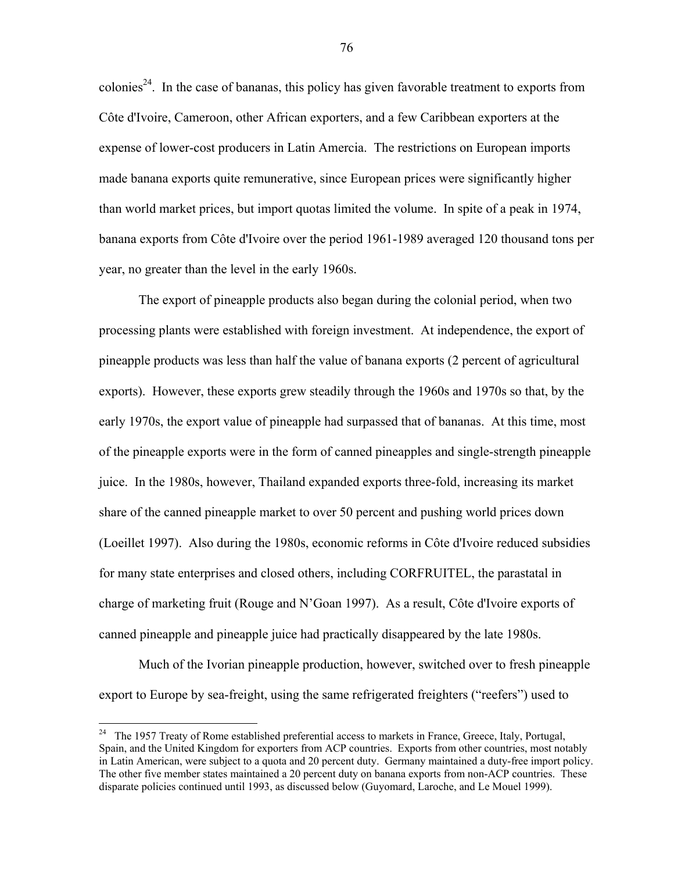colonies<sup>24</sup>. In the case of bananas, this policy has given favorable treatment to exports from Côte d'Ivoire, Cameroon, other African exporters, and a few Caribbean exporters at the expense of lower-cost producers in Latin Amercia. The restrictions on European imports made banana exports quite remunerative, since European prices were significantly higher than world market prices, but import quotas limited the volume. In spite of a peak in 1974, banana exports from Côte d'Ivoire over the period 1961-1989 averaged 120 thousand tons per year, no greater than the level in the early 1960s.

The export of pineapple products also began during the colonial period, when two processing plants were established with foreign investment. At independence, the export of pineapple products was less than half the value of banana exports (2 percent of agricultural exports). However, these exports grew steadily through the 1960s and 1970s so that, by the early 1970s, the export value of pineapple had surpassed that of bananas. At this time, most of the pineapple exports were in the form of canned pineapples and single-strength pineapple juice. In the 1980s, however, Thailand expanded exports three-fold, increasing its market share of the canned pineapple market to over 50 percent and pushing world prices down (Loeillet 1997). Also during the 1980s, economic reforms in Côte d'Ivoire reduced subsidies for many state enterprises and closed others, including CORFRUITEL, the parastatal in charge of marketing fruit (Rouge and N'Goan 1997). As a result, Côte d'Ivoire exports of canned pineapple and pineapple juice had practically disappeared by the late 1980s.

Much of the Ivorian pineapple production, however, switched over to fresh pineapple export to Europe by sea-freight, using the same refrigerated freighters ("reefers") used to

 $\overline{a}$ 

 $24$  The 1957 Treaty of Rome established preferential access to markets in France, Greece, Italy, Portugal, Spain, and the United Kingdom for exporters from ACP countries. Exports from other countries, most notably in Latin American, were subject to a quota and 20 percent duty. Germany maintained a duty-free import policy. The other five member states maintained a 20 percent duty on banana exports from non-ACP countries. These disparate policies continued until 1993, as discussed below (Guyomard, Laroche, and Le Mouel 1999).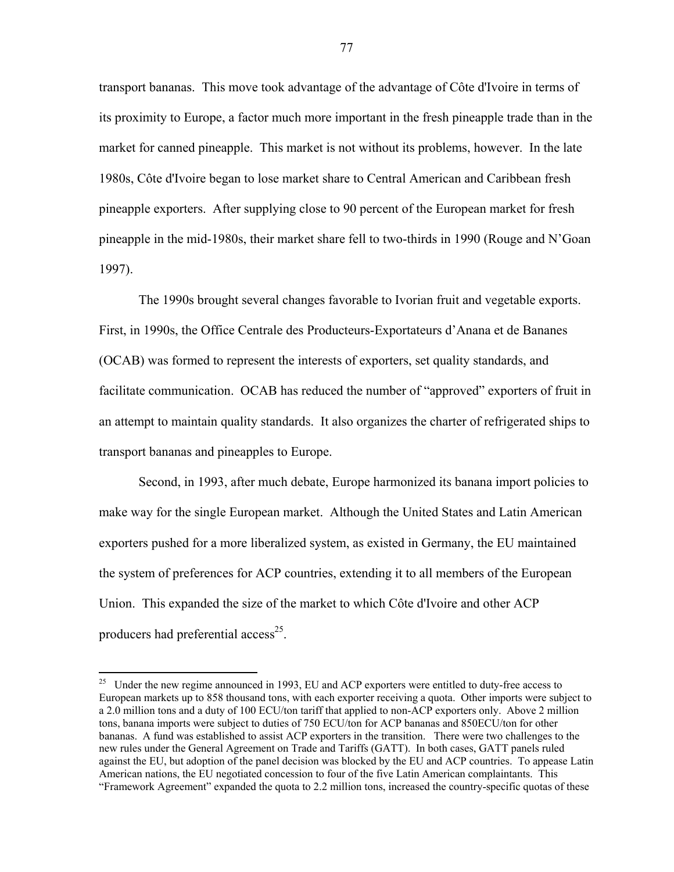transport bananas. This move took advantage of the advantage of Côte d'Ivoire in terms of its proximity to Europe, a factor much more important in the fresh pineapple trade than in the market for canned pineapple. This market is not without its problems, however. In the late 1980s, CÙte d'Ivoire began to lose market share to Central American and Caribbean fresh pineapple exporters. After supplying close to 90 percent of the European market for fresh pineapple in the mid-1980s, their market share fell to two-thirds in 1990 (Rouge and N'Goan 1997).

The 1990s brought several changes favorable to Ivorian fruit and vegetable exports. First, in 1990s, the Office Centrale des Producteurs-Exportateurs d'Anana et de Bananes (OCAB) was formed to represent the interests of exporters, set quality standards, and facilitate communication. OCAB has reduced the number of "approved" exporters of fruit in an attempt to maintain quality standards. It also organizes the charter of refrigerated ships to transport bananas and pineapples to Europe.

Second, in 1993, after much debate, Europe harmonized its banana import policies to make way for the single European market. Although the United States and Latin American exporters pushed for a more liberalized system, as existed in Germany, the EU maintained the system of preferences for ACP countries, extending it to all members of the European Union. This expanded the size of the market to which Côte d'Ivoire and other ACP producers had preferential access<sup>25</sup>.

 $\overline{a}$ 

<sup>&</sup>lt;sup>25</sup> Under the new regime announced in 1993, EU and ACP exporters were entitled to duty-free access to European markets up to 858 thousand tons, with each exporter receiving a quota. Other imports were subject to a 2.0 million tons and a duty of 100 ECU/ton tariff that applied to non-ACP exporters only. Above 2 million tons, banana imports were subject to duties of 750 ECU/ton for ACP bananas and 850ECU/ton for other bananas. A fund was established to assist ACP exporters in the transition. There were two challenges to the new rules under the General Agreement on Trade and Tariffs (GATT). In both cases, GATT panels ruled against the EU, but adoption of the panel decision was blocked by the EU and ACP countries. To appease Latin American nations, the EU negotiated concession to four of the five Latin American complaintants. This ìFramework Agreementî expanded the quota to 2.2 million tons, increased the country-specific quotas of these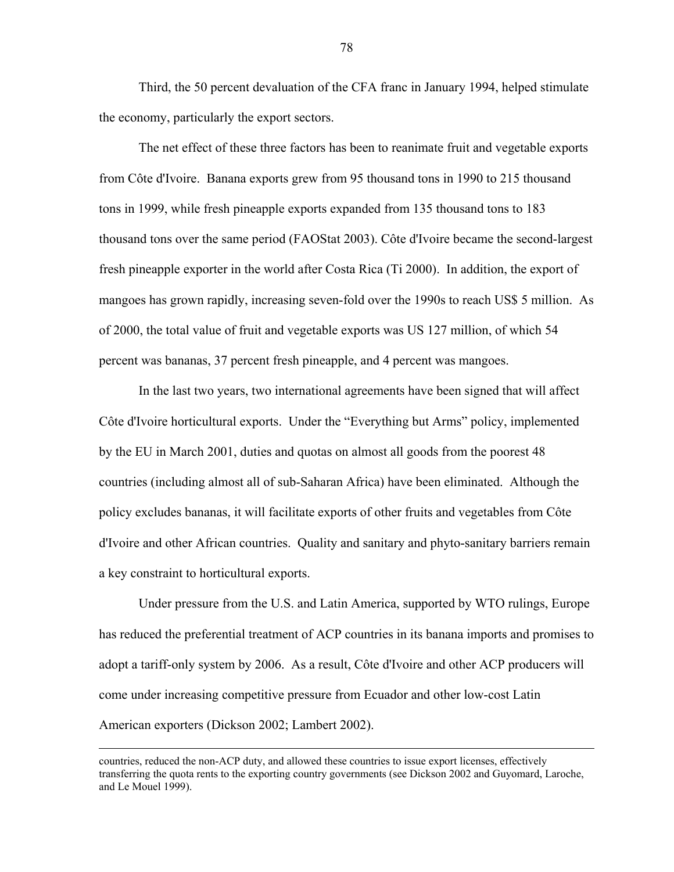Third, the 50 percent devaluation of the CFA franc in January 1994, helped stimulate the economy, particularly the export sectors.

The net effect of these three factors has been to reanimate fruit and vegetable exports from Côte d'Ivoire. Banana exports grew from 95 thousand tons in 1990 to 215 thousand tons in 1999, while fresh pineapple exports expanded from 135 thousand tons to 183 thousand tons over the same period (FAOStat 2003). Côte d'Ivoire became the second-largest fresh pineapple exporter in the world after Costa Rica (Ti 2000). In addition, the export of mangoes has grown rapidly, increasing seven-fold over the 1990s to reach US\$ 5 million. As of 2000, the total value of fruit and vegetable exports was US 127 million, of which 54 percent was bananas, 37 percent fresh pineapple, and 4 percent was mangoes.

In the last two years, two international agreements have been signed that will affect Côte d'Ivoire horticultural exports. Under the "Everything but Arms" policy, implemented by the EU in March 2001, duties and quotas on almost all goods from the poorest 48 countries (including almost all of sub-Saharan Africa) have been eliminated. Although the policy excludes bananas, it will facilitate exports of other fruits and vegetables from Côte d'Ivoire and other African countries. Quality and sanitary and phyto-sanitary barriers remain a key constraint to horticultural exports.

Under pressure from the U.S. and Latin America, supported by WTO rulings, Europe has reduced the preferential treatment of ACP countries in its banana imports and promises to adopt a tariff-only system by 2006. As a result, Côte d'Ivoire and other ACP producers will come under increasing competitive pressure from Ecuador and other low-cost Latin American exporters (Dickson 2002; Lambert 2002).

countries, reduced the non-ACP duty, and allowed these countries to issue export licenses, effectively transferring the quota rents to the exporting country governments (see Dickson 2002 and Guyomard, Laroche, and Le Mouel 1999).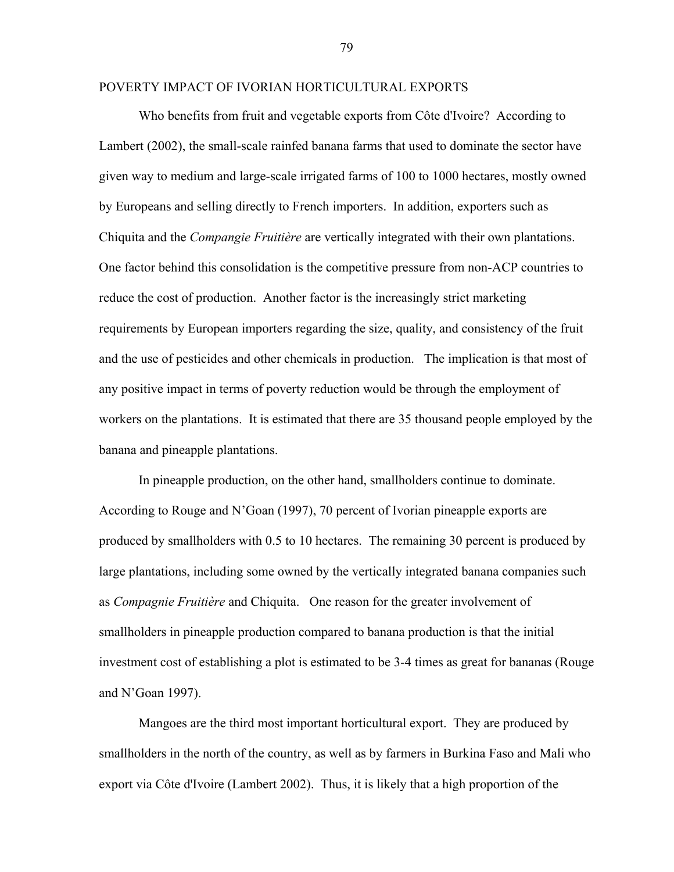## POVERTY IMPACT OF IVORIAN HORTICULTURAL EXPORTS

Who benefits from fruit and vegetable exports from Côte d'Ivoire? According to Lambert (2002), the small-scale rainfed banana farms that used to dominate the sector have given way to medium and large-scale irrigated farms of 100 to 1000 hectares, mostly owned by Europeans and selling directly to French importers. In addition, exporters such as Chiquita and the *Compangie Fruitière* are vertically integrated with their own plantations. One factor behind this consolidation is the competitive pressure from non-ACP countries to reduce the cost of production. Another factor is the increasingly strict marketing requirements by European importers regarding the size, quality, and consistency of the fruit and the use of pesticides and other chemicals in production. The implication is that most of any positive impact in terms of poverty reduction would be through the employment of workers on the plantations. It is estimated that there are 35 thousand people employed by the banana and pineapple plantations.

In pineapple production, on the other hand, smallholders continue to dominate. According to Rouge and N'Goan (1997), 70 percent of Ivorian pineapple exports are produced by smallholders with 0.5 to 10 hectares. The remaining 30 percent is produced by large plantations, including some owned by the vertically integrated banana companies such as *Compagnie Fruitière* and Chiquita. One reason for the greater involvement of smallholders in pineapple production compared to banana production is that the initial investment cost of establishing a plot is estimated to be 3-4 times as great for bananas (Rouge and N'Goan 1997).

Mangoes are the third most important horticultural export. They are produced by smallholders in the north of the country, as well as by farmers in Burkina Faso and Mali who export via Côte d'Ivoire (Lambert 2002). Thus, it is likely that a high proportion of the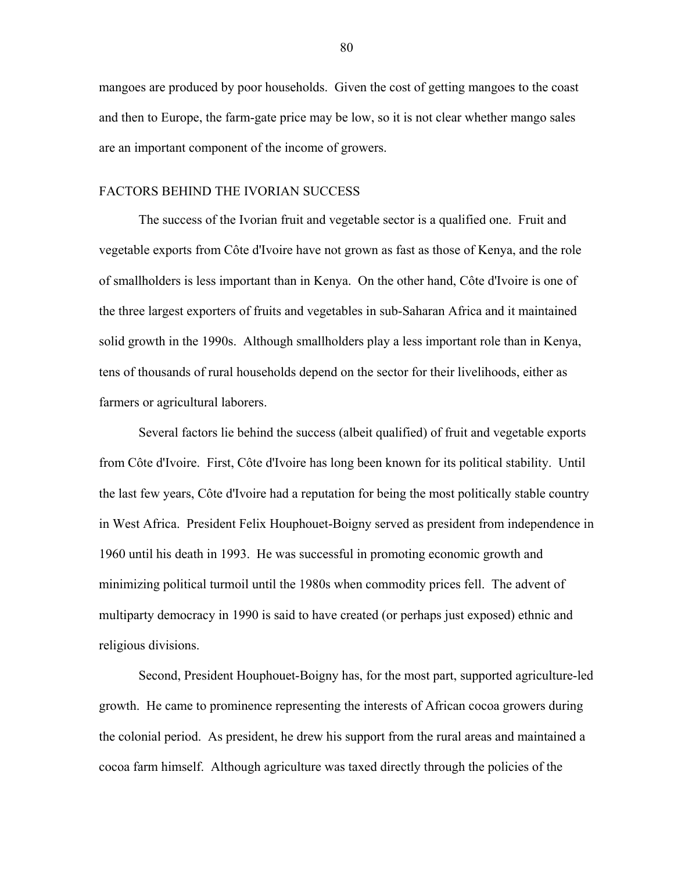mangoes are produced by poor households. Given the cost of getting mangoes to the coast and then to Europe, the farm-gate price may be low, so it is not clear whether mango sales are an important component of the income of growers.

## FACTORS BEHIND THE IVORIAN SUCCESS

The success of the Ivorian fruit and vegetable sector is a qualified one. Fruit and vegetable exports from CÙte d'Ivoire have not grown as fast as those of Kenya, and the role of smallholders is less important than in Kenya. On the other hand, Côte d'Ivoire is one of the three largest exporters of fruits and vegetables in sub-Saharan Africa and it maintained solid growth in the 1990s. Although smallholders play a less important role than in Kenya, tens of thousands of rural households depend on the sector for their livelihoods, either as farmers or agricultural laborers.

Several factors lie behind the success (albeit qualified) of fruit and vegetable exports from CÙte d'Ivoire. First, CÙte d'Ivoire has long been known for its political stability. Until the last few years, Côte d'Ivoire had a reputation for being the most politically stable country in West Africa. President Felix Houphouet-Boigny served as president from independence in 1960 until his death in 1993. He was successful in promoting economic growth and minimizing political turmoil until the 1980s when commodity prices fell. The advent of multiparty democracy in 1990 is said to have created (or perhaps just exposed) ethnic and religious divisions.

Second, President Houphouet-Boigny has, for the most part, supported agriculture-led growth. He came to prominence representing the interests of African cocoa growers during the colonial period. As president, he drew his support from the rural areas and maintained a cocoa farm himself. Although agriculture was taxed directly through the policies of the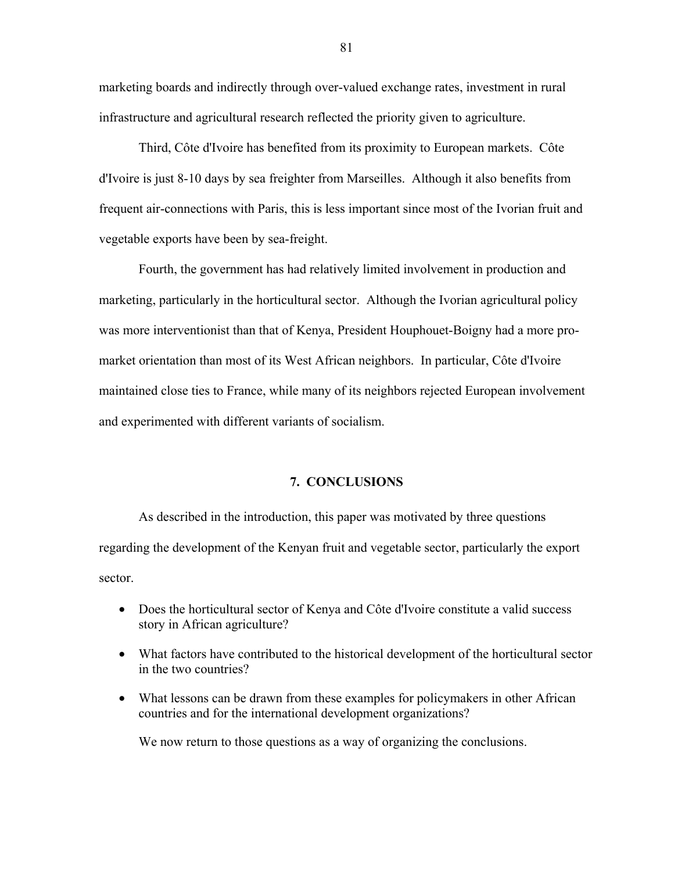marketing boards and indirectly through over-valued exchange rates, investment in rural infrastructure and agricultural research reflected the priority given to agriculture.

Third, Côte d'Ivoire has benefited from its proximity to European markets. Côte d'Ivoire is just 8-10 days by sea freighter from Marseilles. Although it also benefits from frequent air-connections with Paris, this is less important since most of the Ivorian fruit and vegetable exports have been by sea-freight.

Fourth, the government has had relatively limited involvement in production and marketing, particularly in the horticultural sector. Although the Ivorian agricultural policy was more interventionist than that of Kenya, President Houphouet-Boigny had a more promarket orientation than most of its West African neighbors. In particular, Côte d'Ivoire maintained close ties to France, while many of its neighbors rejected European involvement and experimented with different variants of socialism.

#### **7. CONCLUSIONS**

As described in the introduction, this paper was motivated by three questions regarding the development of the Kenyan fruit and vegetable sector, particularly the export sector.

- Does the horticultural sector of Kenya and Côte d'Ivoire constitute a valid success story in African agriculture?
- What factors have contributed to the historical development of the horticultural sector in the two countries?
- What lessons can be drawn from these examples for policymakers in other African countries and for the international development organizations?

We now return to those questions as a way of organizing the conclusions.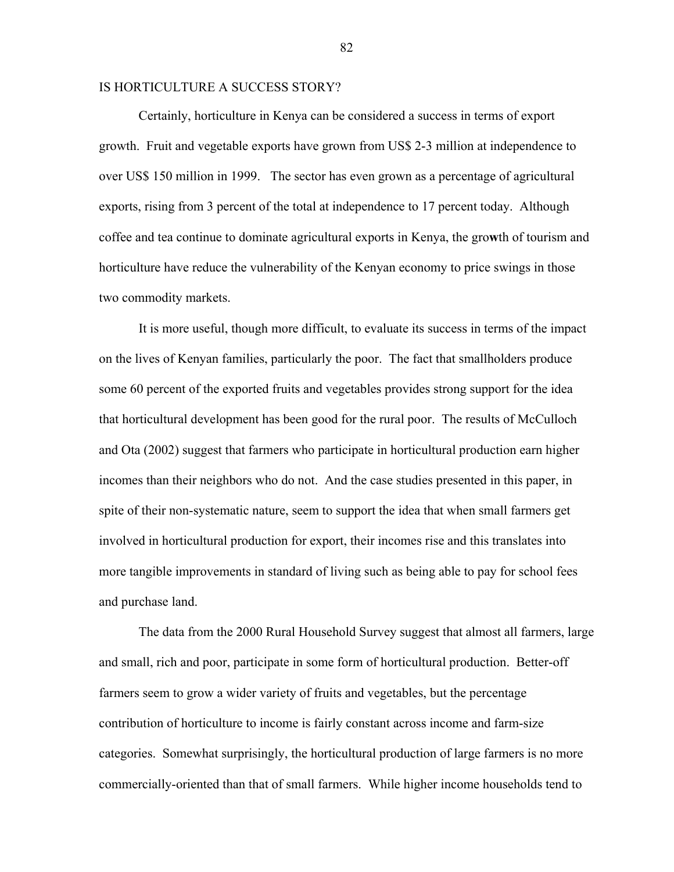### IS HORTICULTURE A SUCCESS STORY?

Certainly, horticulture in Kenya can be considered a success in terms of export growth. Fruit and vegetable exports have grown from US\$ 2-3 million at independence to over US\$ 150 million in 1999. The sector has even grown as a percentage of agricultural exports, rising from 3 percent of the total at independence to 17 percent today. Although coffee and tea continue to dominate agricultural exports in Kenya, the gro**w**th of tourism and horticulture have reduce the vulnerability of the Kenyan economy to price swings in those two commodity markets.

It is more useful, though more difficult, to evaluate its success in terms of the impact on the lives of Kenyan families, particularly the poor. The fact that smallholders produce some 60 percent of the exported fruits and vegetables provides strong support for the idea that horticultural development has been good for the rural poor. The results of McCulloch and Ota (2002) suggest that farmers who participate in horticultural production earn higher incomes than their neighbors who do not. And the case studies presented in this paper, in spite of their non-systematic nature, seem to support the idea that when small farmers get involved in horticultural production for export, their incomes rise and this translates into more tangible improvements in standard of living such as being able to pay for school fees and purchase land.

The data from the 2000 Rural Household Survey suggest that almost all farmers, large and small, rich and poor, participate in some form of horticultural production. Better-off farmers seem to grow a wider variety of fruits and vegetables, but the percentage contribution of horticulture to income is fairly constant across income and farm-size categories. Somewhat surprisingly, the horticultural production of large farmers is no more commercially-oriented than that of small farmers. While higher income households tend to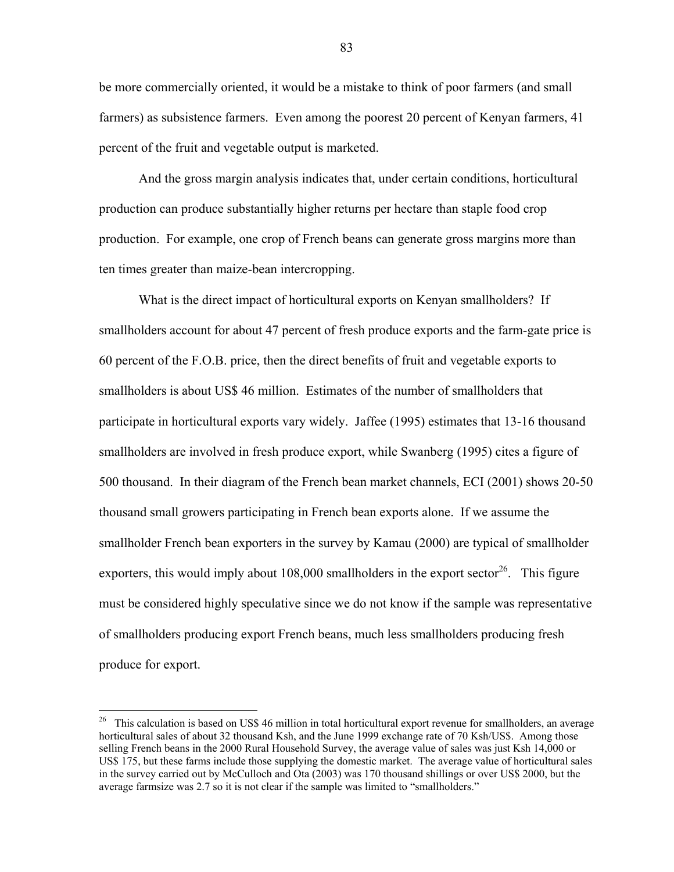be more commercially oriented, it would be a mistake to think of poor farmers (and small farmers) as subsistence farmers. Even among the poorest 20 percent of Kenyan farmers, 41 percent of the fruit and vegetable output is marketed.

And the gross margin analysis indicates that, under certain conditions, horticultural production can produce substantially higher returns per hectare than staple food crop production. For example, one crop of French beans can generate gross margins more than ten times greater than maize-bean intercropping.

What is the direct impact of horticultural exports on Kenyan smallholders? If smallholders account for about 47 percent of fresh produce exports and the farm-gate price is 60 percent of the F.O.B. price, then the direct benefits of fruit and vegetable exports to smallholders is about US\$ 46 million. Estimates of the number of smallholders that participate in horticultural exports vary widely. Jaffee (1995) estimates that 13-16 thousand smallholders are involved in fresh produce export, while Swanberg (1995) cites a figure of 500 thousand. In their diagram of the French bean market channels, ECI (2001) shows 20-50 thousand small growers participating in French bean exports alone. If we assume the smallholder French bean exporters in the survey by Kamau (2000) are typical of smallholder exporters, this would imply about  $108,000$  smallholders in the export sector<sup>26</sup>. This figure must be considered highly speculative since we do not know if the sample was representative of smallholders producing export French beans, much less smallholders producing fresh produce for export.

 $\overline{a}$ 

<sup>&</sup>lt;sup>26</sup> This calculation is based on US\$ 46 million in total horticultural export revenue for smallholders, an average horticultural sales of about 32 thousand Ksh, and the June 1999 exchange rate of 70 Ksh/US\$. Among those selling French beans in the 2000 Rural Household Survey, the average value of sales was just Ksh 14,000 or US\$ 175, but these farms include those supplying the domestic market. The average value of horticultural sales in the survey carried out by McCulloch and Ota (2003) was 170 thousand shillings or over US\$ 2000, but the average farmsize was 2.7 so it is not clear if the sample was limited to "smallholders."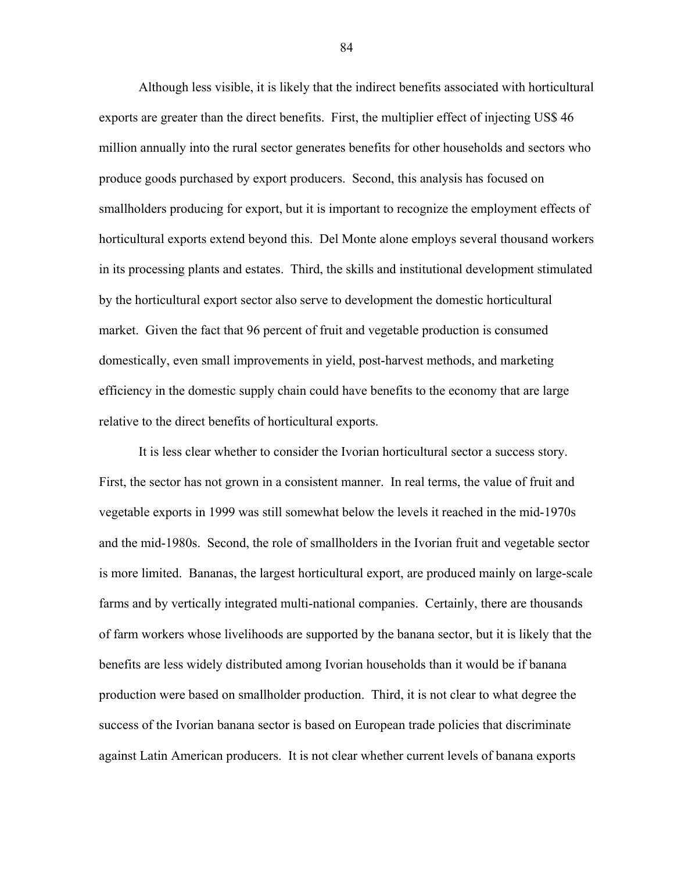Although less visible, it is likely that the indirect benefits associated with horticultural exports are greater than the direct benefits. First, the multiplier effect of injecting US\$ 46 million annually into the rural sector generates benefits for other households and sectors who produce goods purchased by export producers. Second, this analysis has focused on smallholders producing for export, but it is important to recognize the employment effects of horticultural exports extend beyond this. Del Monte alone employs several thousand workers in its processing plants and estates. Third, the skills and institutional development stimulated by the horticultural export sector also serve to development the domestic horticultural market. Given the fact that 96 percent of fruit and vegetable production is consumed domestically, even small improvements in yield, post-harvest methods, and marketing efficiency in the domestic supply chain could have benefits to the economy that are large relative to the direct benefits of horticultural exports.

It is less clear whether to consider the Ivorian horticultural sector a success story. First, the sector has not grown in a consistent manner. In real terms, the value of fruit and vegetable exports in 1999 was still somewhat below the levels it reached in the mid-1970s and the mid-1980s. Second, the role of smallholders in the Ivorian fruit and vegetable sector is more limited. Bananas, the largest horticultural export, are produced mainly on large-scale farms and by vertically integrated multi-national companies. Certainly, there are thousands of farm workers whose livelihoods are supported by the banana sector, but it is likely that the benefits are less widely distributed among Ivorian households than it would be if banana production were based on smallholder production. Third, it is not clear to what degree the success of the Ivorian banana sector is based on European trade policies that discriminate against Latin American producers. It is not clear whether current levels of banana exports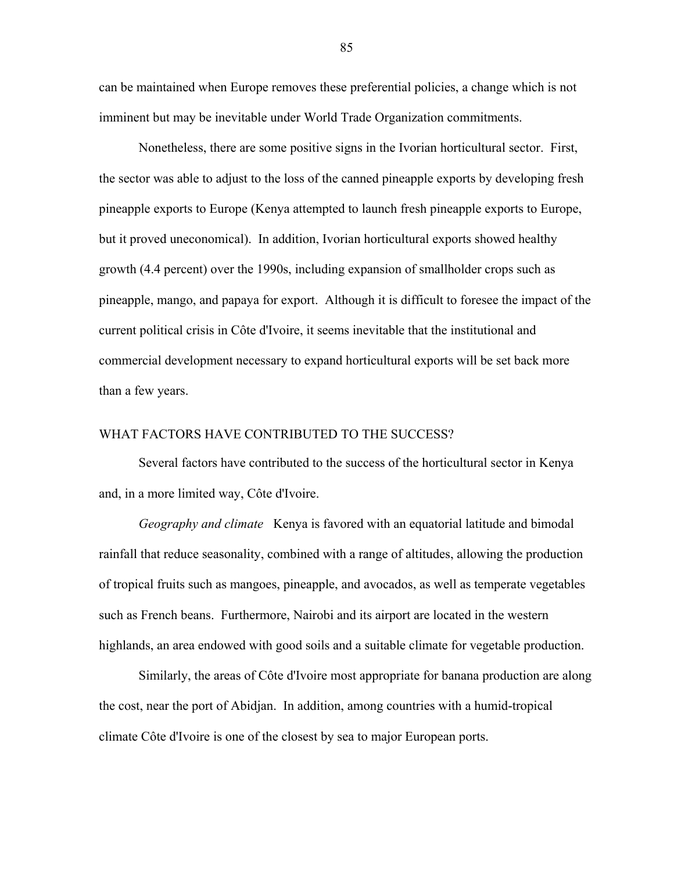can be maintained when Europe removes these preferential policies, a change which is not imminent but may be inevitable under World Trade Organization commitments.

Nonetheless, there are some positive signs in the Ivorian horticultural sector. First, the sector was able to adjust to the loss of the canned pineapple exports by developing fresh pineapple exports to Europe (Kenya attempted to launch fresh pineapple exports to Europe, but it proved uneconomical). In addition, Ivorian horticultural exports showed healthy growth (4.4 percent) over the 1990s, including expansion of smallholder crops such as pineapple, mango, and papaya for export. Although it is difficult to foresee the impact of the current political crisis in Côte d'Ivoire, it seems inevitable that the institutional and commercial development necessary to expand horticultural exports will be set back more than a few years.

## WHAT FACTORS HAVE CONTRIBUTED TO THE SUCCESS?

Several factors have contributed to the success of the horticultural sector in Kenya and, in a more limited way, Côte d'Ivoire.

*Geography and climate* Kenya is favored with an equatorial latitude and bimodal rainfall that reduce seasonality, combined with a range of altitudes, allowing the production of tropical fruits such as mangoes, pineapple, and avocados, as well as temperate vegetables such as French beans. Furthermore, Nairobi and its airport are located in the western highlands, an area endowed with good soils and a suitable climate for vegetable production.

Similarly, the areas of Côte d'Ivoire most appropriate for banana production are along the cost, near the port of Abidjan. In addition, among countries with a humid-tropical climate Côte d'Ivoire is one of the closest by sea to major European ports.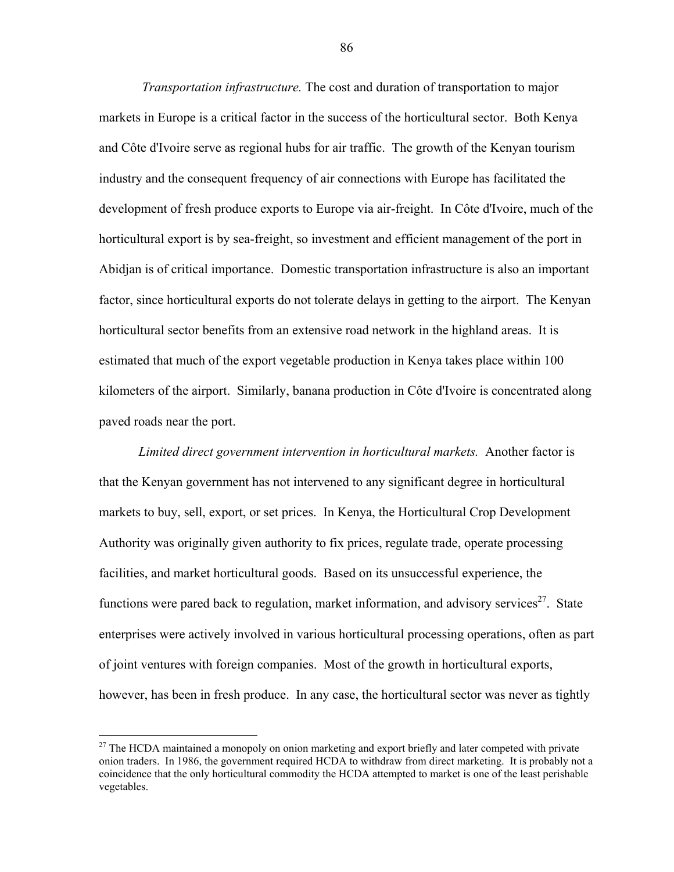*Transportation infrastructure.* The cost and duration of transportation to major markets in Europe is a critical factor in the success of the horticultural sector. Both Kenya and Côte d'Ivoire serve as regional hubs for air traffic. The growth of the Kenyan tourism industry and the consequent frequency of air connections with Europe has facilitated the development of fresh produce exports to Europe via air-freight. In Côte d'Ivoire, much of the horticultural export is by sea-freight, so investment and efficient management of the port in Abidjan is of critical importance. Domestic transportation infrastructure is also an important factor, since horticultural exports do not tolerate delays in getting to the airport. The Kenyan horticultural sector benefits from an extensive road network in the highland areas. It is estimated that much of the export vegetable production in Kenya takes place within 100 kilometers of the airport. Similarly, banana production in Côte d'Ivoire is concentrated along paved roads near the port.

*Limited direct government intervention in horticultural markets.* Another factor is that the Kenyan government has not intervened to any significant degree in horticultural markets to buy, sell, export, or set prices. In Kenya, the Horticultural Crop Development Authority was originally given authority to fix prices, regulate trade, operate processing facilities, and market horticultural goods. Based on its unsuccessful experience, the functions were pared back to regulation, market information, and advisory services $27$ . State enterprises were actively involved in various horticultural processing operations, often as part of joint ventures with foreign companies. Most of the growth in horticultural exports, however, has been in fresh produce. In any case, the horticultural sector was never as tightly

<u>.</u>

 $27$  The HCDA maintained a monopoly on onion marketing and export briefly and later competed with private onion traders. In 1986, the government required HCDA to withdraw from direct marketing. It is probably not a coincidence that the only horticultural commodity the HCDA attempted to market is one of the least perishable vegetables.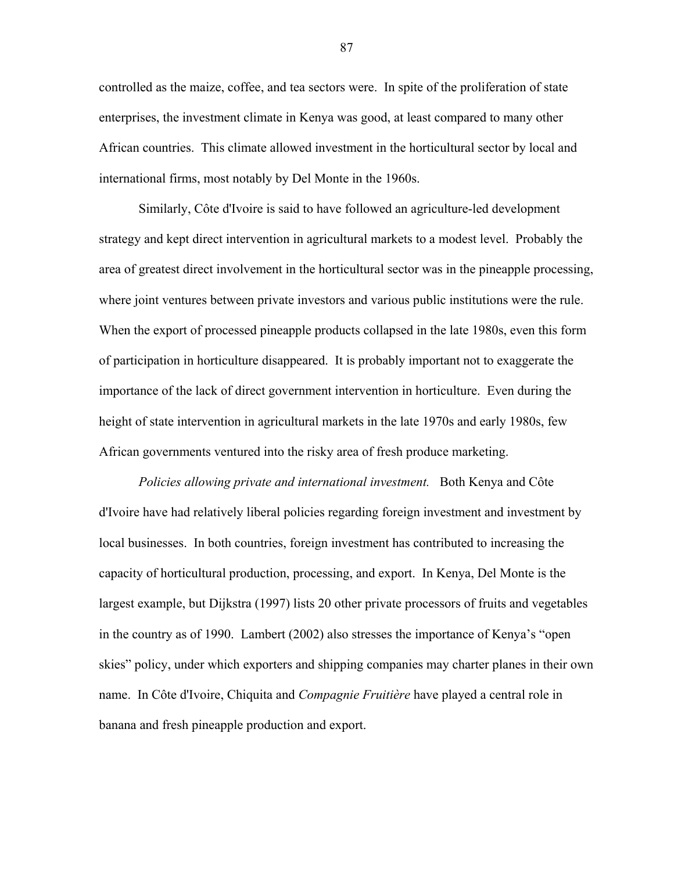controlled as the maize, coffee, and tea sectors were. In spite of the proliferation of state enterprises, the investment climate in Kenya was good, at least compared to many other African countries. This climate allowed investment in the horticultural sector by local and international firms, most notably by Del Monte in the 1960s.

Similarly, Côte d'Ivoire is said to have followed an agriculture-led development strategy and kept direct intervention in agricultural markets to a modest level. Probably the area of greatest direct involvement in the horticultural sector was in the pineapple processing, where joint ventures between private investors and various public institutions were the rule. When the export of processed pineapple products collapsed in the late 1980s, even this form of participation in horticulture disappeared. It is probably important not to exaggerate the importance of the lack of direct government intervention in horticulture. Even during the height of state intervention in agricultural markets in the late 1970s and early 1980s, few African governments ventured into the risky area of fresh produce marketing.

*Policies allowing private and international investment.* Both Kenya and Côte d'Ivoire have had relatively liberal policies regarding foreign investment and investment by local businesses. In both countries, foreign investment has contributed to increasing the capacity of horticultural production, processing, and export. In Kenya, Del Monte is the largest example, but Dijkstra (1997) lists 20 other private processors of fruits and vegetables in the country as of 1990. Lambert  $(2002)$  also stresses the importance of Kenya's "open skies" policy, under which exporters and shipping companies may charter planes in their own name. In Côte d'Ivoire, Chiquita and *Compagnie Fruitière* have played a central role in banana and fresh pineapple production and export.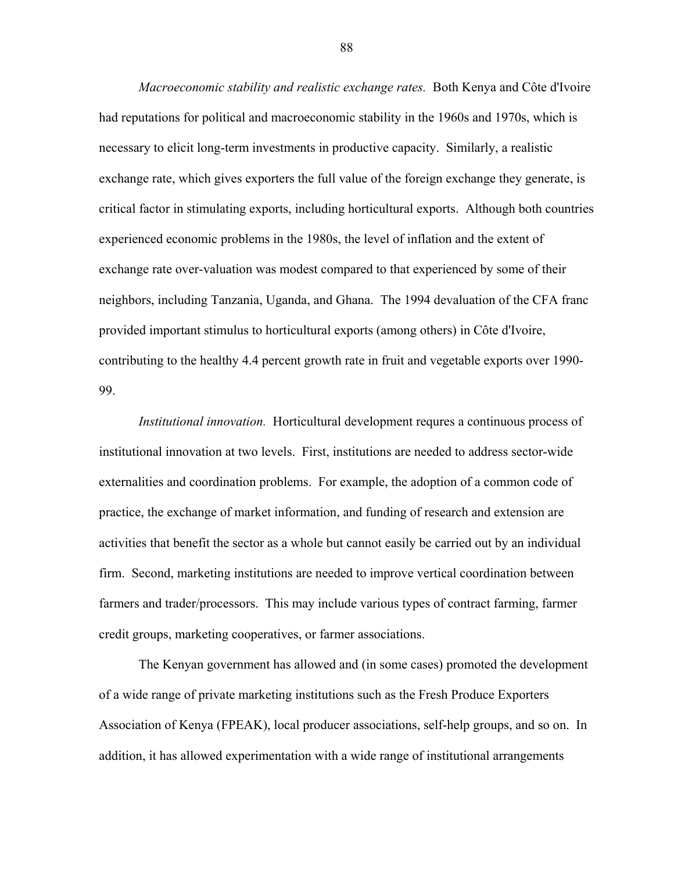*Macroeconomic stability and realistic exchange rates.* Both Kenya and Côte d'Ivoire had reputations for political and macroeconomic stability in the 1960s and 1970s, which is necessary to elicit long-term investments in productive capacity. Similarly, a realistic exchange rate, which gives exporters the full value of the foreign exchange they generate, is critical factor in stimulating exports, including horticultural exports. Although both countries experienced economic problems in the 1980s, the level of inflation and the extent of exchange rate over-valuation was modest compared to that experienced by some of their neighbors, including Tanzania, Uganda, and Ghana. The 1994 devaluation of the CFA franc provided important stimulus to horticultural exports (among others) in Côte d'Ivoire, contributing to the healthy 4.4 percent growth rate in fruit and vegetable exports over 1990- 99.

*Institutional innovation.* Horticultural development requres a continuous process of institutional innovation at two levels. First, institutions are needed to address sector-wide externalities and coordination problems. For example, the adoption of a common code of practice, the exchange of market information, and funding of research and extension are activities that benefit the sector as a whole but cannot easily be carried out by an individual firm. Second, marketing institutions are needed to improve vertical coordination between farmers and trader/processors. This may include various types of contract farming, farmer credit groups, marketing cooperatives, or farmer associations.

The Kenyan government has allowed and (in some cases) promoted the development of a wide range of private marketing institutions such as the Fresh Produce Exporters Association of Kenya (FPEAK), local producer associations, self-help groups, and so on. In addition, it has allowed experimentation with a wide range of institutional arrangements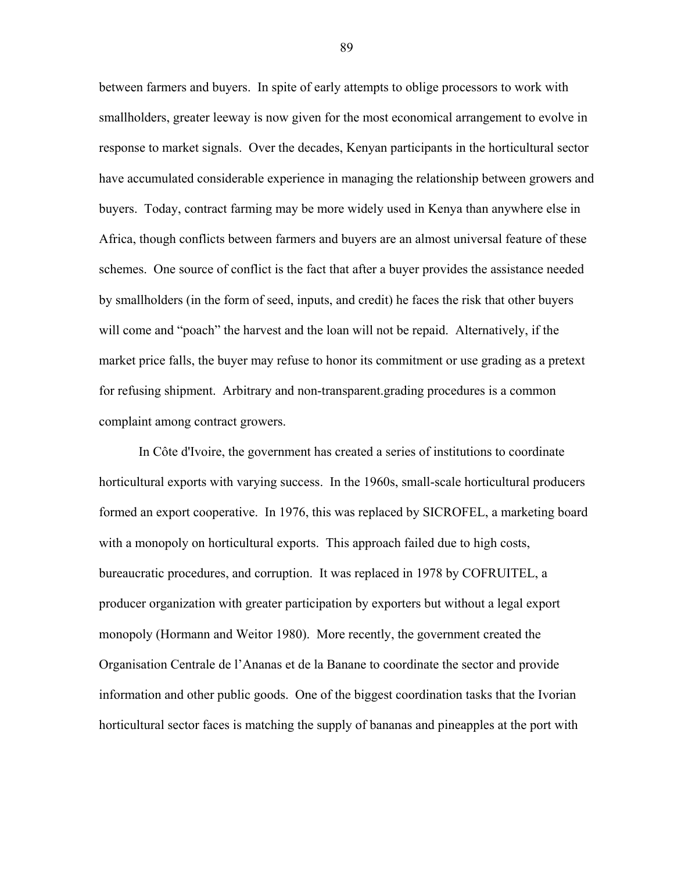between farmers and buyers. In spite of early attempts to oblige processors to work with smallholders, greater leeway is now given for the most economical arrangement to evolve in response to market signals. Over the decades, Kenyan participants in the horticultural sector have accumulated considerable experience in managing the relationship between growers and buyers. Today, contract farming may be more widely used in Kenya than anywhere else in Africa, though conflicts between farmers and buyers are an almost universal feature of these schemes. One source of conflict is the fact that after a buyer provides the assistance needed by smallholders (in the form of seed, inputs, and credit) he faces the risk that other buyers will come and "poach" the harvest and the loan will not be repaid. Alternatively, if the market price falls, the buyer may refuse to honor its commitment or use grading as a pretext for refusing shipment. Arbitrary and non-transparent.grading procedures is a common complaint among contract growers.

In Côte d'Ivoire, the government has created a series of institutions to coordinate horticultural exports with varying success. In the 1960s, small-scale horticultural producers formed an export cooperative. In 1976, this was replaced by SICROFEL, a marketing board with a monopoly on horticultural exports. This approach failed due to high costs, bureaucratic procedures, and corruption. It was replaced in 1978 by COFRUITEL, a producer organization with greater participation by exporters but without a legal export monopoly (Hormann and Weitor 1980). More recently, the government created the Organisation Centrale de líAnanas et de la Banane to coordinate the sector and provide information and other public goods. One of the biggest coordination tasks that the Ivorian horticultural sector faces is matching the supply of bananas and pineapples at the port with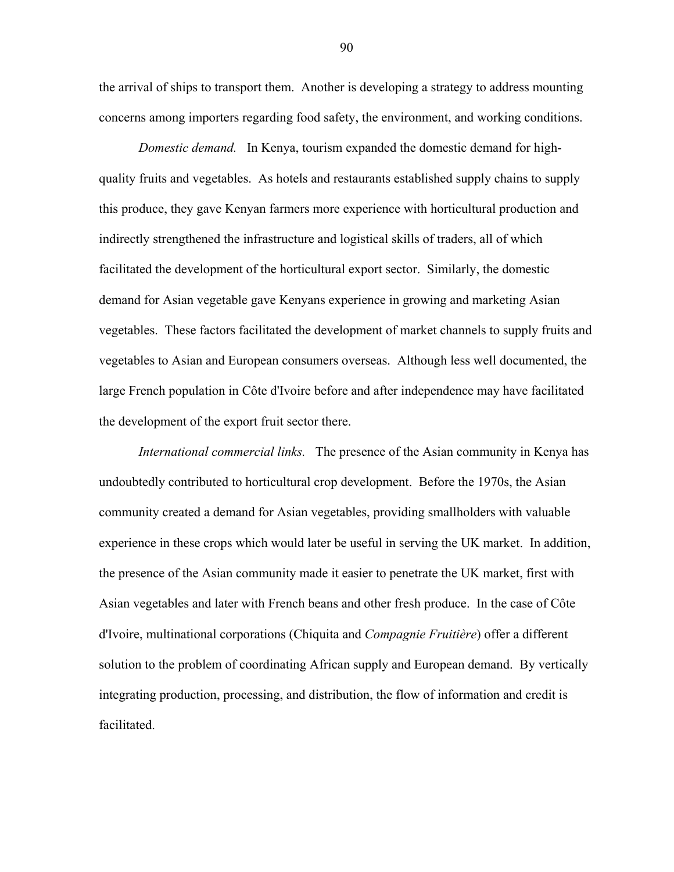the arrival of ships to transport them. Another is developing a strategy to address mounting concerns among importers regarding food safety, the environment, and working conditions.

*Domestic demand.* In Kenya, tourism expanded the domestic demand for highquality fruits and vegetables. As hotels and restaurants established supply chains to supply this produce, they gave Kenyan farmers more experience with horticultural production and indirectly strengthened the infrastructure and logistical skills of traders, all of which facilitated the development of the horticultural export sector. Similarly, the domestic demand for Asian vegetable gave Kenyans experience in growing and marketing Asian vegetables. These factors facilitated the development of market channels to supply fruits and vegetables to Asian and European consumers overseas. Although less well documented, the large French population in Côte d'Ivoire before and after independence may have facilitated the development of the export fruit sector there.

*International commercial links.* The presence of the Asian community in Kenya has undoubtedly contributed to horticultural crop development. Before the 1970s, the Asian community created a demand for Asian vegetables, providing smallholders with valuable experience in these crops which would later be useful in serving the UK market. In addition, the presence of the Asian community made it easier to penetrate the UK market, first with Asian vegetables and later with French beans and other fresh produce. In the case of Côte d'Ivoire, multinational corporations (Chiquita and *Compagnie Fruitière*) offer a different solution to the problem of coordinating African supply and European demand. By vertically integrating production, processing, and distribution, the flow of information and credit is facilitated.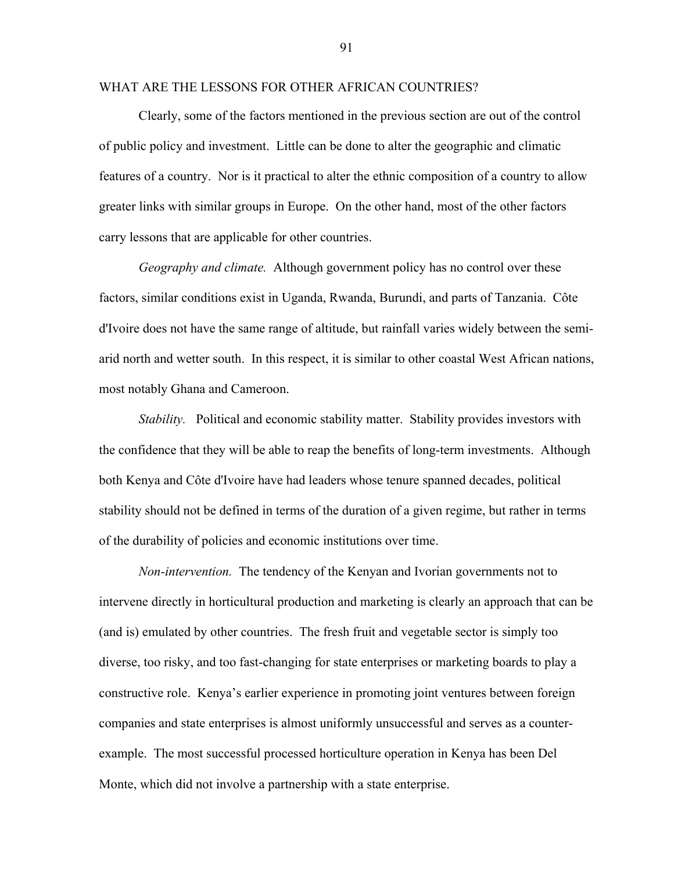### WHAT ARE THE LESSONS FOR OTHER AFRICAN COUNTRIES?

Clearly, some of the factors mentioned in the previous section are out of the control of public policy and investment. Little can be done to alter the geographic and climatic features of a country. Nor is it practical to alter the ethnic composition of a country to allow greater links with similar groups in Europe. On the other hand, most of the other factors carry lessons that are applicable for other countries.

*Geography and climate.* Although government policy has no control over these factors, similar conditions exist in Uganda, Rwanda, Burundi, and parts of Tanzania. Côte d'Ivoire does not have the same range of altitude, but rainfall varies widely between the semiarid north and wetter south. In this respect, it is similar to other coastal West African nations, most notably Ghana and Cameroon.

*Stability.* Political and economic stability matter. Stability provides investors with the confidence that they will be able to reap the benefits of long-term investments. Although both Kenya and Côte d'Ivoire have had leaders whose tenure spanned decades, political stability should not be defined in terms of the duration of a given regime, but rather in terms of the durability of policies and economic institutions over time.

*Non-intervention.* The tendency of the Kenyan and Ivorian governments not to intervene directly in horticultural production and marketing is clearly an approach that can be (and is) emulated by other countries. The fresh fruit and vegetable sector is simply too diverse, too risky, and too fast-changing for state enterprises or marketing boards to play a constructive role. Kenya's earlier experience in promoting joint ventures between foreign companies and state enterprises is almost uniformly unsuccessful and serves as a counterexample. The most successful processed horticulture operation in Kenya has been Del Monte, which did not involve a partnership with a state enterprise.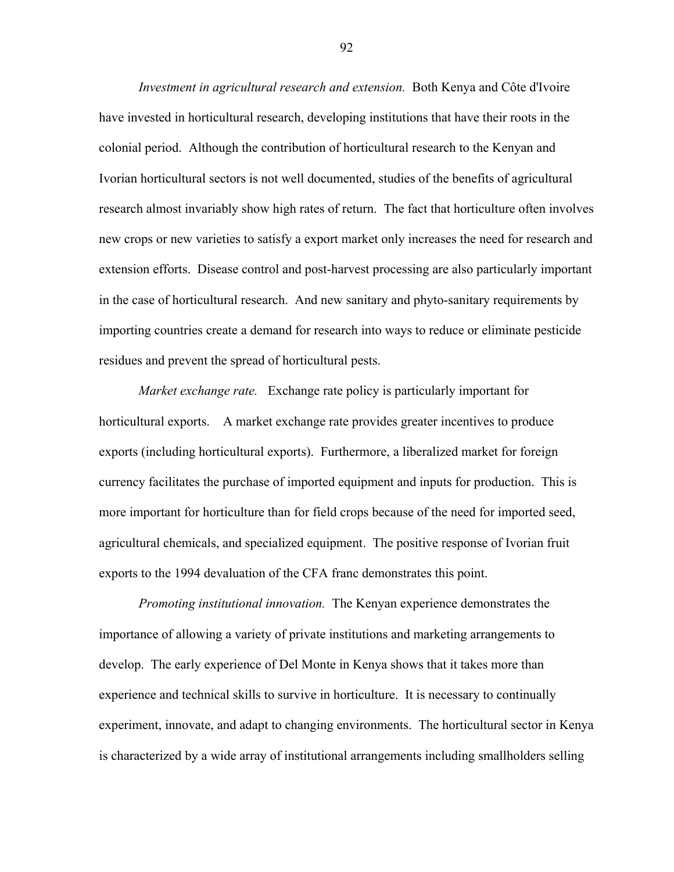*Investment in agricultural research and extension.* Both Kenya and Côte d'Ivoire have invested in horticultural research, developing institutions that have their roots in the colonial period. Although the contribution of horticultural research to the Kenyan and Ivorian horticultural sectors is not well documented, studies of the benefits of agricultural research almost invariably show high rates of return. The fact that horticulture often involves new crops or new varieties to satisfy a export market only increases the need for research and extension efforts. Disease control and post-harvest processing are also particularly important in the case of horticultural research. And new sanitary and phyto-sanitary requirements by importing countries create a demand for research into ways to reduce or eliminate pesticide residues and prevent the spread of horticultural pests.

*Market exchange rate.* Exchange rate policy is particularly important for horticultural exports. A market exchange rate provides greater incentives to produce exports (including horticultural exports). Furthermore, a liberalized market for foreign currency facilitates the purchase of imported equipment and inputs for production. This is more important for horticulture than for field crops because of the need for imported seed, agricultural chemicals, and specialized equipment. The positive response of Ivorian fruit exports to the 1994 devaluation of the CFA franc demonstrates this point.

*Promoting institutional innovation.* The Kenyan experience demonstrates the importance of allowing a variety of private institutions and marketing arrangements to develop. The early experience of Del Monte in Kenya shows that it takes more than experience and technical skills to survive in horticulture. It is necessary to continually experiment, innovate, and adapt to changing environments. The horticultural sector in Kenya is characterized by a wide array of institutional arrangements including smallholders selling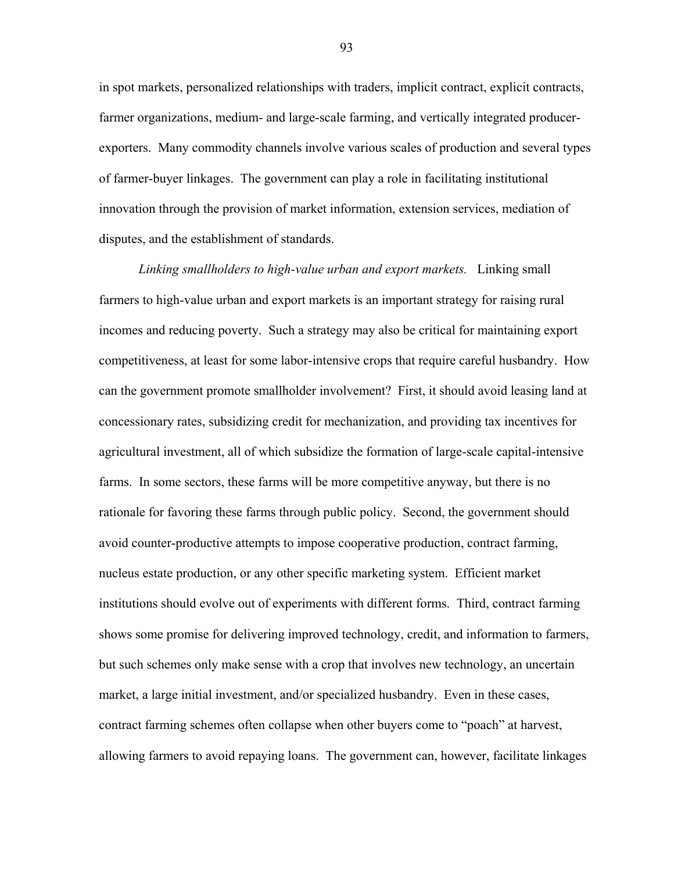in spot markets, personalized relationships with traders, implicit contract, explicit contracts, farmer organizations, medium- and large-scale farming, and vertically integrated producerexporters. Many commodity channels involve various scales of production and several types of farmer-buyer linkages. The government can play a role in facilitating institutional innovation through the provision of market information, extension services, mediation of disputes, and the establishment of standards.

*Linking smallholders to high-value urban and export markets.* Linking small farmers to high-value urban and export markets is an important strategy for raising rural incomes and reducing poverty. Such a strategy may also be critical for maintaining export competitiveness, at least for some labor-intensive crops that require careful husbandry. How can the government promote smallholder involvement? First, it should avoid leasing land at concessionary rates, subsidizing credit for mechanization, and providing tax incentives for agricultural investment, all of which subsidize the formation of large-scale capital-intensive farms. In some sectors, these farms will be more competitive anyway, but there is no rationale for favoring these farms through public policy. Second, the government should avoid counter-productive attempts to impose cooperative production, contract farming, nucleus estate production, or any other specific marketing system. Efficient market institutions should evolve out of experiments with different forms. Third, contract farming shows some promise for delivering improved technology, credit, and information to farmers, but such schemes only make sense with a crop that involves new technology, an uncertain market, a large initial investment, and/or specialized husbandry. Even in these cases, contract farming schemes often collapse when other buyers come to "poach" at harvest, allowing farmers to avoid repaying loans. The government can, however, facilitate linkages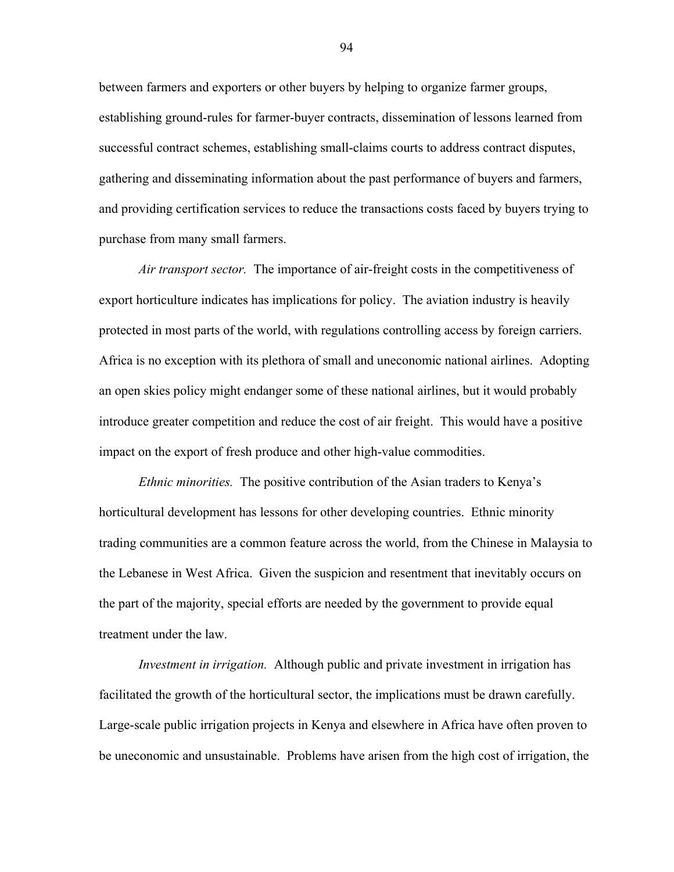between farmers and exporters or other buyers by helping to organize farmer groups, establishing ground-rules for farmer-buyer contracts, dissemination of lessons learned from successful contract schemes, establishing small-claims courts to address contract disputes, gathering and disseminating information about the past performance of buyers and farmers, and providing certification services to reduce the transactions costs faced by buyers trying to purchase from many small farmers.

*Air transport sector.* The importance of air-freight costs in the competitiveness of export horticulture indicates has implications for policy. The aviation industry is heavily protected in most parts of the world, with regulations controlling access by foreign carriers. Africa is no exception with its plethora of small and uneconomic national airlines. Adopting an open skies policy might endanger some of these national airlines, but it would probably introduce greater competition and reduce the cost of air freight. This would have a positive impact on the export of fresh produce and other high-value commodities.

*Ethnic minorities.* The positive contribution of the Asian traders to Kenya's horticultural development has lessons for other developing countries. Ethnic minority trading communities are a common feature across the world, from the Chinese in Malaysia to the Lebanese in West Africa. Given the suspicion and resentment that inevitably occurs on the part of the majority, special efforts are needed by the government to provide equal treatment under the law.

*Investment in irrigation.* Although public and private investment in irrigation has facilitated the growth of the horticultural sector, the implications must be drawn carefully. Large-scale public irrigation projects in Kenya and elsewhere in Africa have often proven to be uneconomic and unsustainable. Problems have arisen from the high cost of irrigation, the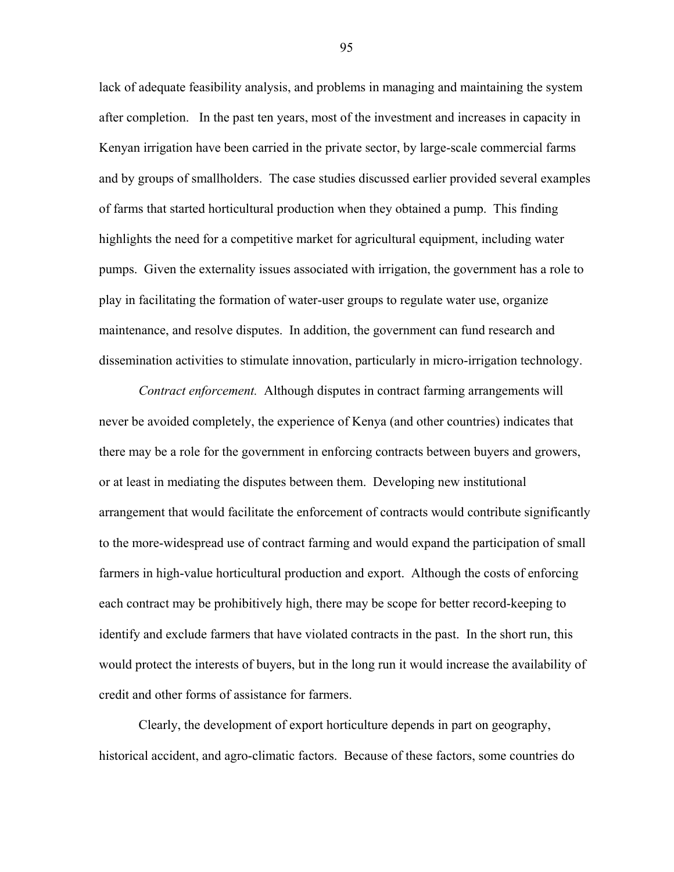lack of adequate feasibility analysis, and problems in managing and maintaining the system after completion. In the past ten years, most of the investment and increases in capacity in Kenyan irrigation have been carried in the private sector, by large-scale commercial farms and by groups of smallholders. The case studies discussed earlier provided several examples of farms that started horticultural production when they obtained a pump. This finding highlights the need for a competitive market for agricultural equipment, including water pumps. Given the externality issues associated with irrigation, the government has a role to play in facilitating the formation of water-user groups to regulate water use, organize maintenance, and resolve disputes. In addition, the government can fund research and dissemination activities to stimulate innovation, particularly in micro-irrigation technology.

*Contract enforcement.* Although disputes in contract farming arrangements will never be avoided completely, the experience of Kenya (and other countries) indicates that there may be a role for the government in enforcing contracts between buyers and growers, or at least in mediating the disputes between them. Developing new institutional arrangement that would facilitate the enforcement of contracts would contribute significantly to the more-widespread use of contract farming and would expand the participation of small farmers in high-value horticultural production and export. Although the costs of enforcing each contract may be prohibitively high, there may be scope for better record-keeping to identify and exclude farmers that have violated contracts in the past. In the short run, this would protect the interests of buyers, but in the long run it would increase the availability of credit and other forms of assistance for farmers.

Clearly, the development of export horticulture depends in part on geography, historical accident, and agro-climatic factors. Because of these factors, some countries do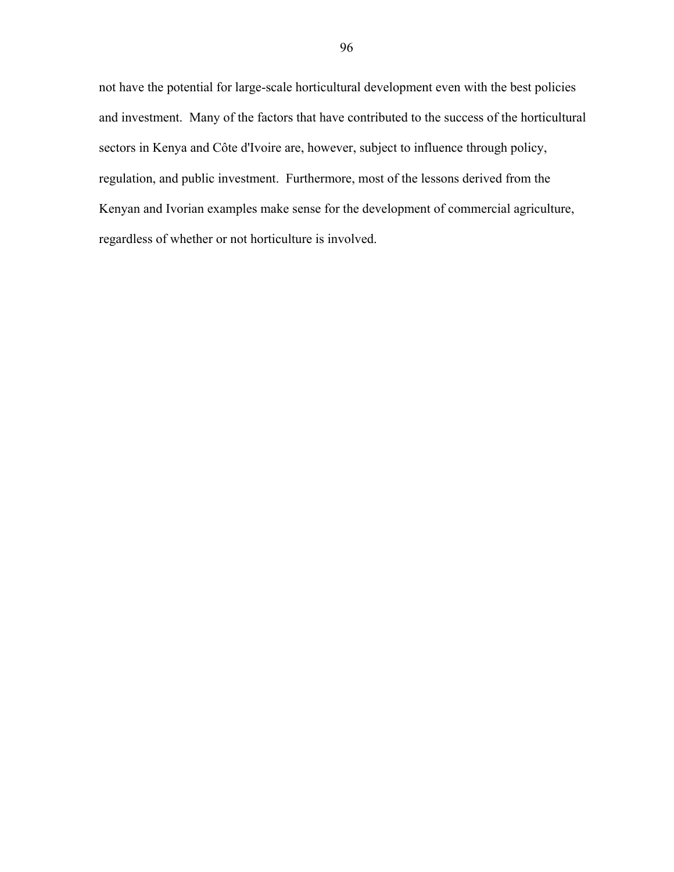not have the potential for large-scale horticultural development even with the best policies and investment. Many of the factors that have contributed to the success of the horticultural sectors in Kenya and Côte d'Ivoire are, however, subject to influence through policy, regulation, and public investment. Furthermore, most of the lessons derived from the Kenyan and Ivorian examples make sense for the development of commercial agriculture, regardless of whether or not horticulture is involved.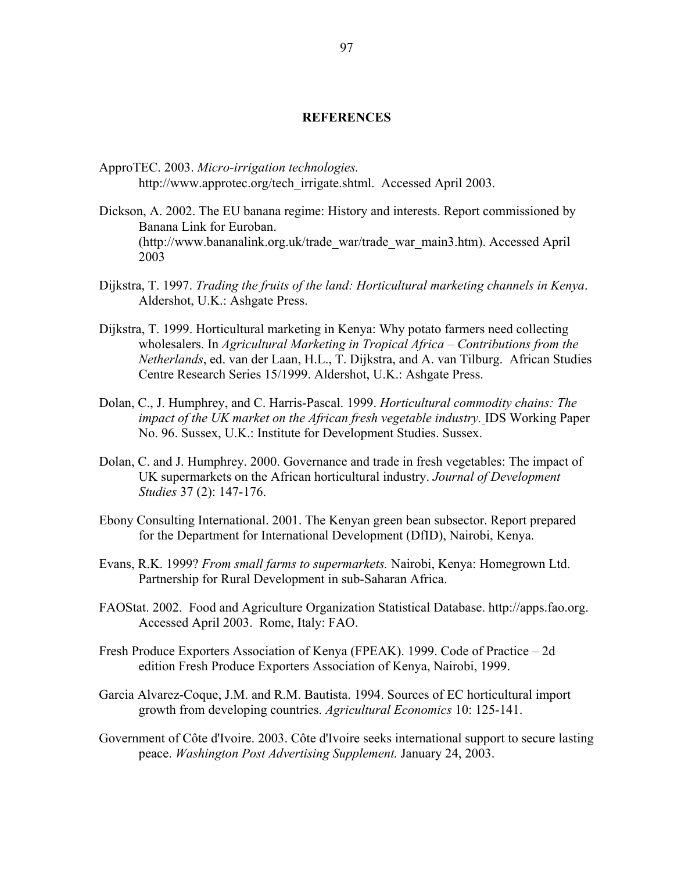#### **REFERENCES**

- ApproTEC. 2003. *Micro-irrigation technologies.*  http://www.approtec.org/tech\_irrigate.shtml. Accessed April 2003.
- Dickson, A. 2002. The EU banana regime: History and interests. Report commissioned by Banana Link for Euroban. (http://www.bananalink.org.uk/trade\_war/trade\_war\_main3.htm). Accessed April 2003
- Dijkstra, T. 1997. *Trading the fruits of the land: Horticultural marketing channels in Kenya*. Aldershot, U.K.: Ashgate Press.
- Dijkstra, T. 1999. Horticultural marketing in Kenya: Why potato farmers need collecting wholesalers. In *Agricultural Marketing in Tropical Africa – Contributions from the Netherlands*, ed. van der Laan, H.L., T. Dijkstra, and A. van Tilburg. African Studies Centre Research Series 15/1999. Aldershot, U.K.: Ashgate Press.
- Dolan, C., J. Humphrey, and C. Harris-Pascal. 1999. *Horticultural commodity chains: The impact of the UK market on the African fresh vegetable industry.* IDS Working Paper No. 96. Sussex, U.K.: Institute for Development Studies. Sussex.
- Dolan, C. and J. Humphrey. 2000. Governance and trade in fresh vegetables: The impact of UK supermarkets on the African horticultural industry. *Journal of Development Studies* 37 (2): 147-176.
- Ebony Consulting International. 2001. The Kenyan green bean subsector. Report prepared for the Department for International Development (DfID), Nairobi, Kenya.
- Evans, R.K. 1999? *From small farms to supermarkets.* Nairobi, Kenya: Homegrown Ltd. Partnership for Rural Development in sub-Saharan Africa.
- FAOStat. 2002. Food and Agriculture Organization Statistical Database. http://apps.fao.org. Accessed April 2003. Rome, Italy: FAO.
- Fresh Produce Exporters Association of Kenya (FPEAK). 1999. Code of Practice 2d edition Fresh Produce Exporters Association of Kenya, Nairobi, 1999.
- Garcia Alvarez-Coque, J.M. and R.M. Bautista. 1994. Sources of EC horticultural import growth from developing countries. *Agricultural Economics* 10: 125-141.
- Government of Côte d'Ivoire. 2003. Côte d'Ivoire seeks international support to secure lasting peace. *Washington Post Advertising Supplement.* January 24, 2003.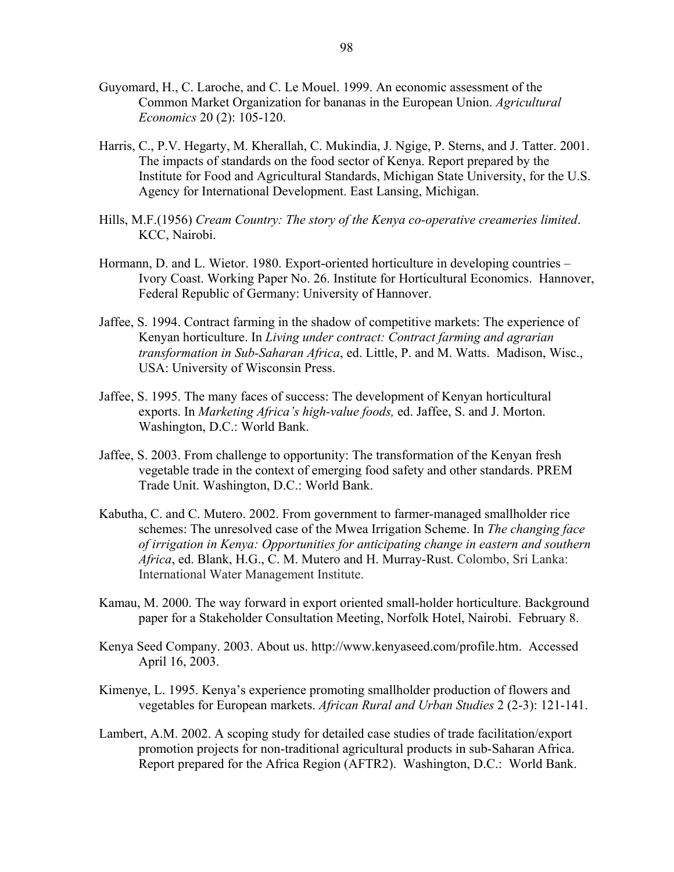- Guyomard, H., C. Laroche, and C. Le Mouel. 1999. An economic assessment of the Common Market Organization for bananas in the European Union. *Agricultural Economics* 20 (2): 105-120.
- Harris, C., P.V. Hegarty, M. Kherallah, C. Mukindia, J. Ngige, P. Sterns, and J. Tatter. 2001. The impacts of standards on the food sector of Kenya. Report prepared by the Institute for Food and Agricultural Standards, Michigan State University, for the U.S. Agency for International Development. East Lansing, Michigan.
- Hills, M.F.(1956) *Cream Country: The story of the Kenya co-operative creameries limited*. KCC, Nairobi.
- Hormann, D. and L. Wietor. 1980. Export-oriented horticulture in developing countries Ivory Coast. Working Paper No. 26. Institute for Horticultural Economics. Hannover, Federal Republic of Germany: University of Hannover.
- Jaffee, S. 1994. Contract farming in the shadow of competitive markets: The experience of Kenyan horticulture. In *Living under contract: Contract farming and agrarian transformation in Sub-Saharan Africa*, ed. Little, P. and M. Watts. Madison, Wisc., USA: University of Wisconsin Press.
- Jaffee, S. 1995. The many faces of success: The development of Kenyan horticultural exports. In *Marketing Africa's high-value foods*, ed. Jaffee, S. and J. Morton. Washington, D.C.: World Bank.
- Jaffee, S. 2003. From challenge to opportunity: The transformation of the Kenyan fresh vegetable trade in the context of emerging food safety and other standards. PREM Trade Unit. Washington, D.C.: World Bank.
- Kabutha, C. and C. Mutero. 2002. From government to farmer-managed smallholder rice schemes: The unresolved case of the Mwea Irrigation Scheme. In *The changing face of irrigation in Kenya: Opportunities for anticipating change in eastern and southern Africa*, ed. Blank, H.G., C. M. Mutero and H. Murray-Rust. Colombo, Sri Lanka: International Water Management Institute.
- Kamau, M. 2000. The way forward in export oriented small-holder horticulture. Background paper for a Stakeholder Consultation Meeting, Norfolk Hotel, Nairobi. February 8.
- Kenya Seed Company. 2003. About us. http://www.kenyaseed.com/profile.htm. Accessed April 16, 2003.
- Kimenye, L. 1995. Kenya's experience promoting smallholder production of flowers and vegetables for European markets. *African Rural and Urban Studies* 2 (2-3): 121-141.
- Lambert, A.M. 2002. A scoping study for detailed case studies of trade facilitation/export promotion projects for non-traditional agricultural products in sub-Saharan Africa. Report prepared for the Africa Region (AFTR2). Washington, D.C.: World Bank.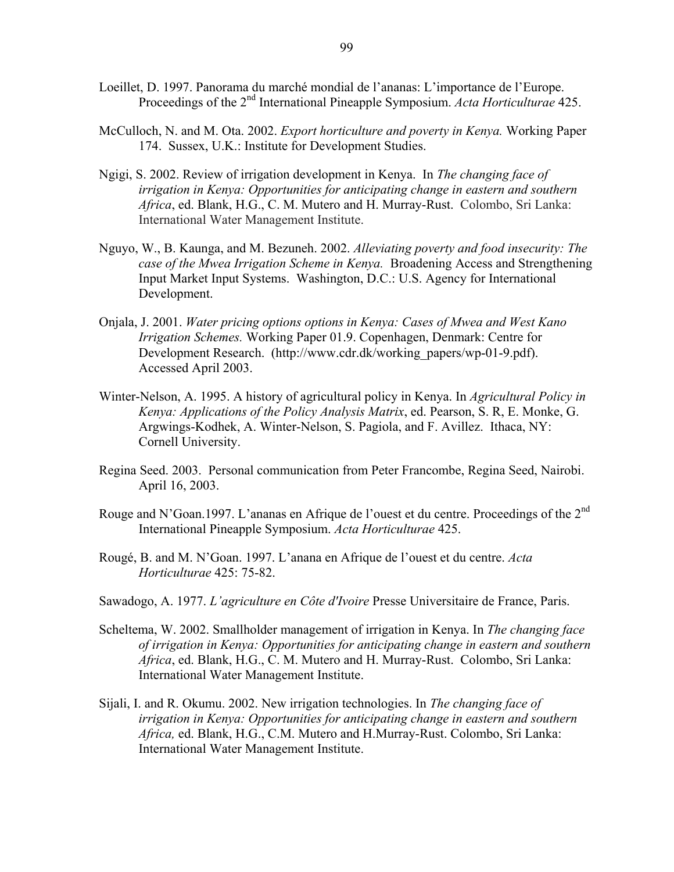- Loeillet, D. 1997. Panorama du marché mondial de l'ananas: L'importance de l'Europe. Proceedings of the 2nd International Pineapple Symposium. *Acta Horticulturae* 425.
- McCulloch, N. and M. Ota. 2002. *Export horticulture and poverty in Kenya.* Working Paper 174. Sussex, U.K.: Institute for Development Studies.
- Ngigi, S. 2002. Review of irrigation development in Kenya. In *The changing face of irrigation in Kenya: Opportunities for anticipating change in eastern and southern Africa*, ed. Blank, H.G., C. M. Mutero and H. Murray-Rust. Colombo, Sri Lanka: International Water Management Institute.
- Nguyo, W., B. Kaunga, and M. Bezuneh. 2002. *Alleviating poverty and food insecurity: The case of the Mwea Irrigation Scheme in Kenya.* Broadening Access and Strengthening Input Market Input Systems. Washington, D.C.: U.S. Agency for International Development.
- Onjala, J. 2001. *Water pricing options options in Kenya: Cases of Mwea and West Kano Irrigation Schemes.* Working Paper 01.9. Copenhagen, Denmark: Centre for Development Research. (http://www.cdr.dk/working\_papers/wp-01-9.pdf). Accessed April 2003.
- Winter-Nelson, A. 1995. A history of agricultural policy in Kenya. In *Agricultural Policy in Kenya: Applications of the Policy Analysis Matrix*, ed. Pearson, S. R, E. Monke, G. Argwings-Kodhek, A. Winter-Nelson, S. Pagiola, and F. Avillez. Ithaca, NY: Cornell University.
- Regina Seed. 2003. Personal communication from Peter Francombe, Regina Seed, Nairobi. April 16, 2003.
- Rouge and N'Goan.1997. L'ananas en Afrique de l'ouest et du centre. Proceedings of the 2<sup>nd</sup> International Pineapple Symposium. *Acta Horticulturae* 425.
- Rougé, B. and M. N'Goan. 1997. L'anana en Afrique de l'ouest et du centre. *Acta Horticulturae* 425: 75-82.
- Sawadogo, A. 1977. *L'agriculture en Côte d'Ivoire* Presse Universitaire de France, Paris.
- Scheltema, W. 2002. Smallholder management of irrigation in Kenya. In *The changing face of irrigation in Kenya: Opportunities for anticipating change in eastern and southern Africa*, ed. Blank, H.G., C. M. Mutero and H. Murray-Rust. Colombo, Sri Lanka: International Water Management Institute.
- Sijali, I. and R. Okumu. 2002. New irrigation technologies. In *The changing face of irrigation in Kenya: Opportunities for anticipating change in eastern and southern Africa,* ed. Blank, H.G., C.M. Mutero and H.Murray-Rust. Colombo, Sri Lanka: International Water Management Institute.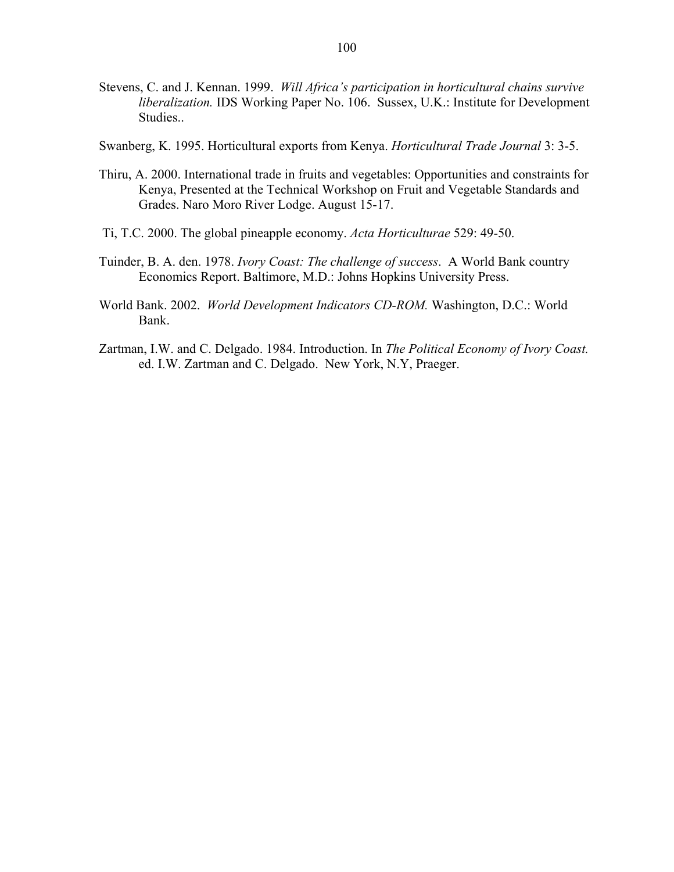- Stevens, C. and J. Kennan. 1999. *Will Africa's participation in horticultural chains survive liberalization.* IDS Working Paper No. 106. Sussex, U.K.: Institute for Development Studies..
- Swanberg, K. 1995. Horticultural exports from Kenya. *Horticultural Trade Journal* 3: 3-5.
- Thiru, A. 2000. International trade in fruits and vegetables: Opportunities and constraints for Kenya, Presented at the Technical Workshop on Fruit and Vegetable Standards and Grades. Naro Moro River Lodge. August 15-17.
- Ti, T.C. 2000. The global pineapple economy. *Acta Horticulturae* 529: 49-50.
- Tuinder, B. A. den. 1978. *Ivory Coast: The challenge of success*. A World Bank country Economics Report. Baltimore, M.D.: Johns Hopkins University Press.
- World Bank. 2002. *World Development Indicators CD-ROM.* Washington, D.C.: World Bank.
- Zartman, I.W. and C. Delgado. 1984. Introduction. In *The Political Economy of Ivory Coast.*  ed. I.W. Zartman and C. Delgado. New York, N.Y, Praeger.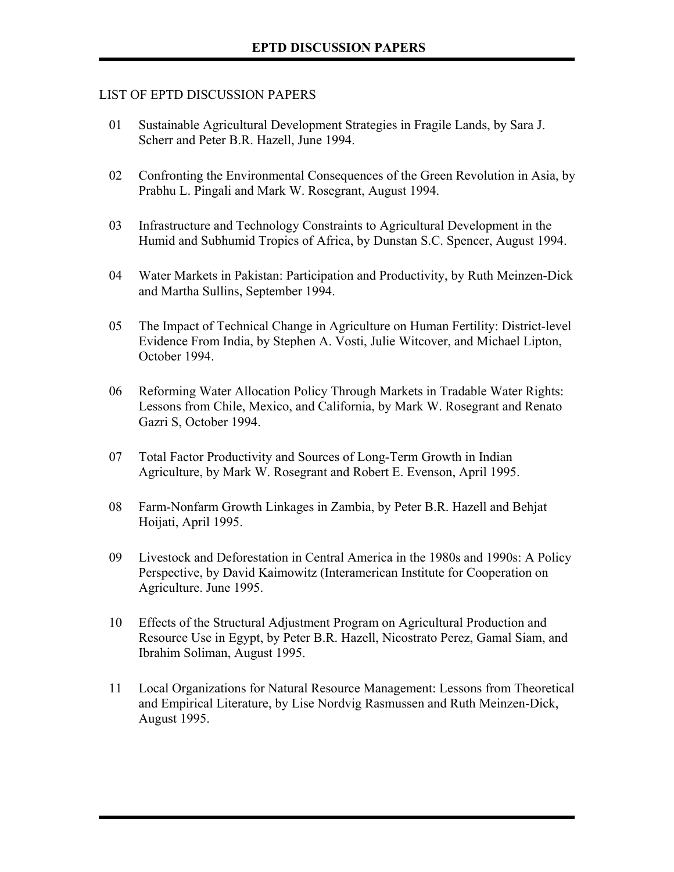# LIST OF EPTD DISCUSSION PAPERS

- 01 Sustainable Agricultural Development Strategies in Fragile Lands, by Sara J. Scherr and Peter B.R. Hazell, June 1994.
- 02 Confronting the Environmental Consequences of the Green Revolution in Asia, by Prabhu L. Pingali and Mark W. Rosegrant, August 1994.
- 03 Infrastructure and Technology Constraints to Agricultural Development in the Humid and Subhumid Tropics of Africa, by Dunstan S.C. Spencer, August 1994.
- 04 Water Markets in Pakistan: Participation and Productivity, by Ruth Meinzen-Dick and Martha Sullins, September 1994.
- 05 The Impact of Technical Change in Agriculture on Human Fertility: District-level Evidence From India, by Stephen A. Vosti, Julie Witcover, and Michael Lipton, October 1994.
- 06 Reforming Water Allocation Policy Through Markets in Tradable Water Rights: Lessons from Chile, Mexico, and California, by Mark W. Rosegrant and Renato Gazri S, October 1994.
- 07 Total Factor Productivity and Sources of Long-Term Growth in Indian Agriculture, by Mark W. Rosegrant and Robert E. Evenson, April 1995.
- 08 Farm-Nonfarm Growth Linkages in Zambia, by Peter B.R. Hazell and Behjat Hoijati, April 1995.
- 09 Livestock and Deforestation in Central America in the 1980s and 1990s: A Policy Perspective, by David Kaimowitz (Interamerican Institute for Cooperation on Agriculture. June 1995.
- 10 Effects of the Structural Adjustment Program on Agricultural Production and Resource Use in Egypt, by Peter B.R. Hazell, Nicostrato Perez, Gamal Siam, and Ibrahim Soliman, August 1995.
- 11 Local Organizations for Natural Resource Management: Lessons from Theoretical and Empirical Literature, by Lise Nordvig Rasmussen and Ruth Meinzen-Dick, August 1995.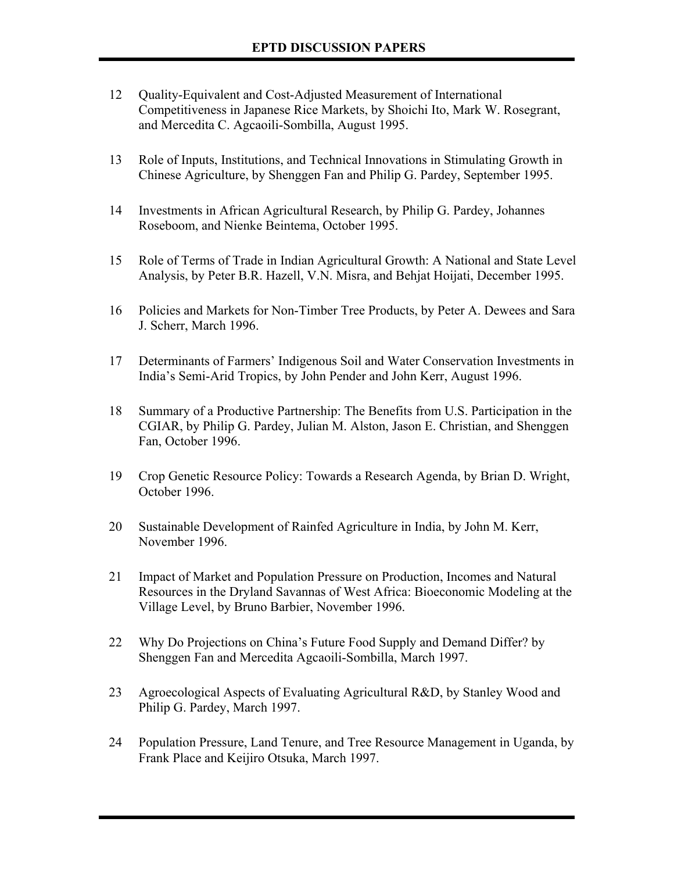- 12 Quality-Equivalent and Cost-Adjusted Measurement of International Competitiveness in Japanese Rice Markets, by Shoichi Ito, Mark W. Rosegrant, and Mercedita C. Agcaoili-Sombilla, August 1995.
- 13 Role of Inputs, Institutions, and Technical Innovations in Stimulating Growth in Chinese Agriculture, by Shenggen Fan and Philip G. Pardey, September 1995.
- 14 Investments in African Agricultural Research, by Philip G. Pardey, Johannes Roseboom, and Nienke Beintema, October 1995.
- 15 Role of Terms of Trade in Indian Agricultural Growth: A National and State Level Analysis, by Peter B.R. Hazell, V.N. Misra, and Behjat Hoijati, December 1995.
- 16 Policies and Markets for Non-Timber Tree Products, by Peter A. Dewees and Sara J. Scherr, March 1996.
- 17 Determinants of Farmers' Indigenous Soil and Water Conservation Investments in Indiaís Semi-Arid Tropics, by John Pender and John Kerr, August 1996.
- 18 Summary of a Productive Partnership: The Benefits from U.S. Participation in the CGIAR, by Philip G. Pardey, Julian M. Alston, Jason E. Christian, and Shenggen Fan, October 1996.
- 19 Crop Genetic Resource Policy: Towards a Research Agenda, by Brian D. Wright, October 1996.
- 20 Sustainable Development of Rainfed Agriculture in India, by John M. Kerr, November 1996.
- 21 Impact of Market and Population Pressure on Production, Incomes and Natural Resources in the Dryland Savannas of West Africa: Bioeconomic Modeling at the Village Level, by Bruno Barbier, November 1996.
- 22 Why Do Projections on Chinaís Future Food Supply and Demand Differ? by Shenggen Fan and Mercedita Agcaoili-Sombilla, March 1997.
- 23 Agroecological Aspects of Evaluating Agricultural R&D, by Stanley Wood and Philip G. Pardey, March 1997.
- 24 Population Pressure, Land Tenure, and Tree Resource Management in Uganda, by Frank Place and Keijiro Otsuka, March 1997.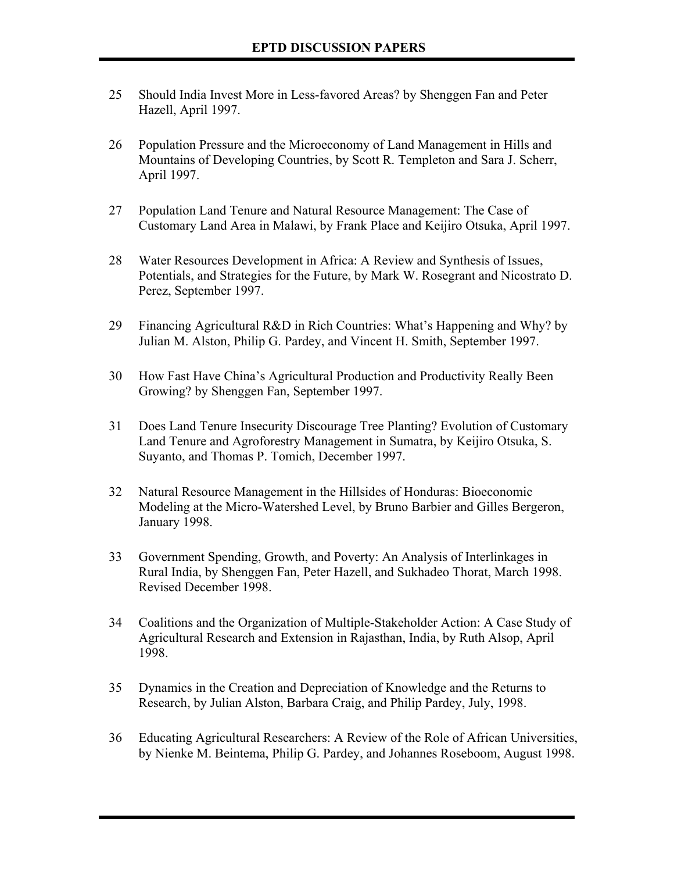- 25 Should India Invest More in Less-favored Areas? by Shenggen Fan and Peter Hazell, April 1997.
- 26 Population Pressure and the Microeconomy of Land Management in Hills and Mountains of Developing Countries, by Scott R. Templeton and Sara J. Scherr, April 1997.
- 27 Population Land Tenure and Natural Resource Management: The Case of Customary Land Area in Malawi, by Frank Place and Keijiro Otsuka, April 1997.
- 28 Water Resources Development in Africa: A Review and Synthesis of Issues, Potentials, and Strategies for the Future, by Mark W. Rosegrant and Nicostrato D. Perez, September 1997.
- 29 Financing Agricultural R&D in Rich Countries: What's Happening and Why? by Julian M. Alston, Philip G. Pardey, and Vincent H. Smith, September 1997.
- 30 How Fast Have Chinaís Agricultural Production and Productivity Really Been Growing? by Shenggen Fan, September 1997.
- 31 Does Land Tenure Insecurity Discourage Tree Planting? Evolution of Customary Land Tenure and Agroforestry Management in Sumatra, by Keijiro Otsuka, S. Suyanto, and Thomas P. Tomich, December 1997.
- 32 Natural Resource Management in the Hillsides of Honduras: Bioeconomic Modeling at the Micro-Watershed Level, by Bruno Barbier and Gilles Bergeron, January 1998.
- 33 Government Spending, Growth, and Poverty: An Analysis of Interlinkages in Rural India, by Shenggen Fan, Peter Hazell, and Sukhadeo Thorat, March 1998. Revised December 1998.
- 34 Coalitions and the Organization of Multiple-Stakeholder Action: A Case Study of Agricultural Research and Extension in Rajasthan, India, by Ruth Alsop, April 1998.
- 35 Dynamics in the Creation and Depreciation of Knowledge and the Returns to Research, by Julian Alston, Barbara Craig, and Philip Pardey, July, 1998.
- 36 Educating Agricultural Researchers: A Review of the Role of African Universities, by Nienke M. Beintema, Philip G. Pardey, and Johannes Roseboom, August 1998.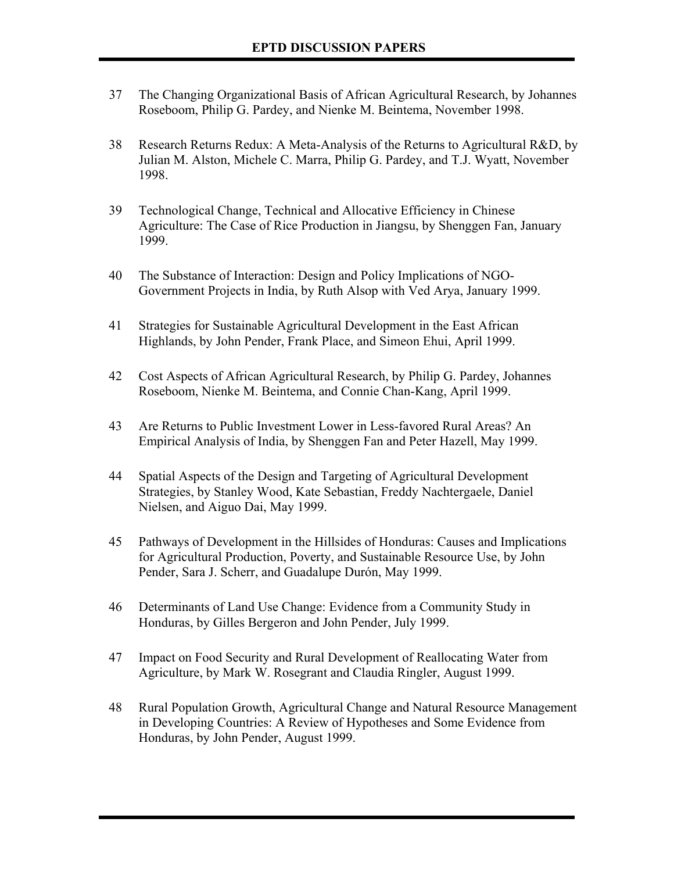- 37 The Changing Organizational Basis of African Agricultural Research, by Johannes Roseboom, Philip G. Pardey, and Nienke M. Beintema, November 1998.
- 38 Research Returns Redux: A Meta-Analysis of the Returns to Agricultural R&D, by Julian M. Alston, Michele C. Marra, Philip G. Pardey, and T.J. Wyatt, November 1998.
- 39 Technological Change, Technical and Allocative Efficiency in Chinese Agriculture: The Case of Rice Production in Jiangsu, by Shenggen Fan, January 1999.
- 40 The Substance of Interaction: Design and Policy Implications of NGO-Government Projects in India, by Ruth Alsop with Ved Arya, January 1999.
- 41 Strategies for Sustainable Agricultural Development in the East African Highlands, by John Pender, Frank Place, and Simeon Ehui, April 1999.
- 42 Cost Aspects of African Agricultural Research, by Philip G. Pardey, Johannes Roseboom, Nienke M. Beintema, and Connie Chan-Kang, April 1999.
- 43 Are Returns to Public Investment Lower in Less-favored Rural Areas? An Empirical Analysis of India, by Shenggen Fan and Peter Hazell, May 1999.
- 44 Spatial Aspects of the Design and Targeting of Agricultural Development Strategies, by Stanley Wood, Kate Sebastian, Freddy Nachtergaele, Daniel Nielsen, and Aiguo Dai, May 1999.
- 45 Pathways of Development in the Hillsides of Honduras: Causes and Implications for Agricultural Production, Poverty, and Sustainable Resource Use, by John Pender, Sara J. Scherr, and Guadalupe Durón, May 1999.
- 46 Determinants of Land Use Change: Evidence from a Community Study in Honduras, by Gilles Bergeron and John Pender, July 1999.
- 47 Impact on Food Security and Rural Development of Reallocating Water from Agriculture, by Mark W. Rosegrant and Claudia Ringler, August 1999.
- 48 Rural Population Growth, Agricultural Change and Natural Resource Management in Developing Countries: A Review of Hypotheses and Some Evidence from Honduras, by John Pender, August 1999.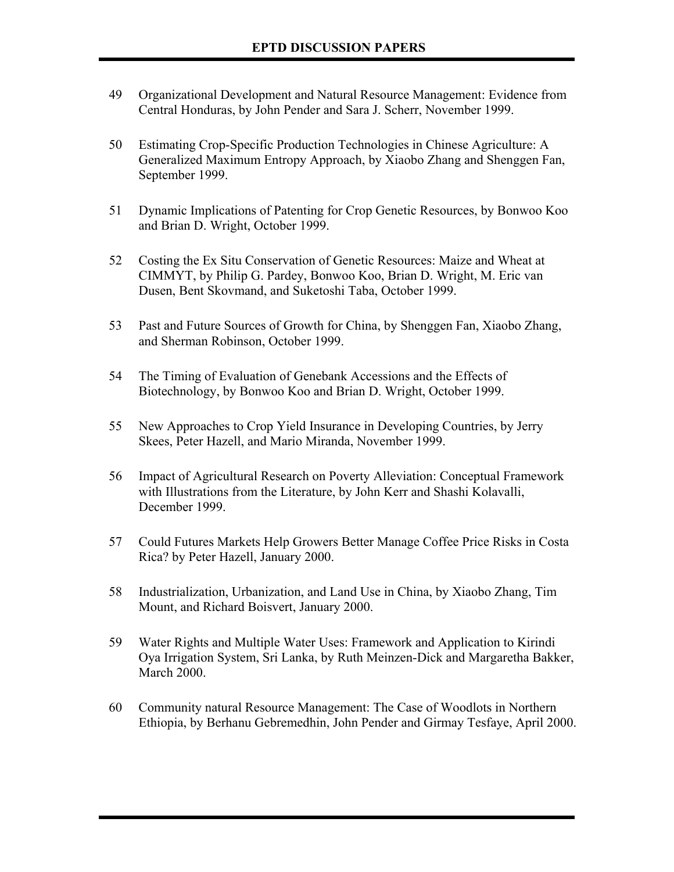- 49 Organizational Development and Natural Resource Management: Evidence from Central Honduras, by John Pender and Sara J. Scherr, November 1999.
- 50 Estimating Crop-Specific Production Technologies in Chinese Agriculture: A Generalized Maximum Entropy Approach, by Xiaobo Zhang and Shenggen Fan, September 1999.
- 51 Dynamic Implications of Patenting for Crop Genetic Resources, by Bonwoo Koo and Brian D. Wright, October 1999.
- 52 Costing the Ex Situ Conservation of Genetic Resources: Maize and Wheat at CIMMYT, by Philip G. Pardey, Bonwoo Koo, Brian D. Wright, M. Eric van Dusen, Bent Skovmand, and Suketoshi Taba, October 1999.
- 53 Past and Future Sources of Growth for China, by Shenggen Fan, Xiaobo Zhang, and Sherman Robinson, October 1999.
- 54 The Timing of Evaluation of Genebank Accessions and the Effects of Biotechnology, by Bonwoo Koo and Brian D. Wright, October 1999.
- 55 New Approaches to Crop Yield Insurance in Developing Countries, by Jerry Skees, Peter Hazell, and Mario Miranda, November 1999.
- 56 Impact of Agricultural Research on Poverty Alleviation: Conceptual Framework with Illustrations from the Literature, by John Kerr and Shashi Kolavalli, December 1999.
- 57 Could Futures Markets Help Growers Better Manage Coffee Price Risks in Costa Rica? by Peter Hazell, January 2000.
- 58 Industrialization, Urbanization, and Land Use in China, by Xiaobo Zhang, Tim Mount, and Richard Boisvert, January 2000.
- 59 Water Rights and Multiple Water Uses: Framework and Application to Kirindi Oya Irrigation System, Sri Lanka, by Ruth Meinzen-Dick and Margaretha Bakker, March 2000.
- 60 Community natural Resource Management: The Case of Woodlots in Northern Ethiopia, by Berhanu Gebremedhin, John Pender and Girmay Tesfaye, April 2000.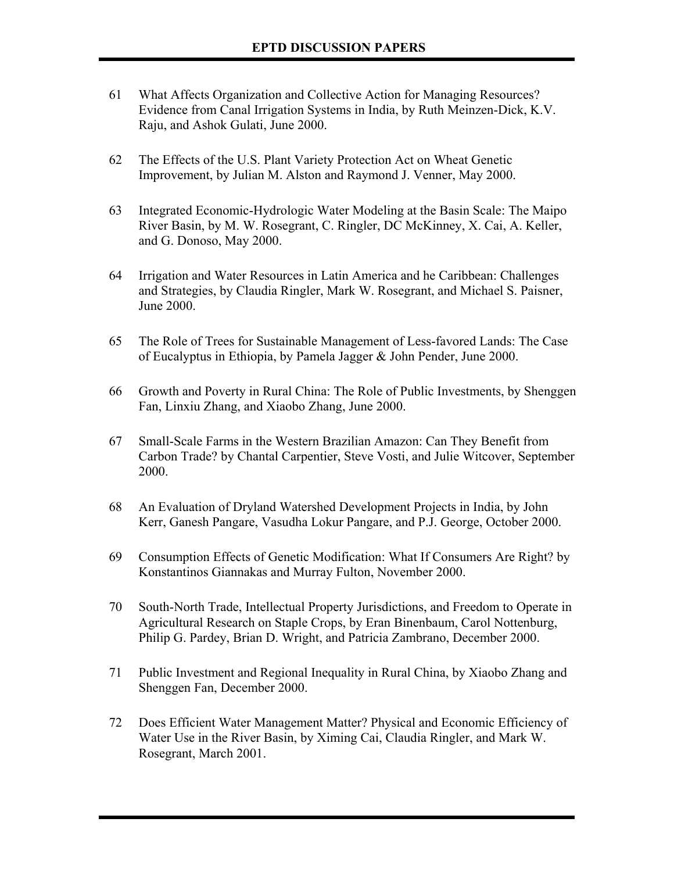- 61 What Affects Organization and Collective Action for Managing Resources? Evidence from Canal Irrigation Systems in India, by Ruth Meinzen-Dick, K.V. Raju, and Ashok Gulati, June 2000.
- 62 The Effects of the U.S. Plant Variety Protection Act on Wheat Genetic Improvement, by Julian M. Alston and Raymond J. Venner, May 2000.
- 63 Integrated Economic-Hydrologic Water Modeling at the Basin Scale: The Maipo River Basin, by M. W. Rosegrant, C. Ringler, DC McKinney, X. Cai, A. Keller, and G. Donoso, May 2000.
- 64 Irrigation and Water Resources in Latin America and he Caribbean: Challenges and Strategies, by Claudia Ringler, Mark W. Rosegrant, and Michael S. Paisner, June 2000.
- 65 The Role of Trees for Sustainable Management of Less-favored Lands: The Case of Eucalyptus in Ethiopia, by Pamela Jagger & John Pender, June 2000.
- 66 Growth and Poverty in Rural China: The Role of Public Investments, by Shenggen Fan, Linxiu Zhang, and Xiaobo Zhang, June 2000.
- 67 Small-Scale Farms in the Western Brazilian Amazon: Can They Benefit from Carbon Trade? by Chantal Carpentier, Steve Vosti, and Julie Witcover, September 2000.
- 68 An Evaluation of Dryland Watershed Development Projects in India, by John Kerr, Ganesh Pangare, Vasudha Lokur Pangare, and P.J. George, October 2000.
- 69 Consumption Effects of Genetic Modification: What If Consumers Are Right? by Konstantinos Giannakas and Murray Fulton, November 2000.
- 70 South-North Trade, Intellectual Property Jurisdictions, and Freedom to Operate in Agricultural Research on Staple Crops, by Eran Binenbaum, Carol Nottenburg, Philip G. Pardey, Brian D. Wright, and Patricia Zambrano, December 2000.
- 71 Public Investment and Regional Inequality in Rural China, by Xiaobo Zhang and Shenggen Fan, December 2000.
- 72 Does Efficient Water Management Matter? Physical and Economic Efficiency of Water Use in the River Basin, by Ximing Cai, Claudia Ringler, and Mark W. Rosegrant, March 2001.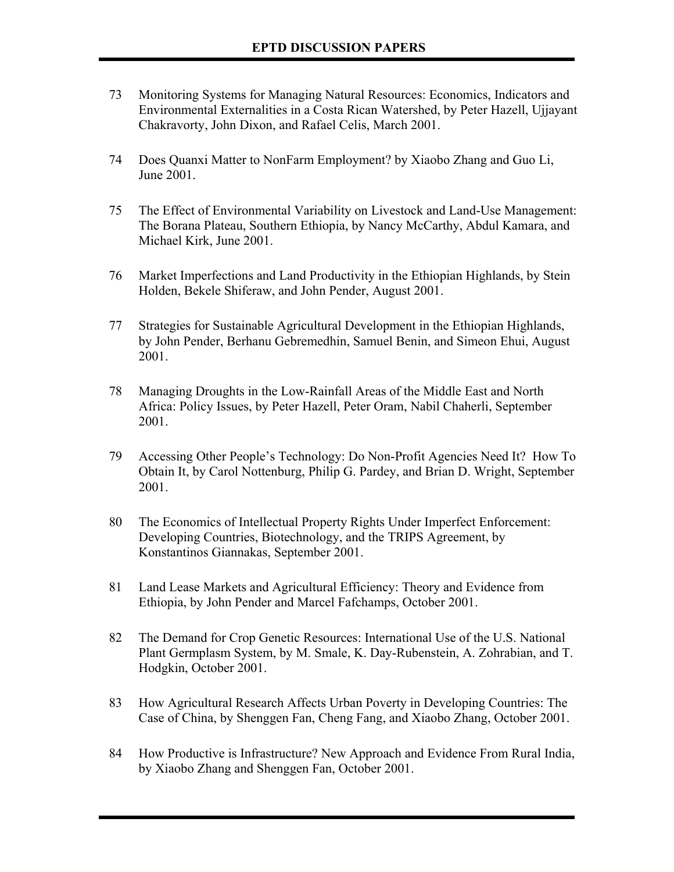- 73 Monitoring Systems for Managing Natural Resources: Economics, Indicators and Environmental Externalities in a Costa Rican Watershed, by Peter Hazell, Ujjayant Chakravorty, John Dixon, and Rafael Celis, March 2001.
- 74 Does Quanxi Matter to NonFarm Employment? by Xiaobo Zhang and Guo Li, June 2001.
- 75 The Effect of Environmental Variability on Livestock and Land-Use Management: The Borana Plateau, Southern Ethiopia, by Nancy McCarthy, Abdul Kamara, and Michael Kirk, June 2001.
- 76 Market Imperfections and Land Productivity in the Ethiopian Highlands, by Stein Holden, Bekele Shiferaw, and John Pender, August 2001.
- 77 Strategies for Sustainable Agricultural Development in the Ethiopian Highlands, by John Pender, Berhanu Gebremedhin, Samuel Benin, and Simeon Ehui, August 2001.
- 78 Managing Droughts in the Low-Rainfall Areas of the Middle East and North Africa: Policy Issues, by Peter Hazell, Peter Oram, Nabil Chaherli, September 2001.
- 79 Accessing Other Peopleís Technology: Do Non-Profit Agencies Need It? How To Obtain It, by Carol Nottenburg, Philip G. Pardey, and Brian D. Wright, September 2001.
- 80 The Economics of Intellectual Property Rights Under Imperfect Enforcement: Developing Countries, Biotechnology, and the TRIPS Agreement, by Konstantinos Giannakas, September 2001.
- 81 Land Lease Markets and Agricultural Efficiency: Theory and Evidence from Ethiopia, by John Pender and Marcel Fafchamps, October 2001.
- 82 The Demand for Crop Genetic Resources: International Use of the U.S. National Plant Germplasm System, by M. Smale, K. Day-Rubenstein, A. Zohrabian, and T. Hodgkin, October 2001.
- 83 How Agricultural Research Affects Urban Poverty in Developing Countries: The Case of China, by Shenggen Fan, Cheng Fang, and Xiaobo Zhang, October 2001.
- 84 How Productive is Infrastructure? New Approach and Evidence From Rural India, by Xiaobo Zhang and Shenggen Fan, October 2001.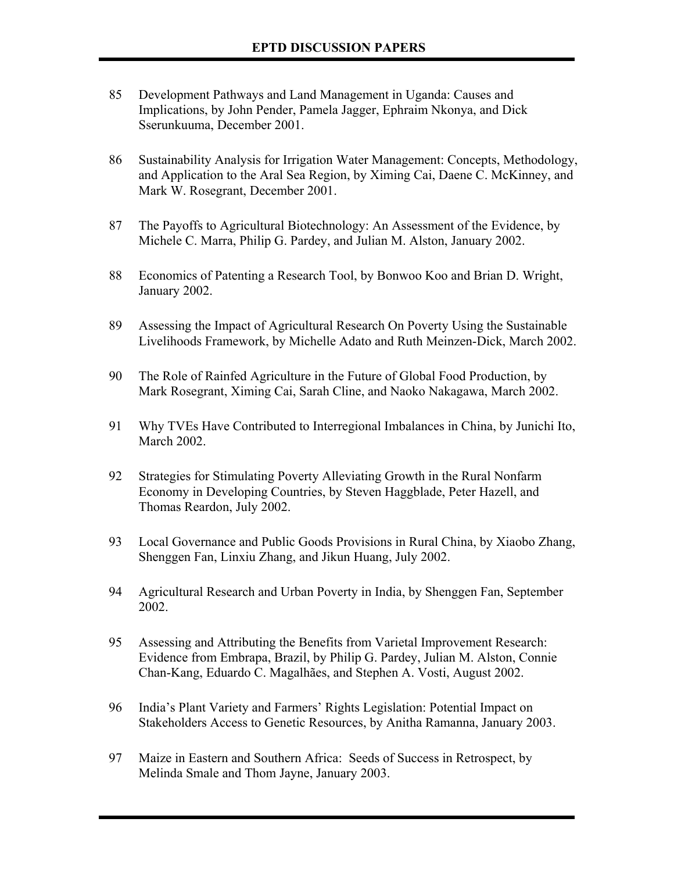- 85 Development Pathways and Land Management in Uganda: Causes and Implications, by John Pender, Pamela Jagger, Ephraim Nkonya, and Dick Sserunkuuma, December 2001.
- 86 Sustainability Analysis for Irrigation Water Management: Concepts, Methodology, and Application to the Aral Sea Region, by Ximing Cai, Daene C. McKinney, and Mark W. Rosegrant, December 2001.
- 87 The Payoffs to Agricultural Biotechnology: An Assessment of the Evidence, by Michele C. Marra, Philip G. Pardey, and Julian M. Alston, January 2002.
- 88 Economics of Patenting a Research Tool, by Bonwoo Koo and Brian D. Wright, January 2002.
- 89 Assessing the Impact of Agricultural Research On Poverty Using the Sustainable Livelihoods Framework, by Michelle Adato and Ruth Meinzen-Dick, March 2002.
- 90 The Role of Rainfed Agriculture in the Future of Global Food Production, by Mark Rosegrant, Ximing Cai, Sarah Cline, and Naoko Nakagawa, March 2002.
- 91 Why TVEs Have Contributed to Interregional Imbalances in China, by Junichi Ito, March 2002.
- 92 Strategies for Stimulating Poverty Alleviating Growth in the Rural Nonfarm Economy in Developing Countries, by Steven Haggblade, Peter Hazell, and Thomas Reardon, July 2002.
- 93 Local Governance and Public Goods Provisions in Rural China, by Xiaobo Zhang, Shenggen Fan, Linxiu Zhang, and Jikun Huang, July 2002.
- 94 Agricultural Research and Urban Poverty in India, by Shenggen Fan, September 2002.
- 95 Assessing and Attributing the Benefits from Varietal Improvement Research: Evidence from Embrapa, Brazil, by Philip G. Pardey, Julian M. Alston, Connie Chan-Kang, Eduardo C. Magalhães, and Stephen A. Vosti, August 2002.
- 96 India's Plant Variety and Farmers' Rights Legislation: Potential Impact on Stakeholders Access to Genetic Resources, by Anitha Ramanna, January 2003.
- 97 Maize in Eastern and Southern Africa: Seeds of Success in Retrospect, by Melinda Smale and Thom Jayne, January 2003.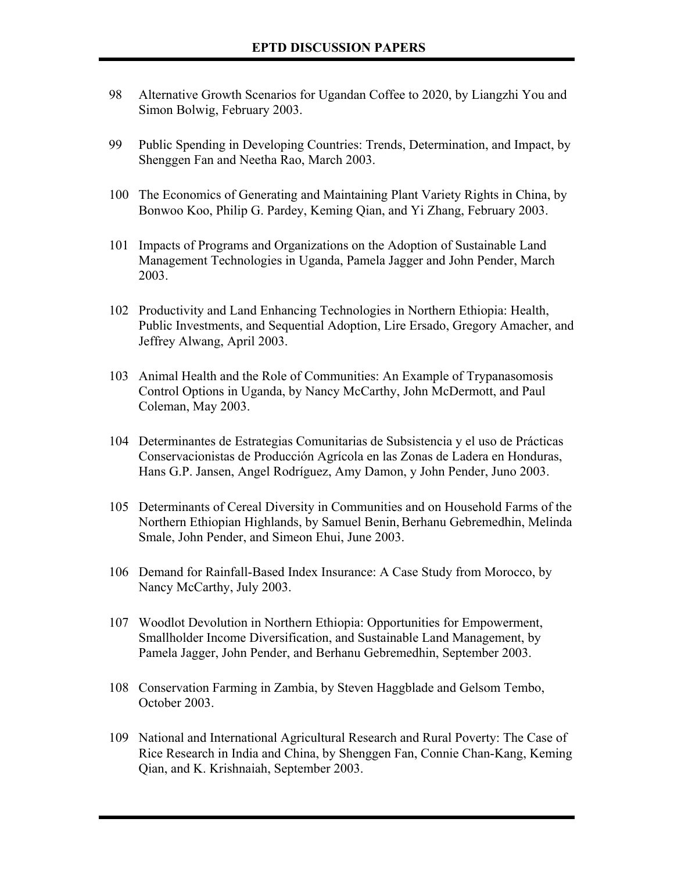- 98 Alternative Growth Scenarios for Ugandan Coffee to 2020, by Liangzhi You and Simon Bolwig, February 2003.
- 99 Public Spending in Developing Countries: Trends, Determination, and Impact, by Shenggen Fan and Neetha Rao, March 2003.
- 100 The Economics of Generating and Maintaining Plant Variety Rights in China, by Bonwoo Koo, Philip G. Pardey, Keming Qian, and Yi Zhang, February 2003.
- 101 Impacts of Programs and Organizations on the Adoption of Sustainable Land Management Technologies in Uganda, Pamela Jagger and John Pender, March 2003.
- 102 Productivity and Land Enhancing Technologies in Northern Ethiopia: Health, Public Investments, and Sequential Adoption, Lire Ersado, Gregory Amacher, and Jeffrey Alwang, April 2003.
- 103 Animal Health and the Role of Communities: An Example of Trypanasomosis Control Options in Uganda, by Nancy McCarthy, John McDermott, and Paul Coleman, May 2003.
- 104 Determinantes de Estrategias Comunitarias de Subsistencia y el uso de Prácticas Conservacionistas de Producción Agrícola en las Zonas de Ladera en Honduras, Hans G.P. Jansen, Angel Rodríguez, Amy Damon, y John Pender, Juno 2003.
- 105 Determinants of Cereal Diversity in Communities and on Household Farms of the Northern Ethiopian Highlands, by Samuel Benin, Berhanu Gebremedhin, Melinda Smale, John Pender, and Simeon Ehui, June 2003.
- 106 Demand for Rainfall-Based Index Insurance: A Case Study from Morocco, by Nancy McCarthy, July 2003.
- 107 Woodlot Devolution in Northern Ethiopia: Opportunities for Empowerment, Smallholder Income Diversification, and Sustainable Land Management, by Pamela Jagger, John Pender, and Berhanu Gebremedhin, September 2003.
- 108 Conservation Farming in Zambia, by Steven Haggblade and Gelsom Tembo, October 2003.
- 109 National and International Agricultural Research and Rural Poverty: The Case of Rice Research in India and China, by Shenggen Fan, Connie Chan-Kang, Keming Qian, and K. Krishnaiah, September 2003.